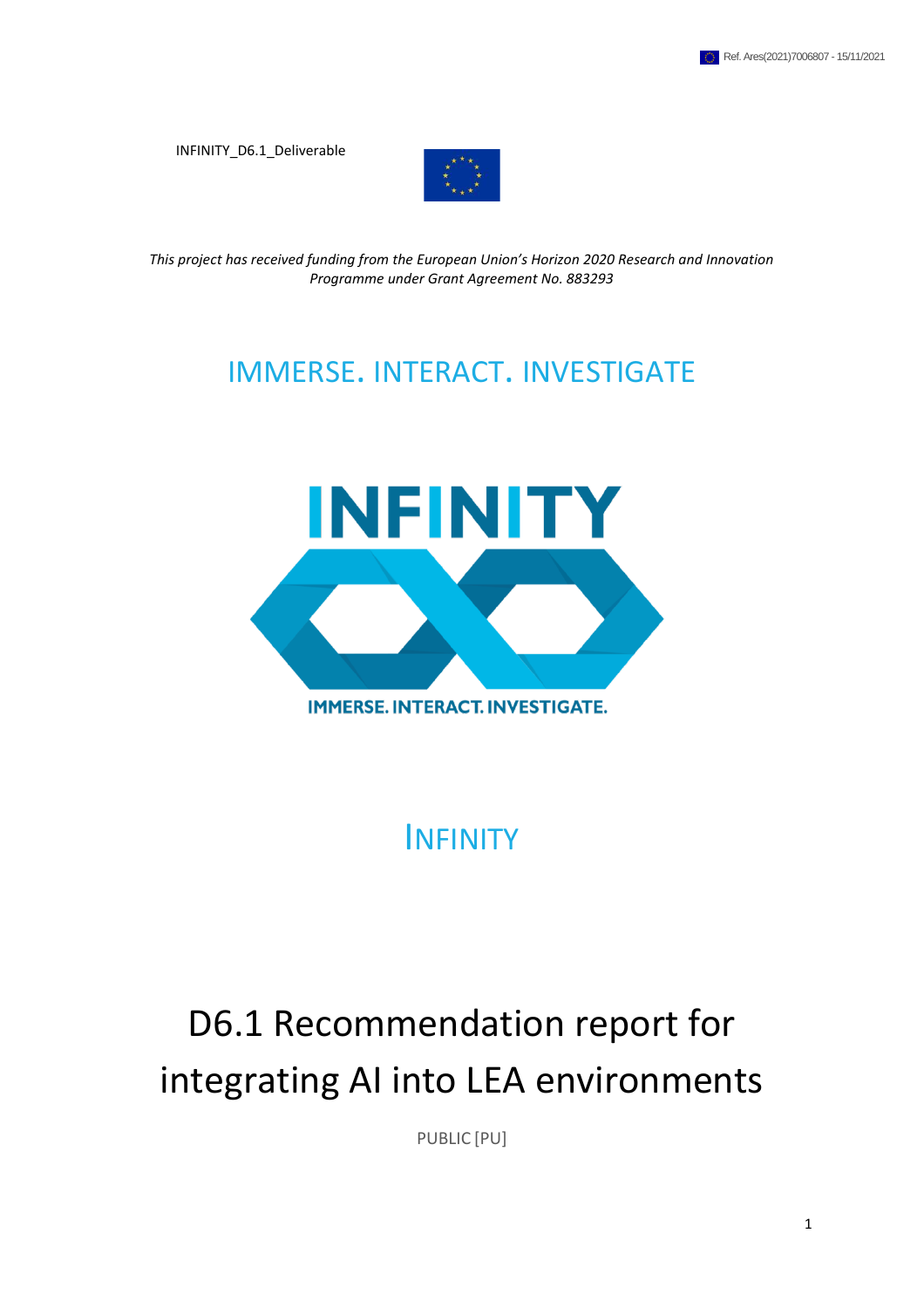INFINITY\_D6.1\_Deliverable



*This project has received funding from the European Union's Horizon 2020 Research and Innovation Programme under Grant Agreement No. 883293*

## IMMERSE. INTERACT. INVESTIGATE



INFINITY

# D6.1 Recommendation report for integrating AI into LEA environments

PUBLIC [PU]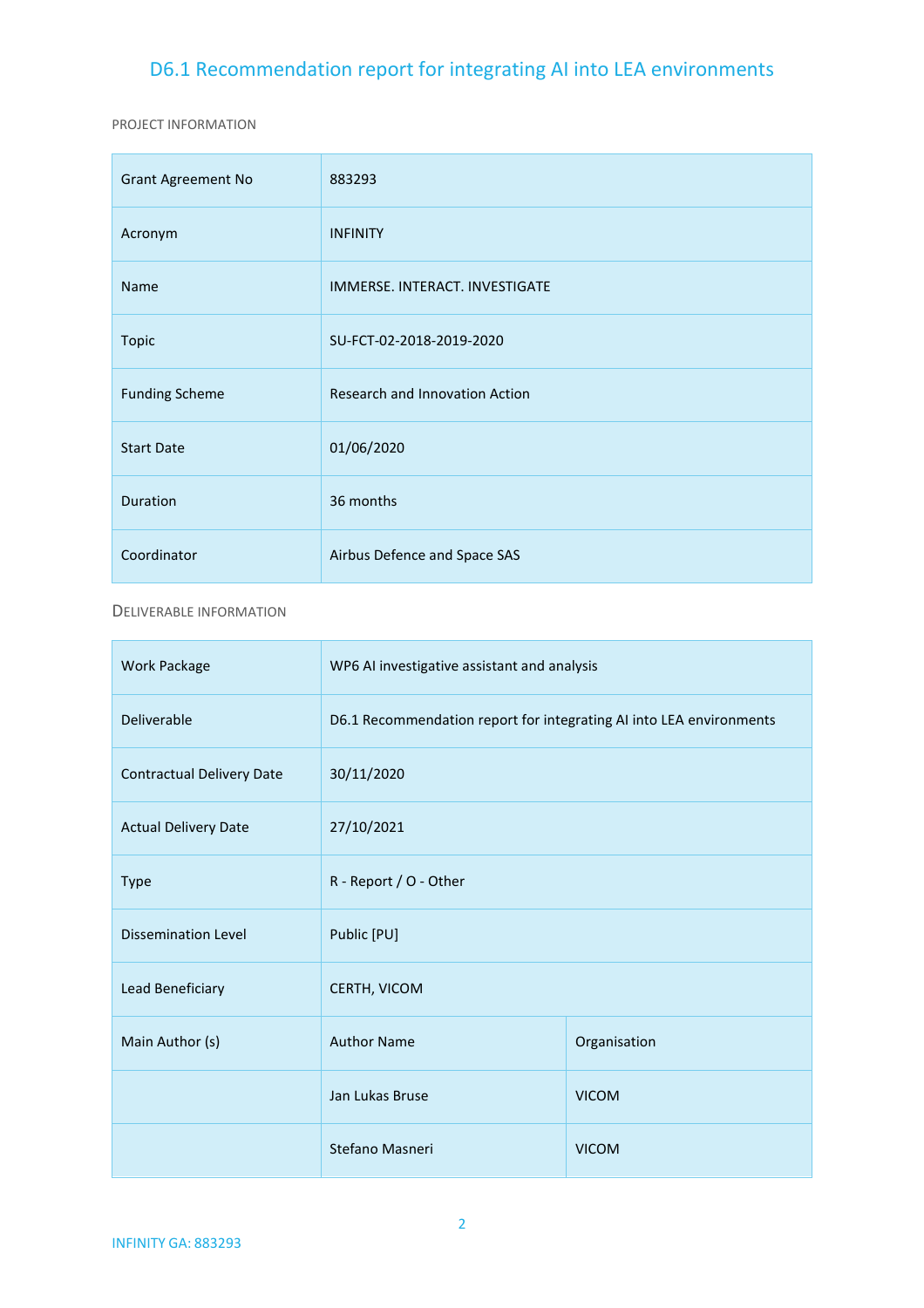PROJECT INFORMATION

| <b>Grant Agreement No</b> | 883293                         |
|---------------------------|--------------------------------|
| Acronym                   | <b>INFINITY</b>                |
| Name                      | IMMERSE. INTERACT. INVESTIGATE |
| <b>Topic</b>              | SU-FCT-02-2018-2019-2020       |
| <b>Funding Scheme</b>     | Research and Innovation Action |
| <b>Start Date</b>         | 01/06/2020                     |
| Duration                  | 36 months                      |
| Coordinator               | Airbus Defence and Space SAS   |

#### DELIVERABLE INFORMATION

| <b>Work Package</b>              | WP6 AI investigative assistant and analysis                         |              |  |  |  |  |
|----------------------------------|---------------------------------------------------------------------|--------------|--|--|--|--|
| Deliverable                      | D6.1 Recommendation report for integrating AI into LEA environments |              |  |  |  |  |
| <b>Contractual Delivery Date</b> | 30/11/2020                                                          |              |  |  |  |  |
| <b>Actual Delivery Date</b>      | 27/10/2021                                                          |              |  |  |  |  |
| <b>Type</b>                      | R - Report / O - Other                                              |              |  |  |  |  |
| <b>Dissemination Level</b>       | Public [PU]                                                         |              |  |  |  |  |
| Lead Beneficiary                 | CERTH, VICOM                                                        |              |  |  |  |  |
| Main Author (s)                  | <b>Author Name</b><br>Organisation                                  |              |  |  |  |  |
|                                  | Jan Lukas Bruse<br><b>VICOM</b>                                     |              |  |  |  |  |
|                                  | Stefano Masneri                                                     | <b>VICOM</b> |  |  |  |  |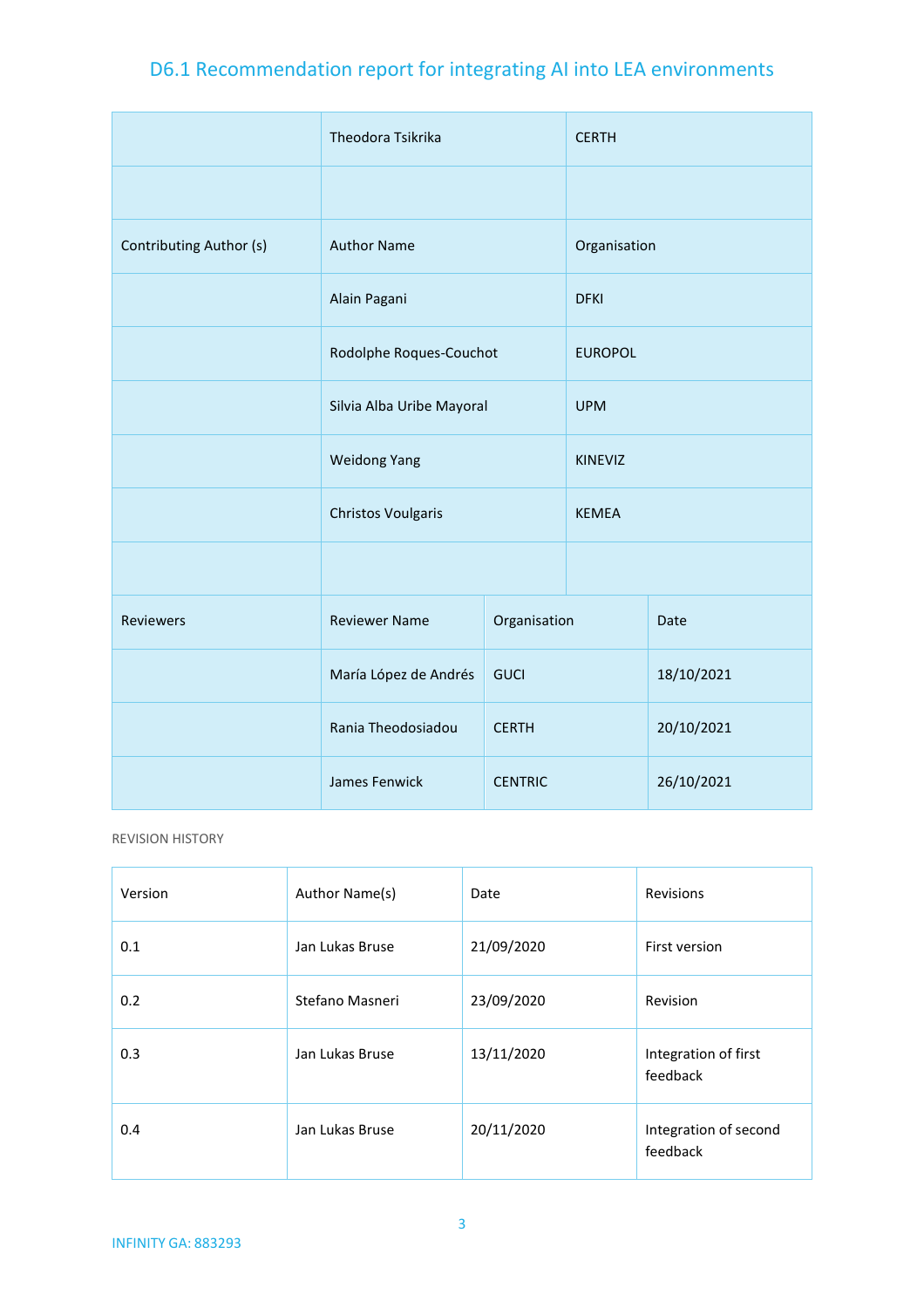|                         | Theodora Tsikrika         |                | <b>CERTH</b>   |            |  |  |
|-------------------------|---------------------------|----------------|----------------|------------|--|--|
|                         |                           |                |                |            |  |  |
| Contributing Author (s) | <b>Author Name</b>        |                | Organisation   |            |  |  |
|                         | Alain Pagani              |                | <b>DFKI</b>    |            |  |  |
|                         | Rodolphe Roques-Couchot   |                | <b>EUROPOL</b> |            |  |  |
|                         | Silvia Alba Uribe Mayoral |                | <b>UPM</b>     |            |  |  |
|                         | <b>Weidong Yang</b>       |                | <b>KINEVIZ</b> |            |  |  |
|                         | <b>Christos Voulgaris</b> |                | <b>KEMEA</b>   |            |  |  |
|                         |                           |                |                |            |  |  |
| <b>Reviewers</b>        | <b>Reviewer Name</b>      | Organisation   |                | Date       |  |  |
|                         | María López de Andrés     | <b>GUCI</b>    |                | 18/10/2021 |  |  |
|                         | Rania Theodosiadou        | <b>CERTH</b>   |                | 20/10/2021 |  |  |
|                         | James Fenwick             | <b>CENTRIC</b> |                | 26/10/2021 |  |  |

REVISION HISTORY

| Version | Author Name(s)  | Date       | Revisions                         |
|---------|-----------------|------------|-----------------------------------|
| 0.1     | Jan Lukas Bruse | 21/09/2020 | First version                     |
| 0.2     | Stefano Masneri | 23/09/2020 | Revision                          |
| 0.3     | Jan Lukas Bruse | 13/11/2020 | Integration of first<br>feedback  |
| 0.4     | Jan Lukas Bruse | 20/11/2020 | Integration of second<br>feedback |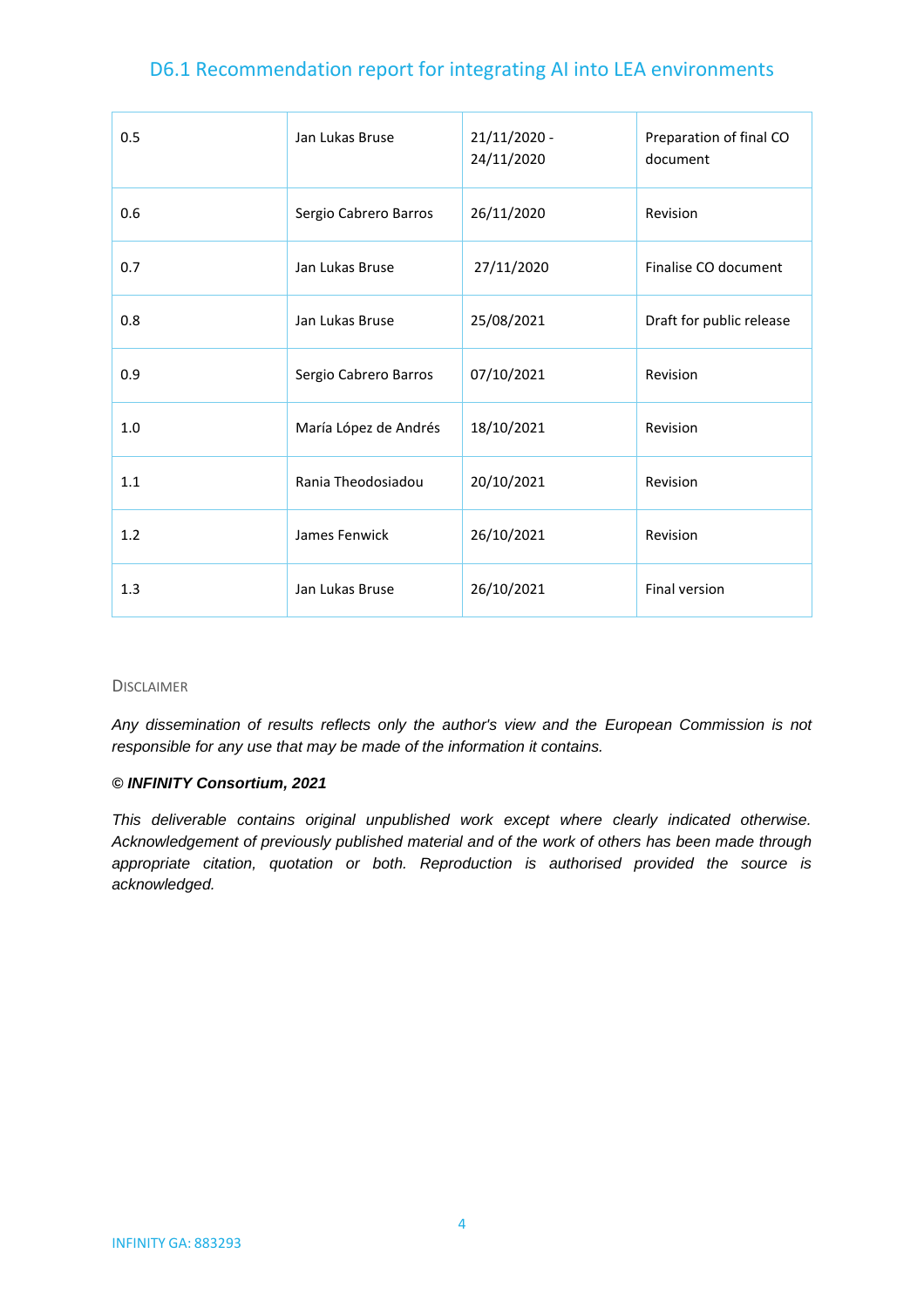| 0.5 | Jan Lukas Bruse       | $21/11/2020 -$<br>24/11/2020 | Preparation of final CO<br>document |
|-----|-----------------------|------------------------------|-------------------------------------|
| 0.6 | Sergio Cabrero Barros | 26/11/2020                   | Revision                            |
| 0.7 | Jan Lukas Bruse       | 27/11/2020                   | Finalise CO document                |
| 0.8 | Jan Lukas Bruse       | 25/08/2021                   | Draft for public release            |
| 0.9 | Sergio Cabrero Barros | 07/10/2021                   | Revision                            |
| 1.0 | María López de Andrés | 18/10/2021                   | Revision                            |
| 1.1 | Rania Theodosiadou    | 20/10/2021                   | Revision                            |
| 1.2 | James Fenwick         | 26/10/2021                   | Revision                            |
| 1.3 | Jan Lukas Bruse       | 26/10/2021                   | Final version                       |

#### DISCLAIMER

*Any dissemination of results reflects only the author's view and the European Commission is not responsible for any use that may be made of the information it contains.*

#### *© INFINITY Consortium, 2021*

*This deliverable contains original unpublished work except where clearly indicated otherwise. Acknowledgement of previously published material and of the work of others has been made through appropriate citation, quotation or both. Reproduction is authorised provided the source is acknowledged.*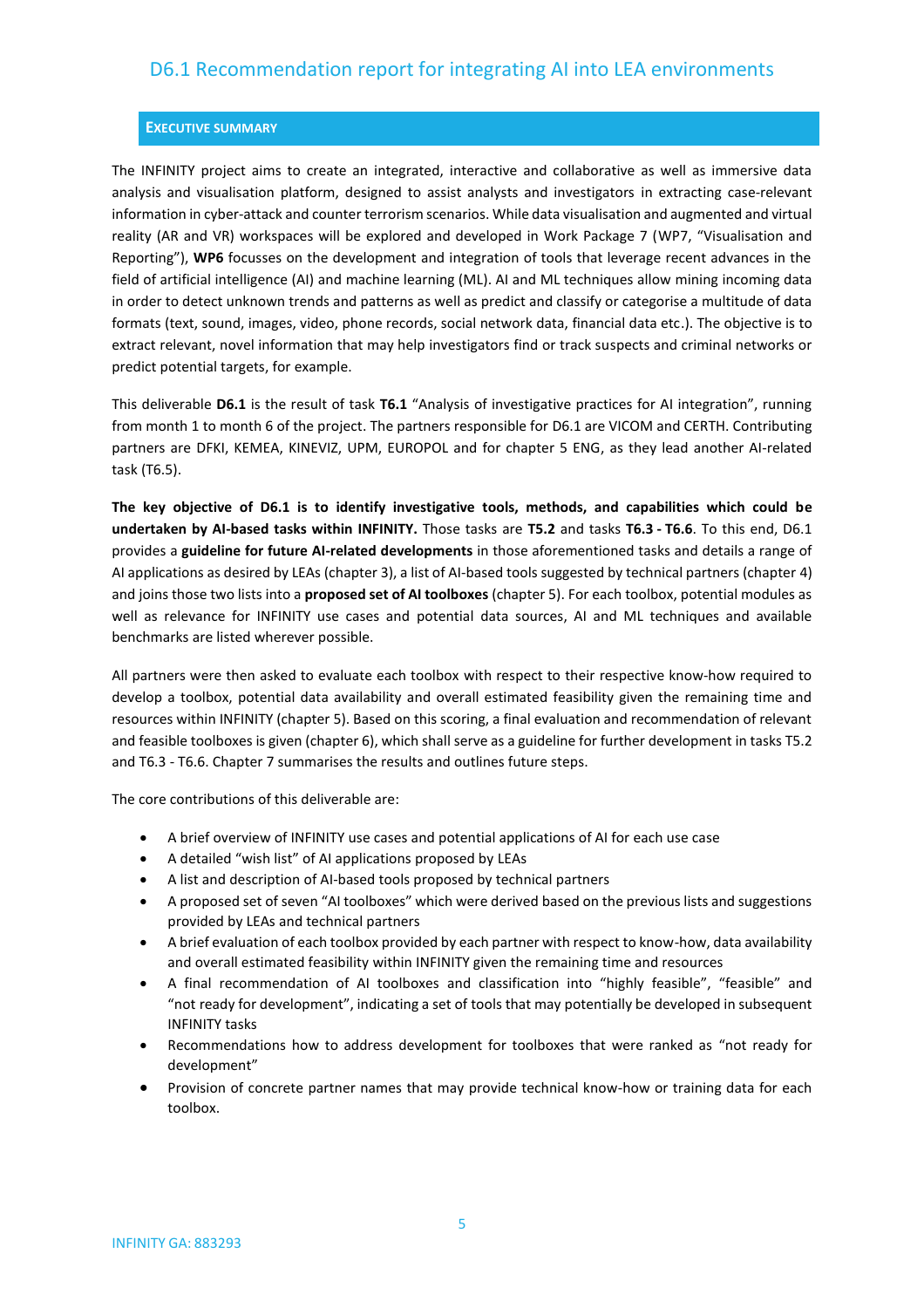#### <span id="page-4-0"></span>**EXECUTIVE SUMMARY**

The INFINITY project aims to create an integrated, interactive and collaborative as well as immersive data analysis and visualisation platform, designed to assist analysts and investigators in extracting case-relevant information in cyber-attack and counter terrorism scenarios. While data visualisation and augmented and virtual reality (AR and VR) workspaces will be explored and developed in Work Package 7 (WP7, "Visualisation and Reporting"), **WP6** focusses on the development and integration of tools that leverage recent advances in the field of artificial intelligence (AI) and machine learning (ML). AI and ML techniques allow mining incoming data in order to detect unknown trends and patterns as well as predict and classify or categorise a multitude of data formats (text, sound, images, video, phone records, social network data, financial data etc.). The objective is to extract relevant, novel information that may help investigators find or track suspects and criminal networks or predict potential targets, for example.

This deliverable **D6.1** is the result of task **T6.1** "Analysis of investigative practices for AI integration", running from month 1 to month 6 of the project. The partners responsible for D6.1 are VICOM and CERTH. Contributing partners are DFKI, KEMEA, KINEVIZ, UPM, EUROPOL and for chapter 5 ENG, as they lead another AI-related task (T6.5).

**The key objective of D6.1 is to identify investigative tools, methods, and capabilities which could be undertaken by AI-based tasks within INFINITY.** Those tasks are **T5.2** and tasks **T6.3 - T6.6**. To this end, D6.1 provides a **guideline for future AI-related developments** in those aforementioned tasks and details a range of AI applications as desired by LEAs (chapter 3), a list of AI-based tools suggested by technical partners (chapter 4) and joins those two lists into a **proposed set of AI toolboxes** (chapter 5). For each toolbox, potential modules as well as relevance for INFINITY use cases and potential data sources, AI and ML techniques and available benchmarks are listed wherever possible.

All partners were then asked to evaluate each toolbox with respect to their respective know-how required to develop a toolbox, potential data availability and overall estimated feasibility given the remaining time and resources within INFINITY (chapter 5). Based on this scoring, a final evaluation and recommendation of relevant and feasible toolboxes is given (chapter 6), which shall serve as a guideline for further development in tasks T5.2 and T6.3 - T6.6. Chapter 7 summarises the results and outlines future steps.

The core contributions of this deliverable are:

- A brief overview of INFINITY use cases and potential applications of AI for each use case
- A detailed "wish list" of AI applications proposed by LEAs
- A list and description of AI-based tools proposed by technical partners
- A proposed set of seven "AI toolboxes" which were derived based on the previous lists and suggestions provided by LEAs and technical partners
- A brief evaluation of each toolbox provided by each partner with respect to know-how, data availability and overall estimated feasibility within INFINITY given the remaining time and resources
- A final recommendation of AI toolboxes and classification into "highly feasible", "feasible" and "not ready for development", indicating a set of tools that may potentially be developed in subsequent INFINITY tasks
- Recommendations how to address development for toolboxes that were ranked as "not ready for development"
- Provision of concrete partner names that may provide technical know-how or training data for each toolbox.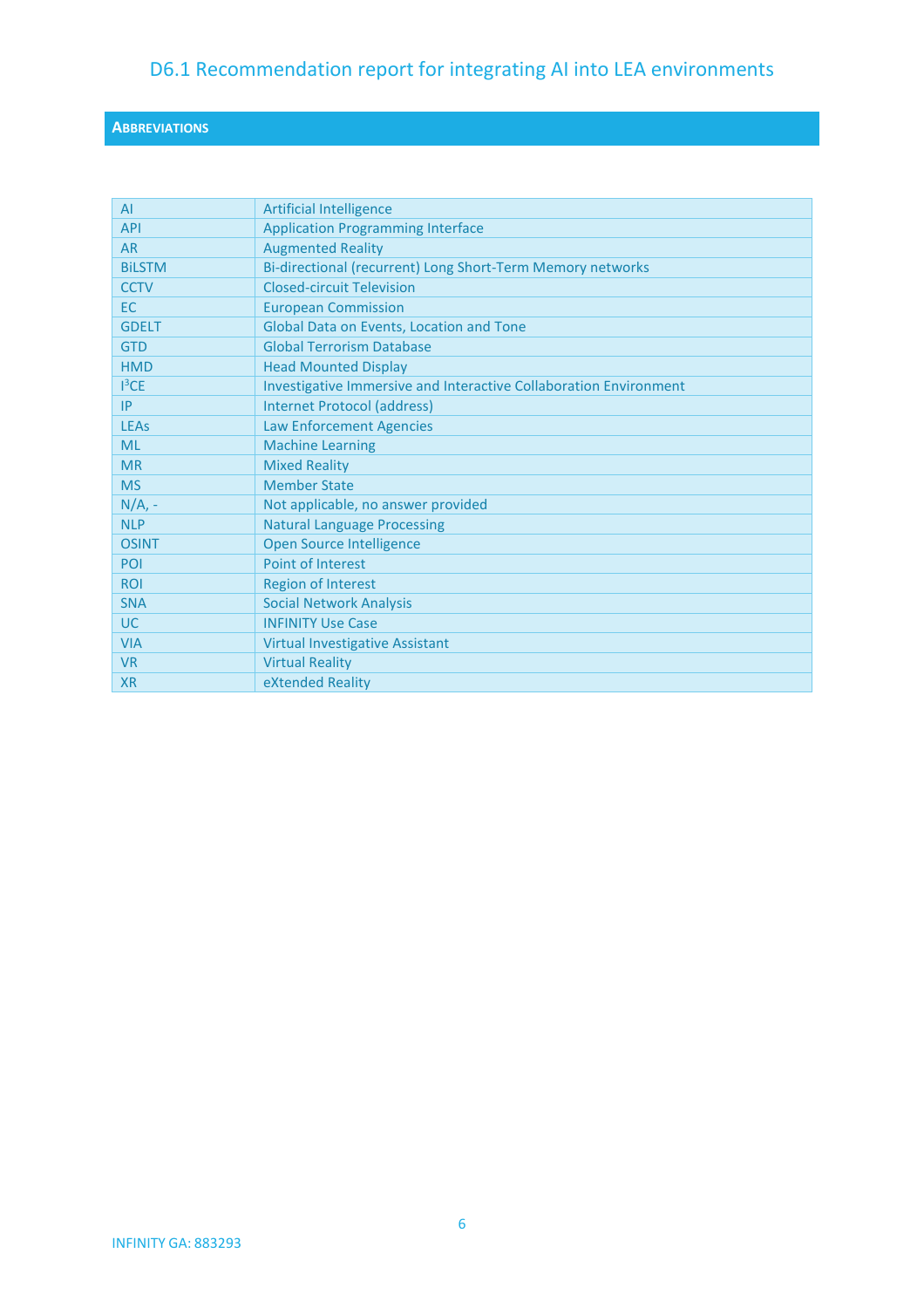### <span id="page-5-0"></span>**ABBREVIATIONS**

| AI            | <b>Artificial Intelligence</b>                                    |
|---------------|-------------------------------------------------------------------|
| <b>API</b>    | <b>Application Programming Interface</b>                          |
| <b>AR</b>     | <b>Augmented Reality</b>                                          |
| <b>BILSTM</b> | Bi-directional (recurrent) Long Short-Term Memory networks        |
| <b>CCTV</b>   | <b>Closed-circuit Television</b>                                  |
| <b>EC</b>     | <b>European Commission</b>                                        |
| <b>GDELT</b>  | Global Data on Events, Location and Tone                          |
| <b>GTD</b>    | <b>Global Terrorism Database</b>                                  |
| <b>HMD</b>    | <b>Head Mounted Display</b>                                       |
| $1^3$ CE      | Investigative Immersive and Interactive Collaboration Environment |
| IP            | <b>Internet Protocol (address)</b>                                |
| <b>LEAs</b>   | Law Enforcement Agencies                                          |
| <b>ML</b>     | <b>Machine Learning</b>                                           |
| <b>MR</b>     | <b>Mixed Reality</b>                                              |
| <b>MS</b>     | <b>Member State</b>                                               |
| $N/A$ , -     | Not applicable, no answer provided                                |
| <b>NLP</b>    | <b>Natural Language Processing</b>                                |
| <b>OSINT</b>  | Open Source Intelligence                                          |
| POI           | Point of Interest                                                 |
| <b>ROI</b>    | <b>Region of Interest</b>                                         |
| <b>SNA</b>    | <b>Social Network Analysis</b>                                    |
| <b>UC</b>     | <b>INFINITY Use Case</b>                                          |
| <b>VIA</b>    | <b>Virtual Investigative Assistant</b>                            |
| <b>VR</b>     | <b>Virtual Reality</b>                                            |
| <b>XR</b>     | eXtended Reality                                                  |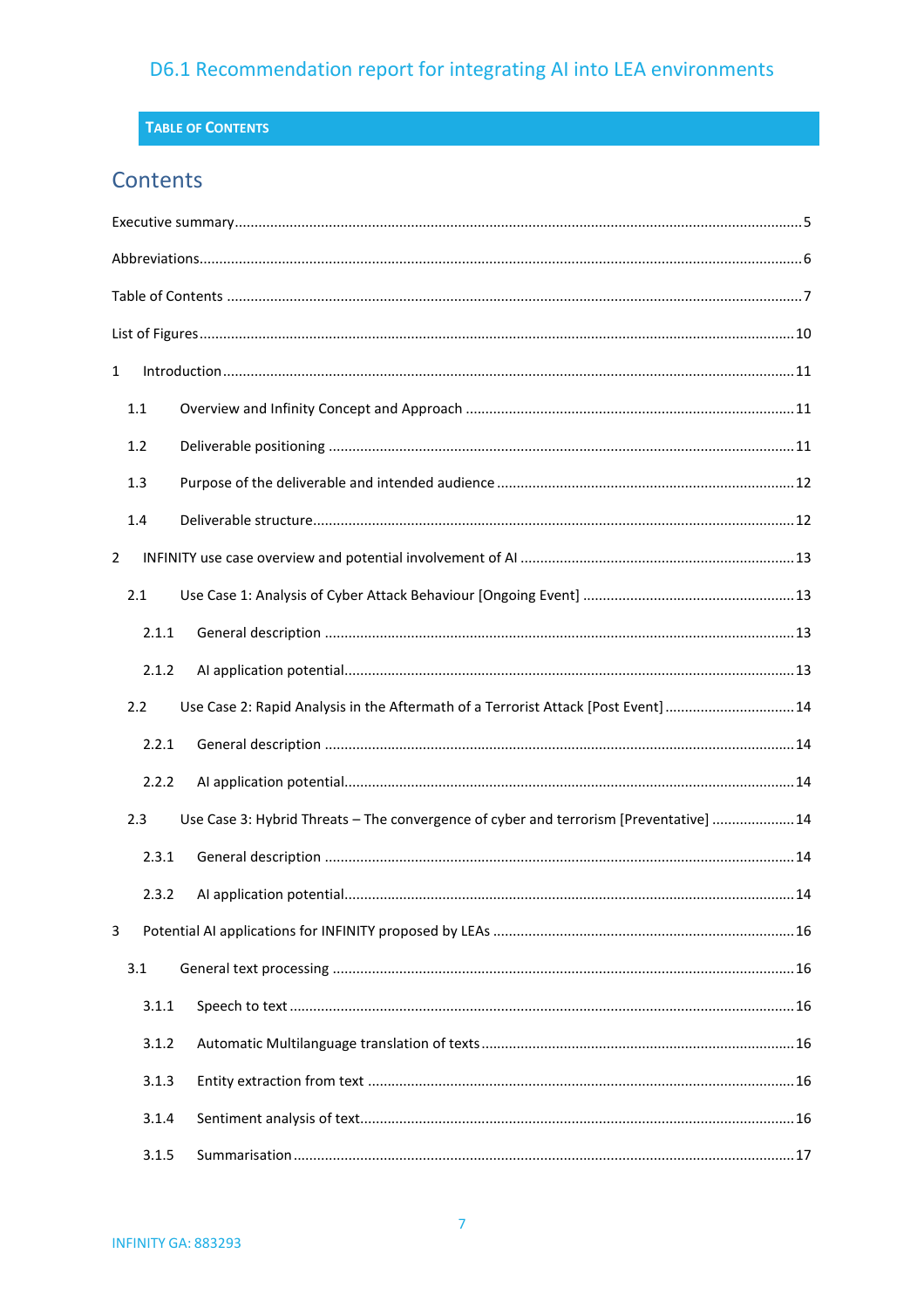### <span id="page-6-0"></span>TABLE OF CONTENTS

## Contents

| $\mathbf{1}$ |         |                                                                                        |  |
|--------------|---------|----------------------------------------------------------------------------------------|--|
|              | $1.1\,$ |                                                                                        |  |
|              | 1.2     |                                                                                        |  |
|              | 1.3     |                                                                                        |  |
|              | 1.4     |                                                                                        |  |
| 2            |         |                                                                                        |  |
|              | 2.1     |                                                                                        |  |
|              | 2.1.1   |                                                                                        |  |
|              | 2.1.2   |                                                                                        |  |
|              | 2.2     | Use Case 2: Rapid Analysis in the Aftermath of a Terrorist Attack [Post Event]14       |  |
|              | 2.2.1   |                                                                                        |  |
|              | 2.2.2   |                                                                                        |  |
|              | 2.3     | Use Case 3: Hybrid Threats - The convergence of cyber and terrorism [Preventative]  14 |  |
|              | 2.3.1   |                                                                                        |  |
|              | 2.3.2   |                                                                                        |  |
| 3            |         |                                                                                        |  |
|              | 3.1     |                                                                                        |  |
|              | 3.1.1   |                                                                                        |  |
|              | 3.1.2   |                                                                                        |  |
|              | 3.1.3   |                                                                                        |  |
|              | 3.1.4   |                                                                                        |  |
|              | 3.1.5   |                                                                                        |  |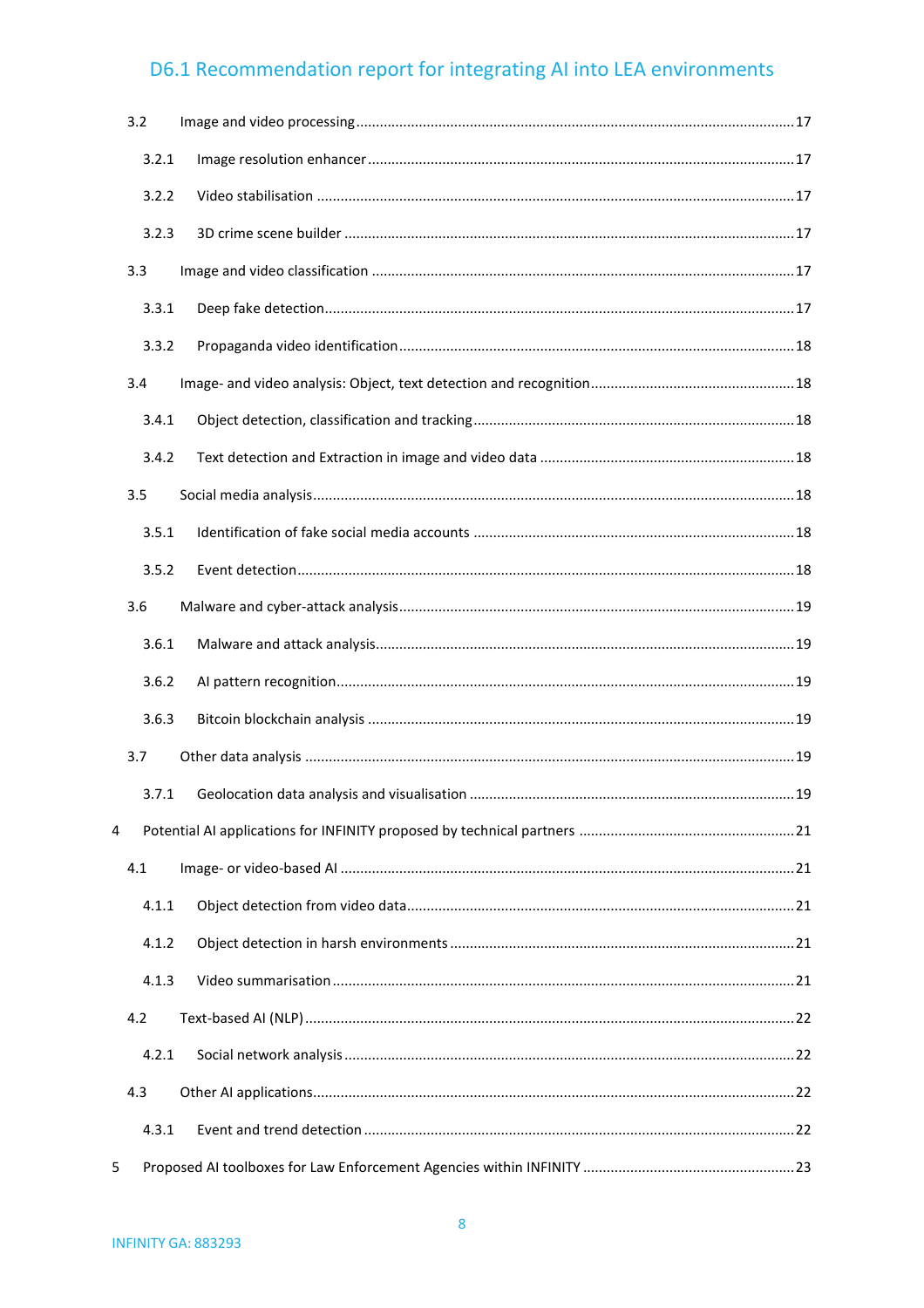| 3.2   |  |
|-------|--|
| 3.2.1 |  |
| 3.2.2 |  |
| 3.2.3 |  |
| 3.3   |  |
| 3.3.1 |  |
| 3.3.2 |  |
| 3.4   |  |
| 3.4.1 |  |
| 3.4.2 |  |
| 3.5   |  |
| 3.5.1 |  |
| 3.5.2 |  |
| 3.6   |  |
| 3.6.1 |  |
| 3.6.2 |  |
| 3.6.3 |  |
| 3.7   |  |
| 3.7.1 |  |
| 4     |  |
| 4.1   |  |
| 4.1.1 |  |
| 4.1.2 |  |
| 4.1.3 |  |
| 4.2   |  |
| 4.2.1 |  |
| 4.3   |  |
| 4.3.1 |  |
| 5.    |  |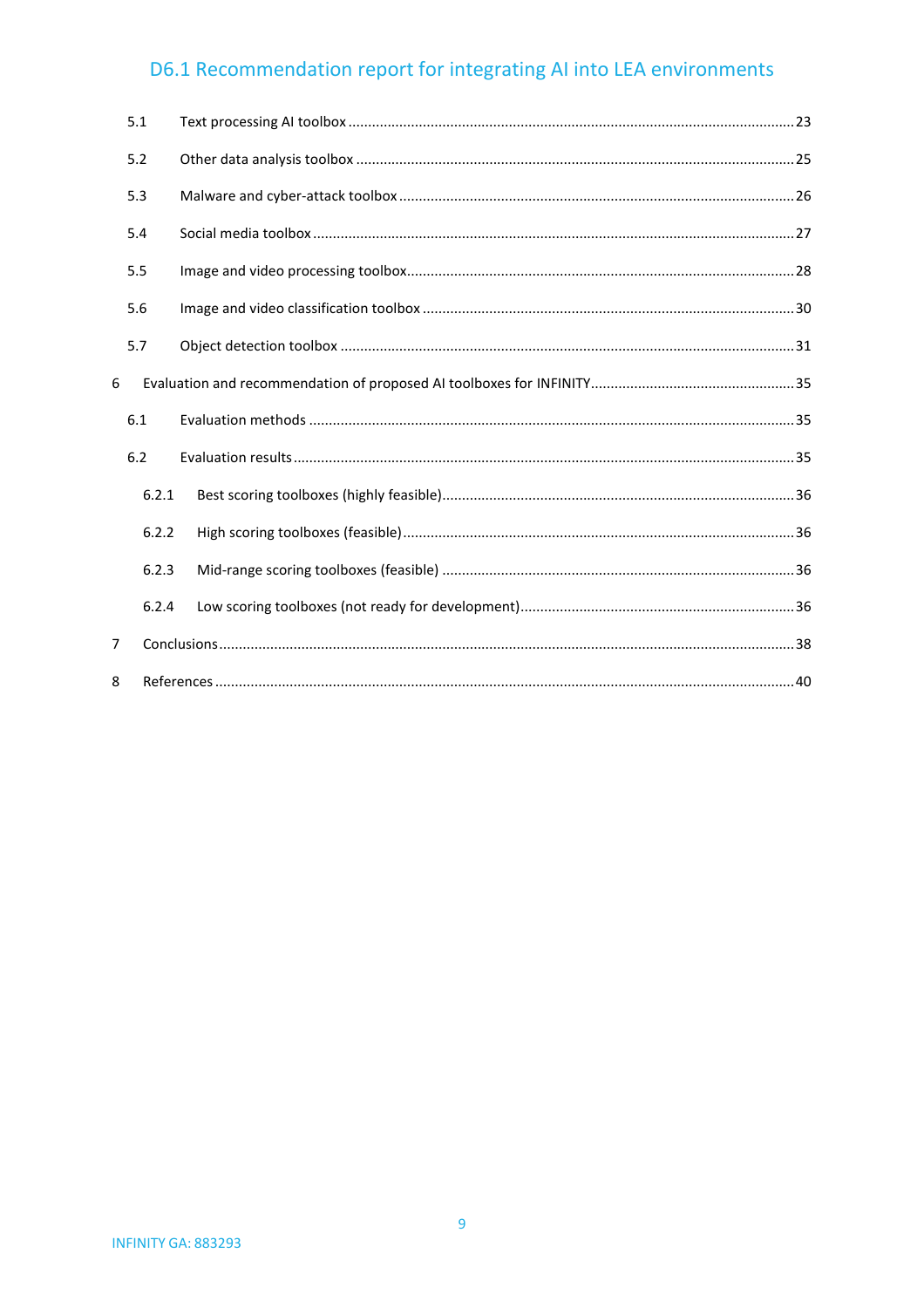|   | 5.1   |  |
|---|-------|--|
|   | 5.2   |  |
|   | 5.3   |  |
|   | 5.4   |  |
|   | 5.5   |  |
|   | 5.6   |  |
|   | 5.7   |  |
| 6 |       |  |
|   | 6.1   |  |
|   | 6.2   |  |
|   | 6.2.1 |  |
|   | 6.2.2 |  |
|   | 6.2.3 |  |
|   | 6.2.4 |  |
| 7 |       |  |
| 8 |       |  |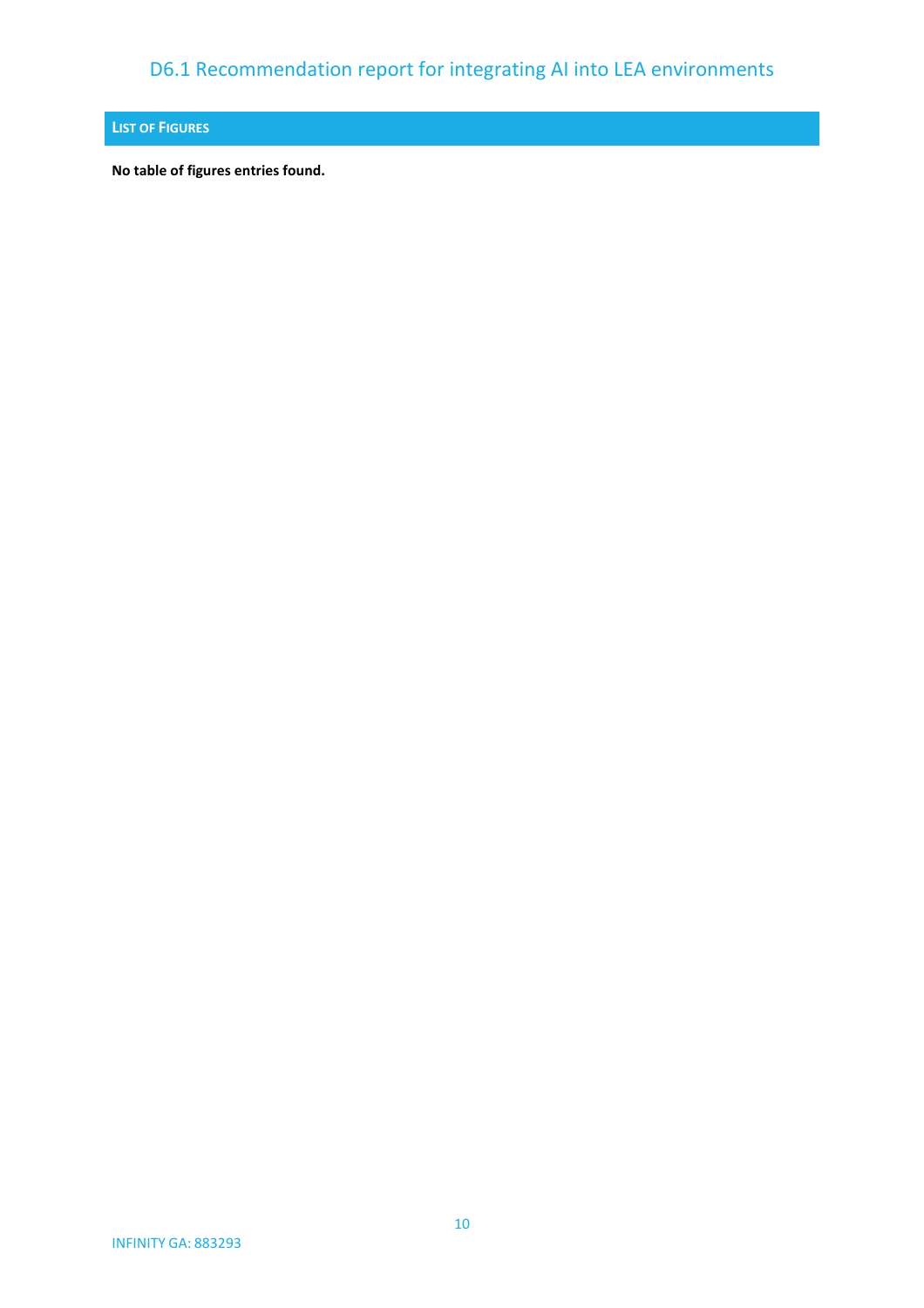### <span id="page-9-0"></span>**LIST OF FIGURES**

**No table of figures entries found.**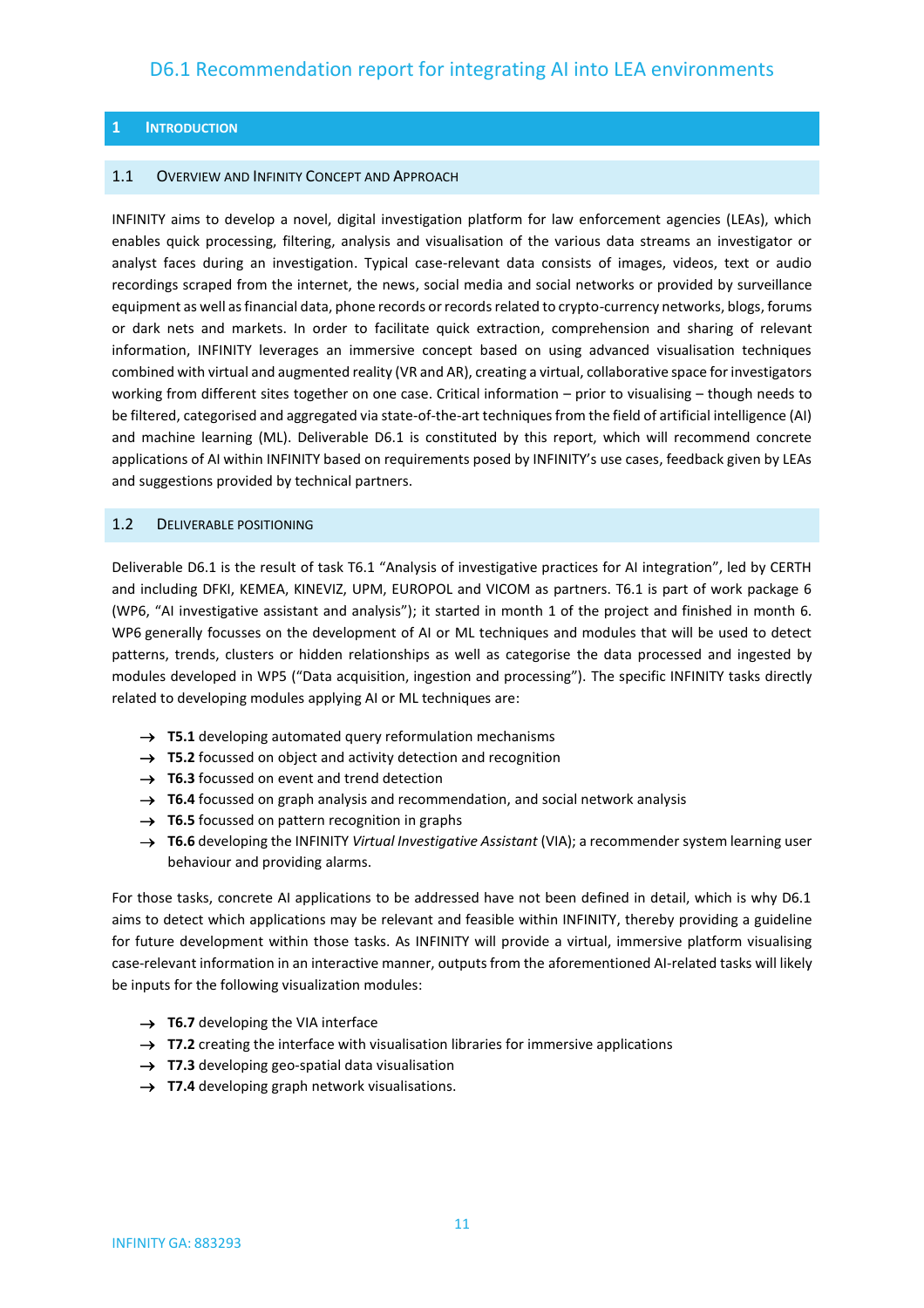#### <span id="page-10-0"></span>**1 INTRODUCTION**

#### <span id="page-10-1"></span>1.1 OVERVIEW AND INFINITY CONCEPT AND APPROACH

INFINITY aims to develop a novel, digital investigation platform for law enforcement agencies (LEAs), which enables quick processing, filtering, analysis and visualisation of the various data streams an investigator or analyst faces during an investigation. Typical case-relevant data consists of images, videos, text or audio recordings scraped from the internet, the news, social media and social networks or provided by surveillance equipment as well as financial data, phone records or records related to crypto-currency networks, blogs, forums or dark nets and markets. In order to facilitate quick extraction, comprehension and sharing of relevant information, INFINITY leverages an immersive concept based on using advanced visualisation techniques combined with virtual and augmented reality (VR and AR), creating a virtual, collaborative space for investigators working from different sites together on one case. Critical information – prior to visualising – though needs to be filtered, categorised and aggregated via state-of-the-art techniques from the field of artificial intelligence (AI) and machine learning (ML). Deliverable D6.1 is constituted by this report, which will recommend concrete applications of AI within INFINITY based on requirements posed by INFINITY's use cases, feedback given by LEAs and suggestions provided by technical partners.

#### <span id="page-10-2"></span>1.2 DELIVERABLE POSITIONING

Deliverable D6.1 is the result of task T6.1 "Analysis of investigative practices for AI integration", led by CERTH and including DFKI, KEMEA, KINEVIZ, UPM, EUROPOL and VICOM as partners. T6.1 is part of work package 6 (WP6, "AI investigative assistant and analysis"); it started in month 1 of the project and finished in month 6. WP6 generally focusses on the development of AI or ML techniques and modules that will be used to detect patterns, trends, clusters or hidden relationships as well as categorise the data processed and ingested by modules developed in WP5 ("Data acquisition, ingestion and processing"). The specific INFINITY tasks directly related to developing modules applying AI or ML techniques are:

- → **T5.1** developing automated query reformulation mechanisms
- → **T5.2** focussed on object and activity detection and recognition
- → **T6.3** focussed on event and trend detection
- → **T6.4** focussed on graph analysis and recommendation, and social network analysis
- → **T6.5** focussed on pattern recognition in graphs
- → **T6.6** developing the INFINITY *Virtual Investigative Assistant* (VIA); a recommender system learning user behaviour and providing alarms.

For those tasks, concrete AI applications to be addressed have not been defined in detail, which is why D6.1 aims to detect which applications may be relevant and feasible within INFINITY, thereby providing a guideline for future development within those tasks. As INFINITY will provide a virtual, immersive platform visualising case-relevant information in an interactive manner, outputs from the aforementioned AI-related tasks will likely be inputs for the following visualization modules:

- → **T6.7** developing the VIA interface
- → **T7.2** creating the interface with visualisation libraries for immersive applications
- → **T7.3** developing geo-spatial data visualisation
- → **T7.4** developing graph network visualisations.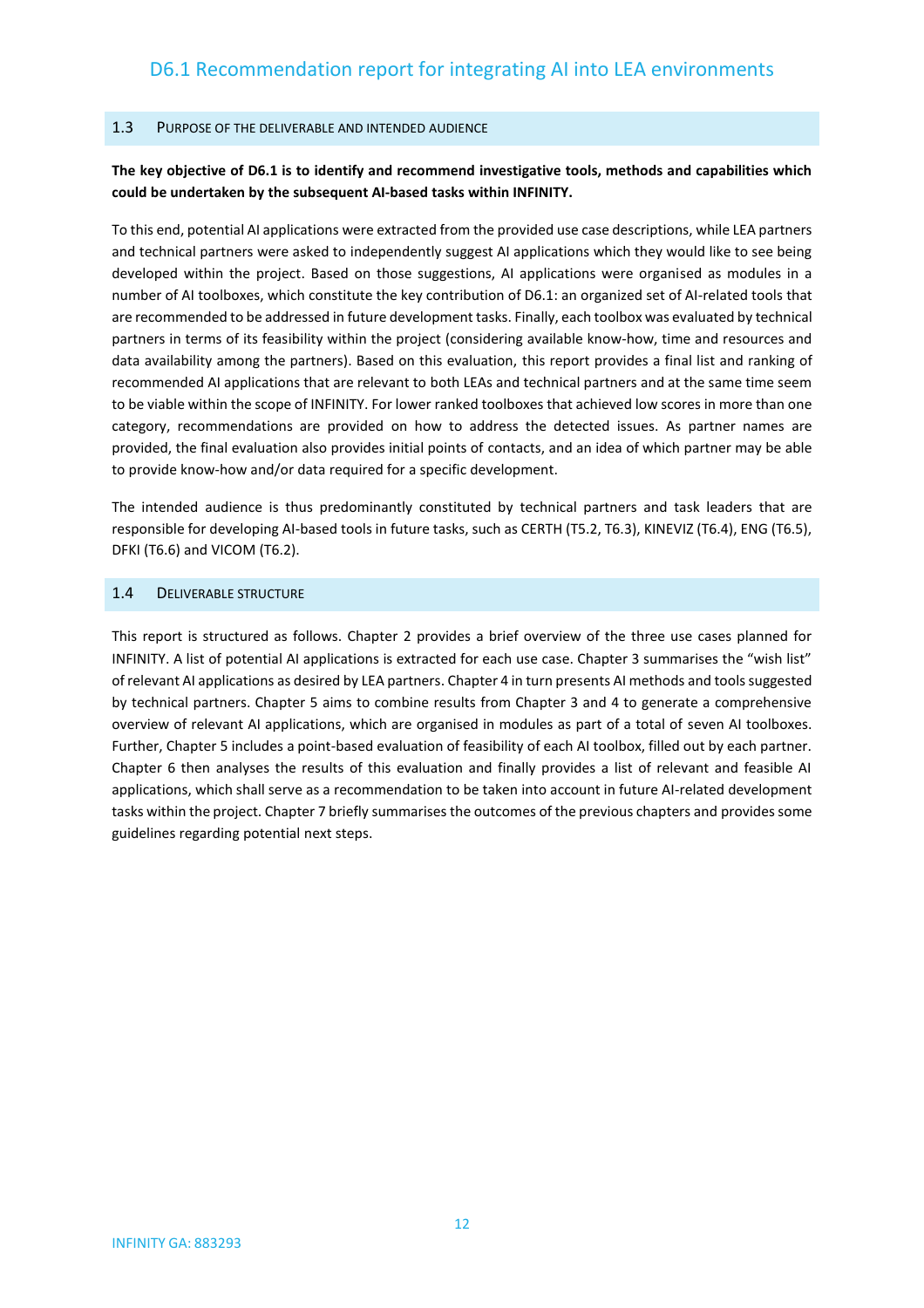#### <span id="page-11-0"></span>1.3 PURPOSE OF THE DELIVERABLE AND INTENDED AUDIENCE

#### **The key objective of D6.1 is to identify and recommend investigative tools, methods and capabilities which could be undertaken by the subsequent AI-based tasks within INFINITY.**

To this end, potential AI applications were extracted from the provided use case descriptions, while LEA partners and technical partners were asked to independently suggest AI applications which they would like to see being developed within the project. Based on those suggestions, AI applications were organised as modules in a number of AI toolboxes, which constitute the key contribution of D6.1: an organized set of AI-related tools that are recommended to be addressed in future development tasks. Finally, each toolbox was evaluated by technical partners in terms of its feasibility within the project (considering available know-how, time and resources and data availability among the partners). Based on this evaluation, this report provides a final list and ranking of recommended AI applications that are relevant to both LEAs and technical partners and at the same time seem to be viable within the scope of INFINITY. For lower ranked toolboxes that achieved low scores in more than one category, recommendations are provided on how to address the detected issues. As partner names are provided, the final evaluation also provides initial points of contacts, and an idea of which partner may be able to provide know-how and/or data required for a specific development.

The intended audience is thus predominantly constituted by technical partners and task leaders that are responsible for developing AI-based tools in future tasks, such as CERTH (T5.2, T6.3), KINEVIZ (T6.4), ENG (T6.5), DFKI (T6.6) and VICOM (T6.2).

#### <span id="page-11-1"></span>1.4 DELIVERABLE STRUCTURE

This report is structured as follows. Chapter 2 provides a brief overview of the three use cases planned for INFINITY. A list of potential AI applications is extracted for each use case. Chapter 3 summarises the "wish list" of relevant AI applications as desired by LEA partners. Chapter 4 in turn presents AI methods and tools suggested by technical partners. Chapter 5 aims to combine results from Chapter 3 and 4 to generate a comprehensive overview of relevant AI applications, which are organised in modules as part of a total of seven AI toolboxes. Further, Chapter 5 includes a point-based evaluation of feasibility of each AI toolbox, filled out by each partner. Chapter 6 then analyses the results of this evaluation and finally provides a list of relevant and feasible AI applications, which shall serve as a recommendation to be taken into account in future AI-related development tasks within the project. Chapter 7 briefly summarises the outcomes of the previous chapters and provides some guidelines regarding potential next steps.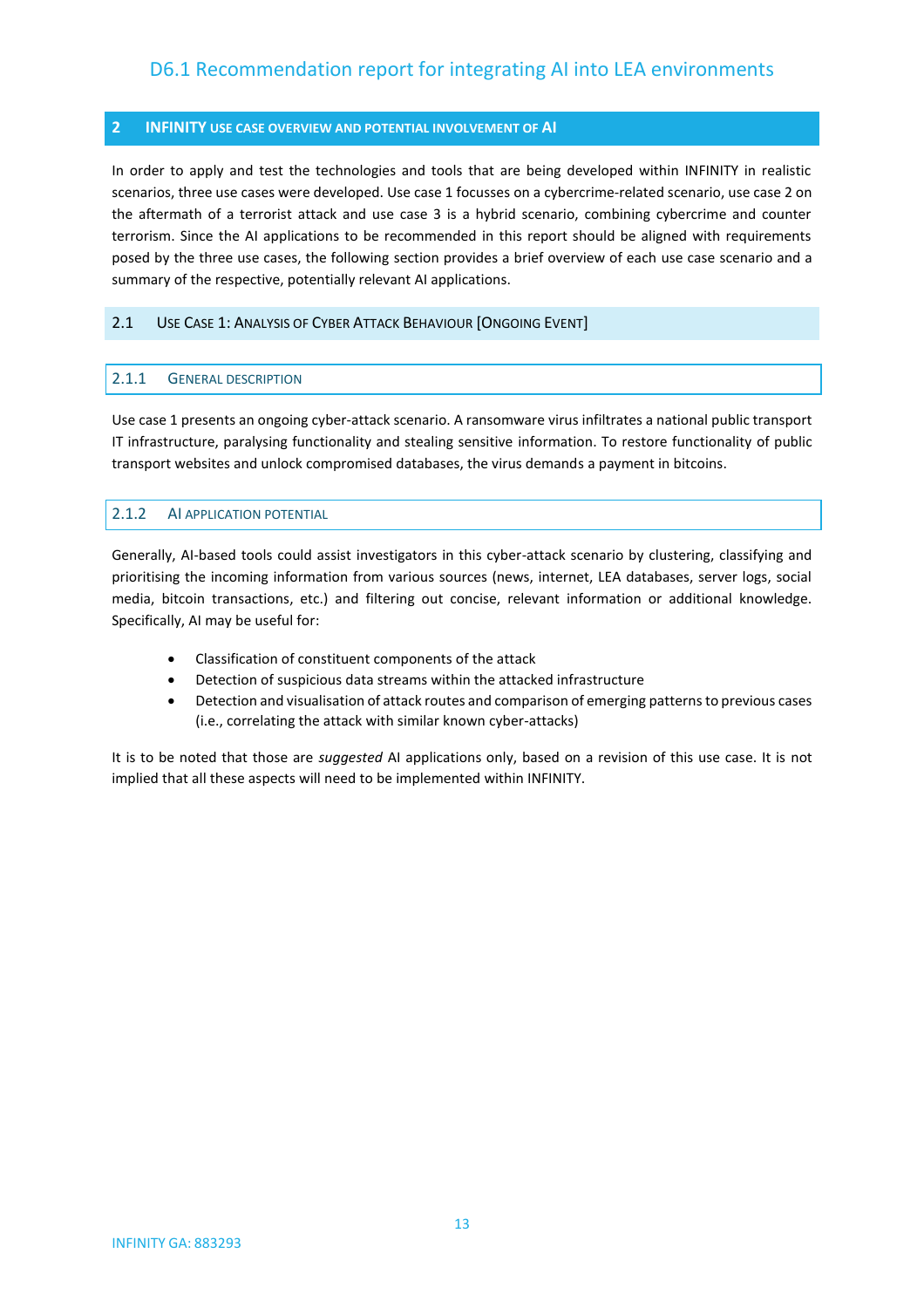#### <span id="page-12-0"></span>**2 INFINITY USE CASE OVERVIEW AND POTENTIAL INVOLVEMENT OF AI**

In order to apply and test the technologies and tools that are being developed within INFINITY in realistic scenarios, three use cases were developed. Use case 1 focusses on a cybercrime-related scenario, use case 2 on the aftermath of a terrorist attack and use case 3 is a hybrid scenario, combining cybercrime and counter terrorism. Since the AI applications to be recommended in this report should be aligned with requirements posed by the three use cases, the following section provides a brief overview of each use case scenario and a summary of the respective, potentially relevant AI applications.

#### <span id="page-12-2"></span><span id="page-12-1"></span>2.1 USE CASE 1: ANALYSIS OF CYBER ATTACK BEHAVIOUR [ONGOING EVENT]

#### 2.1.1 GENERAL DESCRIPTION

Use case 1 presents an ongoing cyber-attack scenario. A ransomware virus infiltrates a national public transport IT infrastructure, paralysing functionality and stealing sensitive information. To restore functionality of public transport websites and unlock compromised databases, the virus demands a payment in bitcoins.

#### <span id="page-12-3"></span>2.1.2 AI APPLICATION POTENTIAL

Generally, AI-based tools could assist investigators in this cyber-attack scenario by clustering, classifying and prioritising the incoming information from various sources (news, internet, LEA databases, server logs, social media, bitcoin transactions, etc.) and filtering out concise, relevant information or additional knowledge. Specifically, AI may be useful for:

- Classification of constituent components of the attack
- Detection of suspicious data streams within the attacked infrastructure
- Detection and visualisation of attack routes and comparison of emerging patterns to previous cases (i.e., correlating the attack with similar known cyber-attacks)

It is to be noted that those are *suggested* AI applications only, based on a revision of this use case. It is not implied that all these aspects will need to be implemented within INFINITY.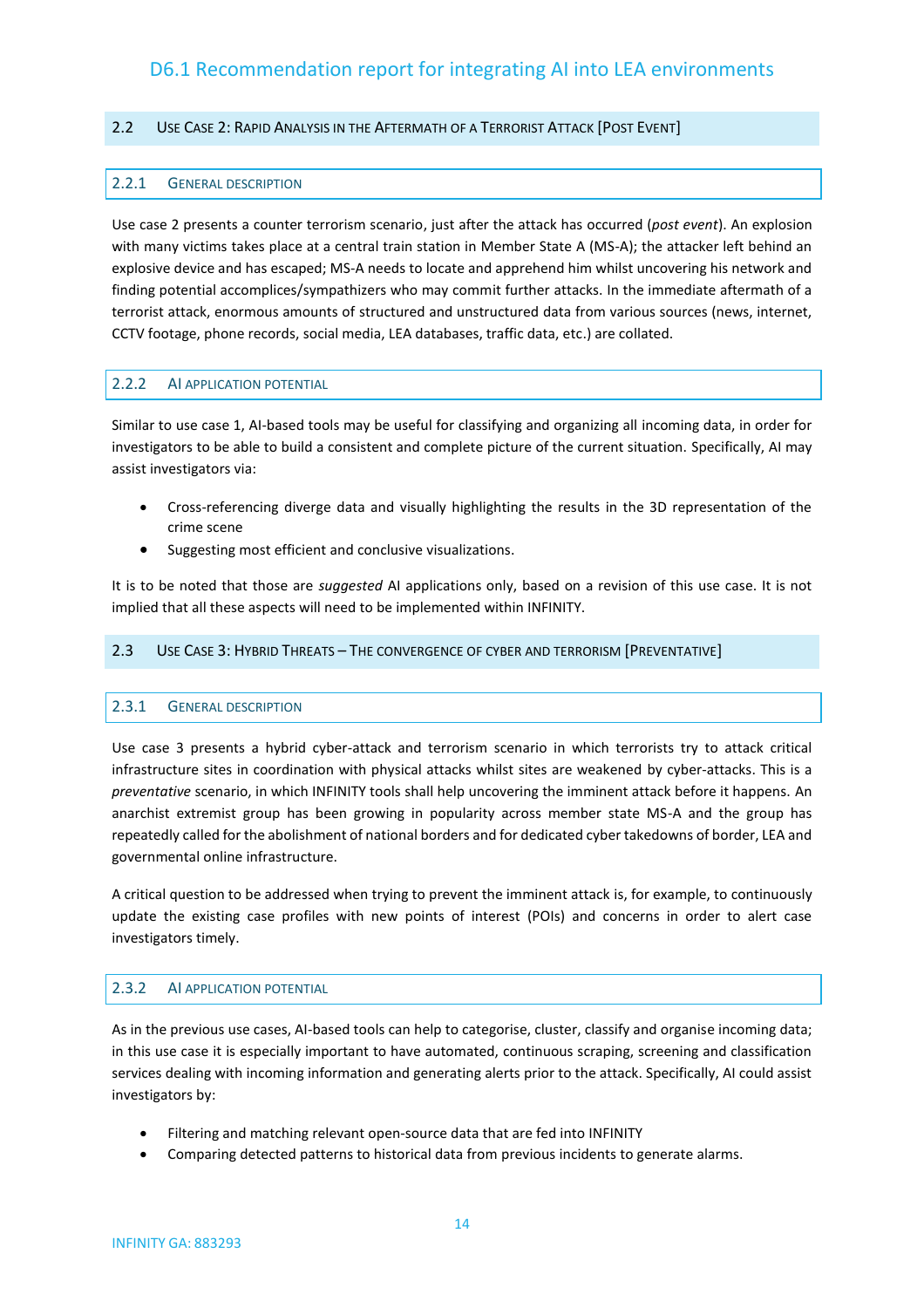#### <span id="page-13-1"></span><span id="page-13-0"></span>2.2 USE CASE 2: RAPID ANALYSIS IN THE AFTERMATH OF A TERRORIST ATTACK [POST EVENT]

#### 2.2.1 GENERAL DESCRIPTION

Use case 2 presents a counter terrorism scenario, just after the attack has occurred (*post event*). An explosion with many victims takes place at a central train station in Member State A (MS-A); the attacker left behind an explosive device and has escaped; MS-A needs to locate and apprehend him whilst uncovering his network and finding potential accomplices/sympathizers who may commit further attacks. In the immediate aftermath of a terrorist attack, enormous amounts of structured and unstructured data from various sources (news, internet, CCTV footage, phone records, social media, LEA databases, traffic data, etc.) are collated.

#### <span id="page-13-2"></span>2.2.2 AI APPLICATION POTENTIAL

Similar to use case 1, AI-based tools may be useful for classifying and organizing all incoming data, in order for investigators to be able to build a consistent and complete picture of the current situation. Specifically, AI may assist investigators via:

- Cross-referencing diverge data and visually highlighting the results in the 3D representation of the crime scene
- Suggesting most efficient and conclusive visualizations.

It is to be noted that those are *suggested* AI applications only, based on a revision of this use case. It is not implied that all these aspects will need to be implemented within INFINITY.

#### <span id="page-13-4"></span><span id="page-13-3"></span>2.3 USE CASE 3: HYBRID THREATS – THE CONVERGENCE OF CYBER AND TERRORISM [PREVENTATIVE]

#### 2.3.1 GENERAL DESCRIPTION

Use case 3 presents a hybrid cyber-attack and terrorism scenario in which terrorists try to attack critical infrastructure sites in coordination with physical attacks whilst sites are weakened by cyber-attacks. This is a *preventative* scenario, in which INFINITY tools shall help uncovering the imminent attack before it happens. An anarchist extremist group has been growing in popularity across member state MS-A and the group has repeatedly called for the abolishment of national borders and for dedicated cyber takedowns of border, LEA and governmental online infrastructure.

A critical question to be addressed when trying to prevent the imminent attack is, for example, to continuously update the existing case profiles with new points of interest (POIs) and concerns in order to alert case investigators timely.

#### <span id="page-13-5"></span>2.3.2 AI APPLICATION POTENTIAL

As in the previous use cases, AI-based tools can help to categorise, cluster, classify and organise incoming data; in this use case it is especially important to have automated, continuous scraping, screening and classification services dealing with incoming information and generating alerts prior to the attack. Specifically, AI could assist investigators by:

- Filtering and matching relevant open-source data that are fed into INFINITY
- Comparing detected patterns to historical data from previous incidents to generate alarms.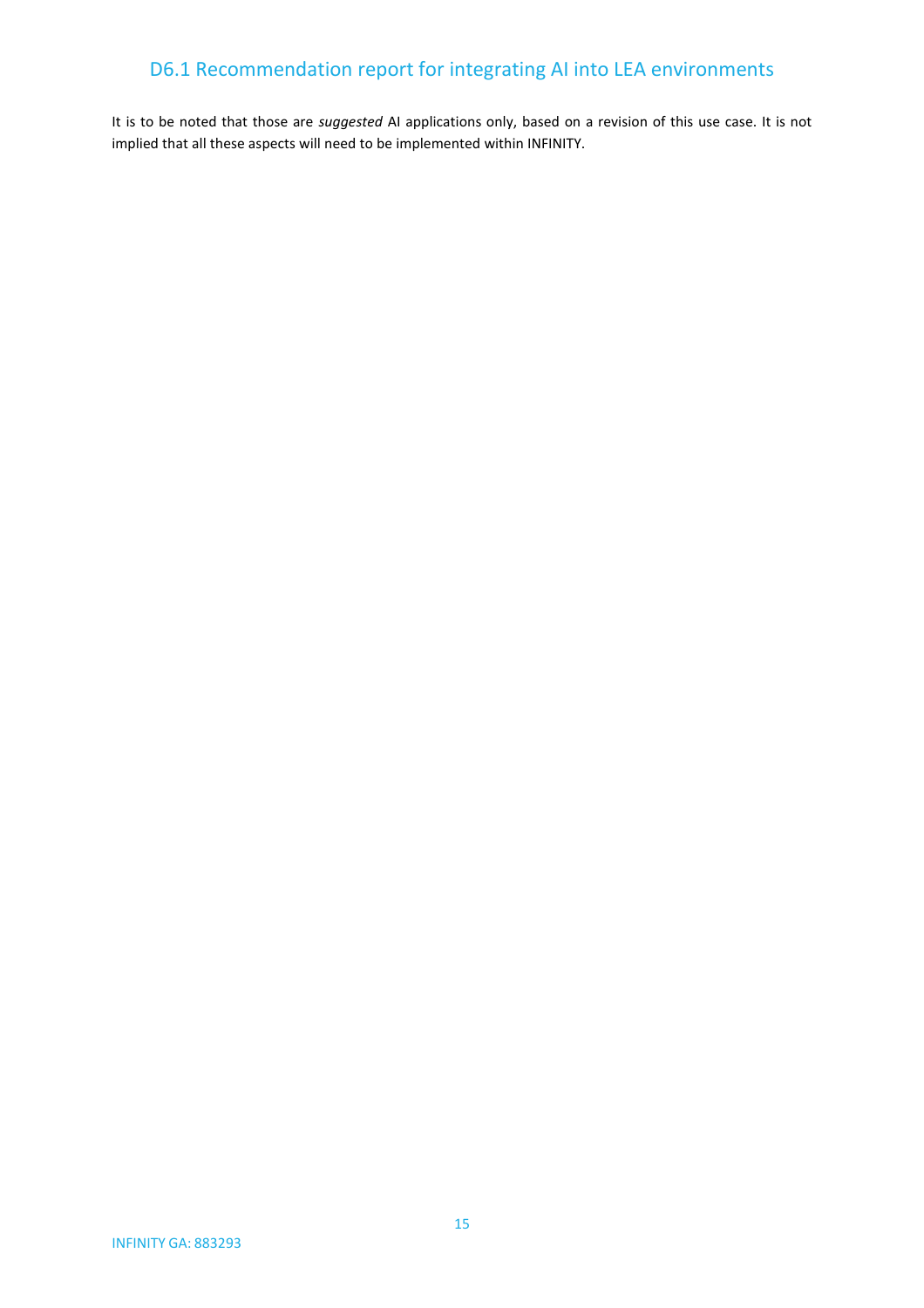It is to be noted that those are *suggested* AI applications only, based on a revision of this use case. It is not implied that all these aspects will need to be implemented within INFINITY.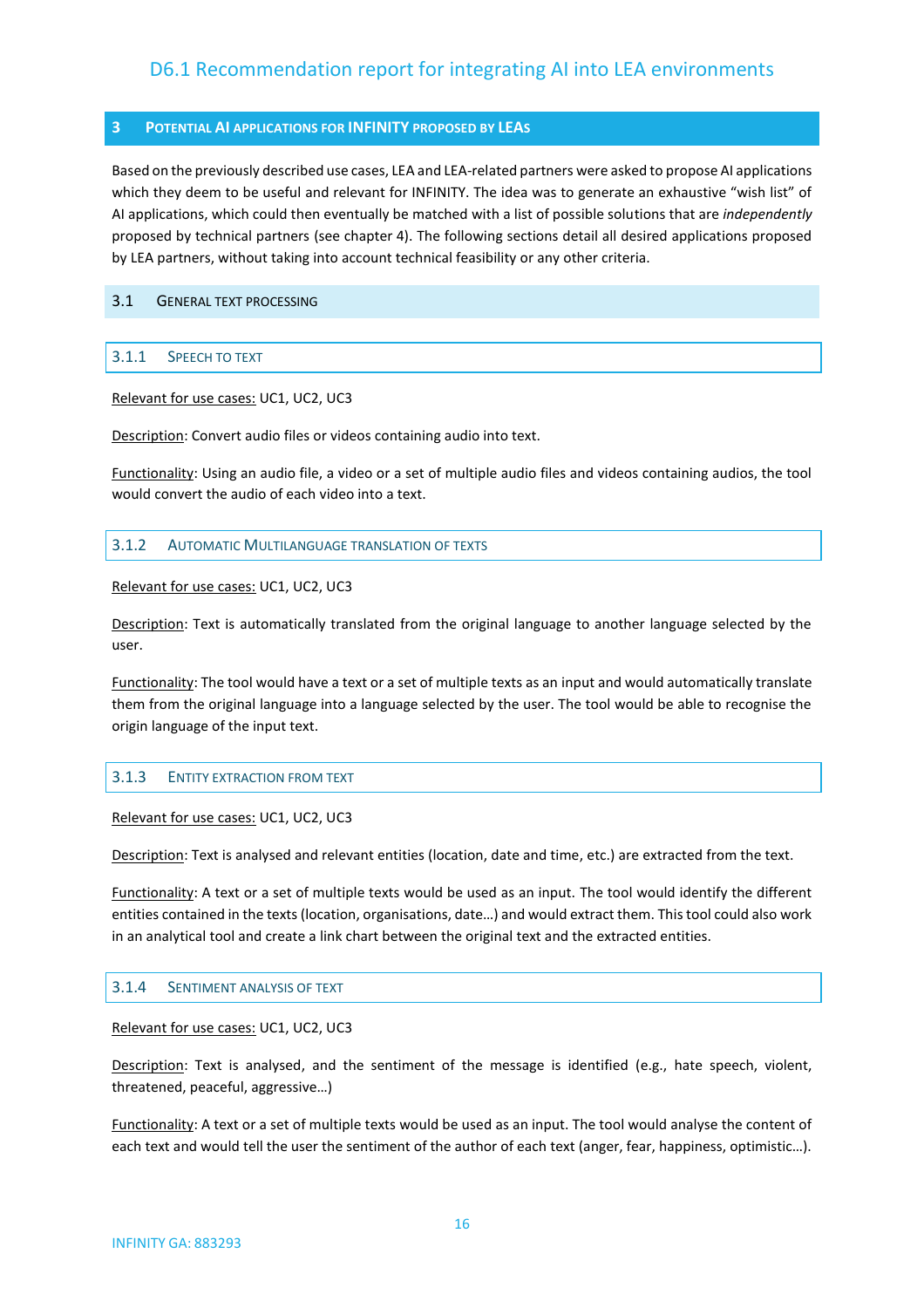#### <span id="page-15-0"></span>**3 POTENTIAL AI APPLICATIONS FOR INFINITY PROPOSED BY LEAS**

Based on the previously described use cases, LEA and LEA-related partners were asked to propose AI applications which they deem to be useful and relevant for INFINITY. The idea was to generate an exhaustive "wish list" of AI applications, which could then eventually be matched with a list of possible solutions that are *independently* proposed by technical partners (see chapter 4). The following sections detail all desired applications proposed by LEA partners, without taking into account technical feasibility or any other criteria.

#### <span id="page-15-2"></span><span id="page-15-1"></span>3.1 GENERAL TEXT PROCESSING

#### 3.1.1 SPEECH TO TEXT

Relevant for use cases: UC1, UC2, UC3

Description: Convert audio files or videos containing audio into text.

Functionality: Using an audio file, a video or a set of multiple audio files and videos containing audios, the tool would convert the audio of each video into a text.

#### <span id="page-15-3"></span>3.1.2 AUTOMATIC MULTILANGUAGE TRANSLATION OF TEXTS

Relevant for use cases: UC1, UC2, UC3

Description: Text is automatically translated from the original language to another language selected by the user.

Functionality: The tool would have a text or a set of multiple texts as an input and would automatically translate them from the original language into a language selected by the user. The tool would be able to recognise the origin language of the input text.

#### <span id="page-15-4"></span>3.1.3 ENTITY EXTRACTION FROM TEXT

Relevant for use cases: UC1, UC2, UC3

Description: Text is analysed and relevant entities (location, date and time, etc.) are extracted from the text.

Functionality: A text or a set of multiple texts would be used as an input. The tool would identify the different entities contained in the texts (location, organisations, date…) and would extract them. This tool could also work in an analytical tool and create a link chart between the original text and the extracted entities.

#### <span id="page-15-5"></span>3.1.4 SENTIMENT ANALYSIS OF TEXT

Relevant for use cases: UC1, UC2, UC3

Description: Text is analysed, and the sentiment of the message is identified (e.g., hate speech, violent, threatened, peaceful, aggressive…)

Functionality: A text or a set of multiple texts would be used as an input. The tool would analyse the content of each text and would tell the user the sentiment of the author of each text (anger, fear, happiness, optimistic…).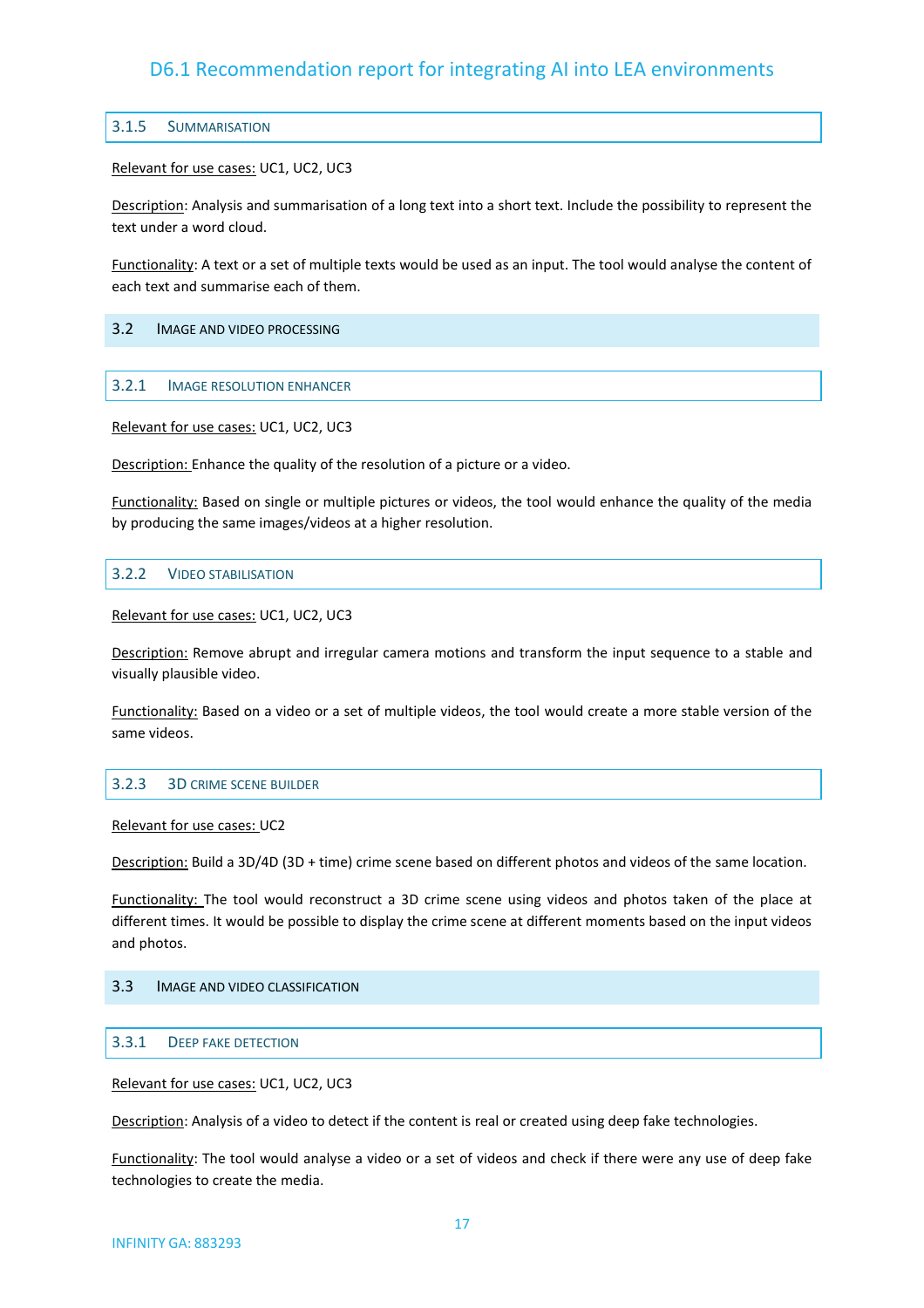#### <span id="page-16-0"></span>3.1.5 SUMMARISATION

Relevant for use cases: UC1, UC2, UC3

Description: Analysis and summarisation of a long text into a short text. Include the possibility to represent the text under a word cloud.

Functionality: A text or a set of multiple texts would be used as an input. The tool would analyse the content of each text and summarise each of them.

#### <span id="page-16-2"></span><span id="page-16-1"></span>3.2 IMAGE AND VIDEO PROCESSING

#### 3.2.1 IMAGE RESOLUTION ENHANCER

Relevant for use cases: UC1, UC2, UC3

Description: Enhance the quality of the resolution of a picture or a video.

Functionality: Based on single or multiple pictures or videos, the tool would enhance the quality of the media by producing the same images/videos at a higher resolution.

#### <span id="page-16-3"></span>3.2.2 VIDEO STABILISATION

Relevant for use cases: UC1, UC2, UC3

Description: Remove abrupt and irregular camera motions and transform the input sequence to a stable and visually plausible video.

Functionality: Based on a video or a set of multiple videos, the tool would create a more stable version of the same videos.

#### <span id="page-16-4"></span>3.2.3 3D CRIME SCENE BUILDER

Relevant for use cases: UC2

Description: Build a 3D/4D (3D + time) crime scene based on different photos and videos of the same location.

Functionality: The tool would reconstruct a 3D crime scene using videos and photos taken of the place at different times. It would be possible to display the crime scene at different moments based on the input videos and photos.

#### <span id="page-16-6"></span><span id="page-16-5"></span>3.3 IMAGE AND VIDEO CLASSIFICATION

#### 3.3.1 DEEP FAKE DETECTION

Relevant for use cases: UC1, UC2, UC3

Description: Analysis of a video to detect if the content is real or created using deep fake technologies.

Functionality: The tool would analyse a video or a set of videos and check if there were any use of deep fake technologies to create the media.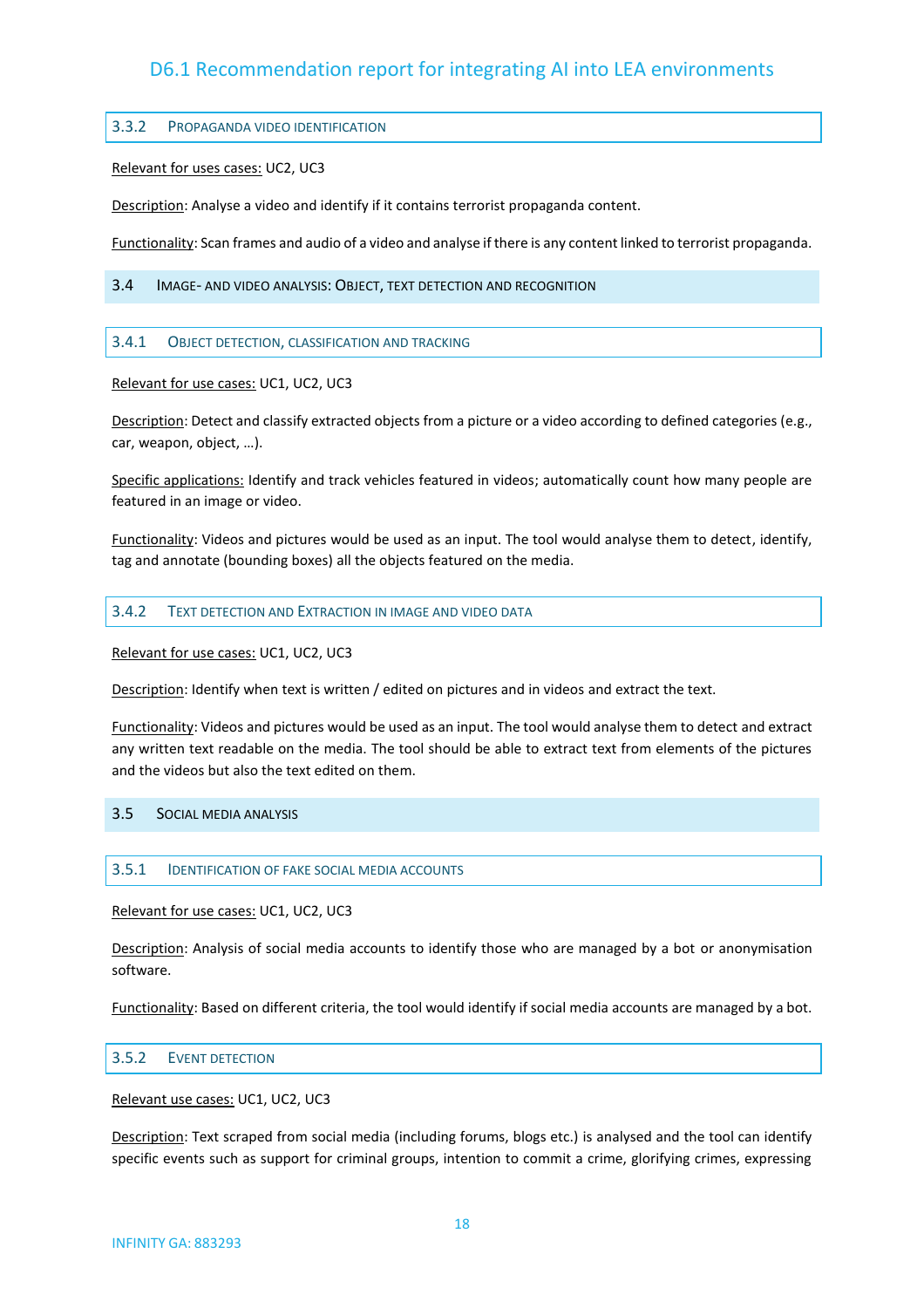#### <span id="page-17-0"></span>3.3.2 PROPAGANDA VIDEO IDENTIFICATION

#### Relevant for uses cases: UC2, UC3

Description: Analyse a video and identify if it contains terrorist propaganda content.

Functionality: Scan frames and audio of a video and analyse if there is any content linked to terrorist propaganda.

<span id="page-17-2"></span><span id="page-17-1"></span>3.4 IMAGE- AND VIDEO ANALYSIS: OBJECT, TEXT DETECTION AND RECOGNITION

#### 3.4.1 OBJECT DETECTION, CLASSIFICATION AND TRACKING

Relevant for use cases: UC1, UC2, UC3

Description: Detect and classify extracted objects from a picture or a video according to defined categories (e.g., car, weapon, object, …).

Specific applications: Identify and track vehicles featured in videos; automatically count how many people are featured in an image or video.

Functionality: Videos and pictures would be used as an input. The tool would analyse them to detect, identify, tag and annotate (bounding boxes) all the objects featured on the media.

#### <span id="page-17-3"></span>3.4.2 TEXT DETECTION AND EXTRACTION IN IMAGE AND VIDEO DATA

Relevant for use cases: UC1, UC2, UC3

Description: Identify when text is written / edited on pictures and in videos and extract the text.

Functionality: Videos and pictures would be used as an input. The tool would analyse them to detect and extract any written text readable on the media. The tool should be able to extract text from elements of the pictures and the videos but also the text edited on them.

#### <span id="page-17-5"></span><span id="page-17-4"></span>3.5 SOCIAL MEDIA ANALYSIS

#### 3.5.1 IDENTIFICATION OF FAKE SOCIAL MEDIA ACCOUNTS

Relevant for use cases: UC1, UC2, UC3

Description: Analysis of social media accounts to identify those who are managed by a bot or anonymisation software.

Functionality: Based on different criteria, the tool would identify if social media accounts are managed by a bot.

#### <span id="page-17-6"></span>3.5.2 EVENT DETECTION

#### Relevant use cases: UC1, UC2, UC3

Description: Text scraped from social media (including forums, blogs etc.) is analysed and the tool can identify specific events such as support for criminal groups, intention to commit a crime, glorifying crimes, expressing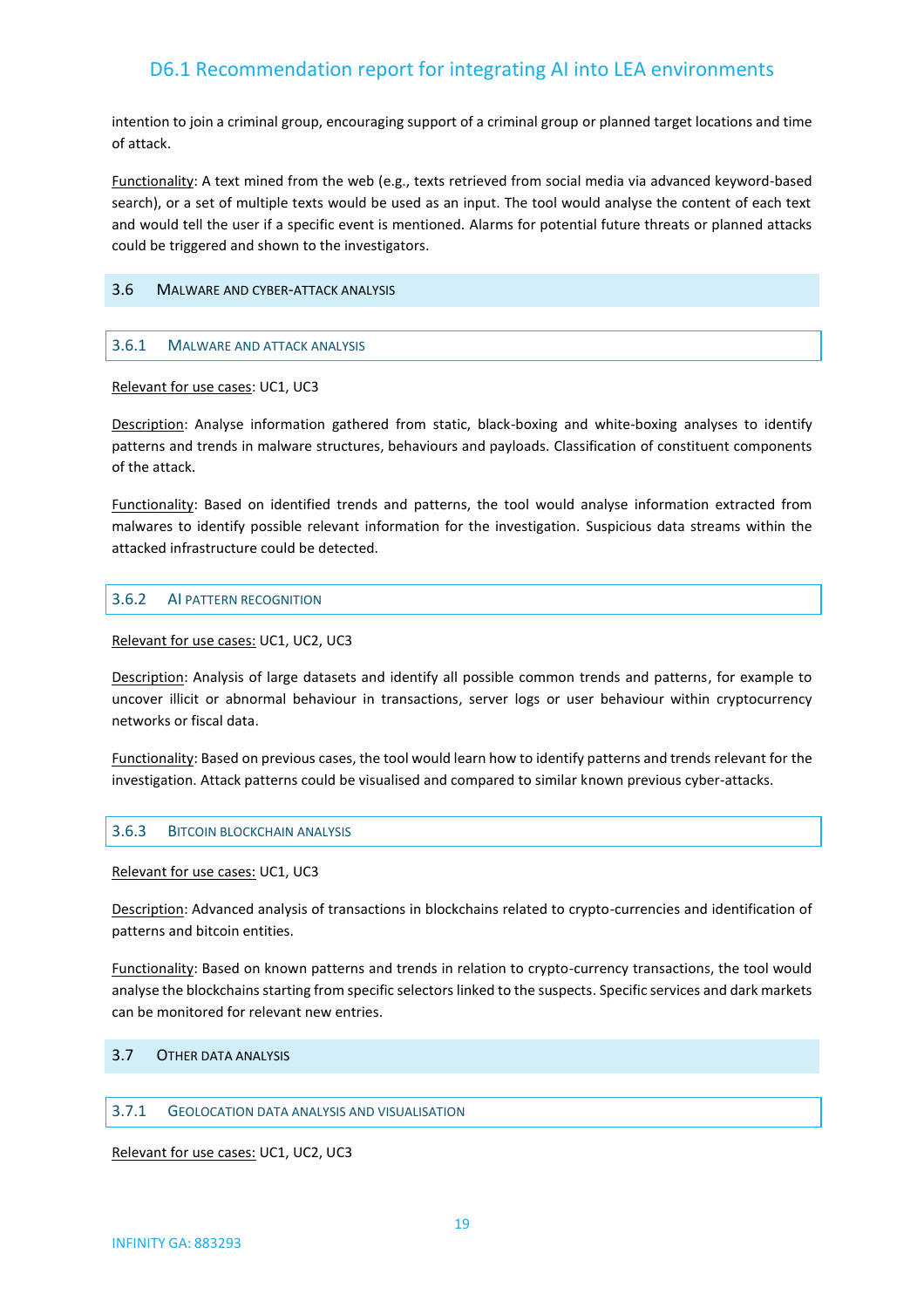intention to join a criminal group, encouraging support of a criminal group or planned target locations and time of attack.

Functionality: A text mined from the web (e.g., texts retrieved from social media via advanced keyword-based search), or a set of multiple texts would be used as an input. The tool would analyse the content of each text and would tell the user if a specific event is mentioned. Alarms for potential future threats or planned attacks could be triggered and shown to the investigators.

#### <span id="page-18-1"></span><span id="page-18-0"></span>3.6 MALWARE AND CYBER-ATTACK ANALYSIS

#### 3.6.1 MALWARE AND ATTACK ANALYSIS

Relevant for use cases: UC1, UC3

Description: Analyse information gathered from static, black-boxing and white-boxing analyses to identify patterns and trends in malware structures, behaviours and payloads. Classification of constituent components of the attack.

Functionality: Based on identified trends and patterns, the tool would analyse information extracted from malwares to identify possible relevant information for the investigation. Suspicious data streams within the attacked infrastructure could be detected.

#### <span id="page-18-2"></span>3.6.2 AI PATTERN RECOGNITION

Relevant for use cases: UC1, UC2, UC3

Description: Analysis of large datasets and identify all possible common trends and patterns, for example to uncover illicit or abnormal behaviour in transactions, server logs or user behaviour within cryptocurrency networks or fiscal data.

Functionality: Based on previous cases, the tool would learn how to identify patterns and trends relevant for the investigation. Attack patterns could be visualised and compared to similar known previous cyber-attacks.

#### <span id="page-18-3"></span>3.6.3 BITCOIN BLOCKCHAIN ANALYSIS

Relevant for use cases: UC1, UC3

Description: Advanced analysis of transactions in blockchains related to crypto-currencies and identification of patterns and bitcoin entities.

Functionality: Based on known patterns and trends in relation to crypto-currency transactions, the tool would analyse the blockchains starting from specific selectors linked to the suspects. Specific services and dark markets can be monitored for relevant new entries.

#### <span id="page-18-5"></span><span id="page-18-4"></span>3.7 OTHER DATA ANALYSIS

#### 3.7.1 GEOLOCATION DATA ANALYSIS AND VISUALISATION

Relevant for use cases: UC1, UC2, UC3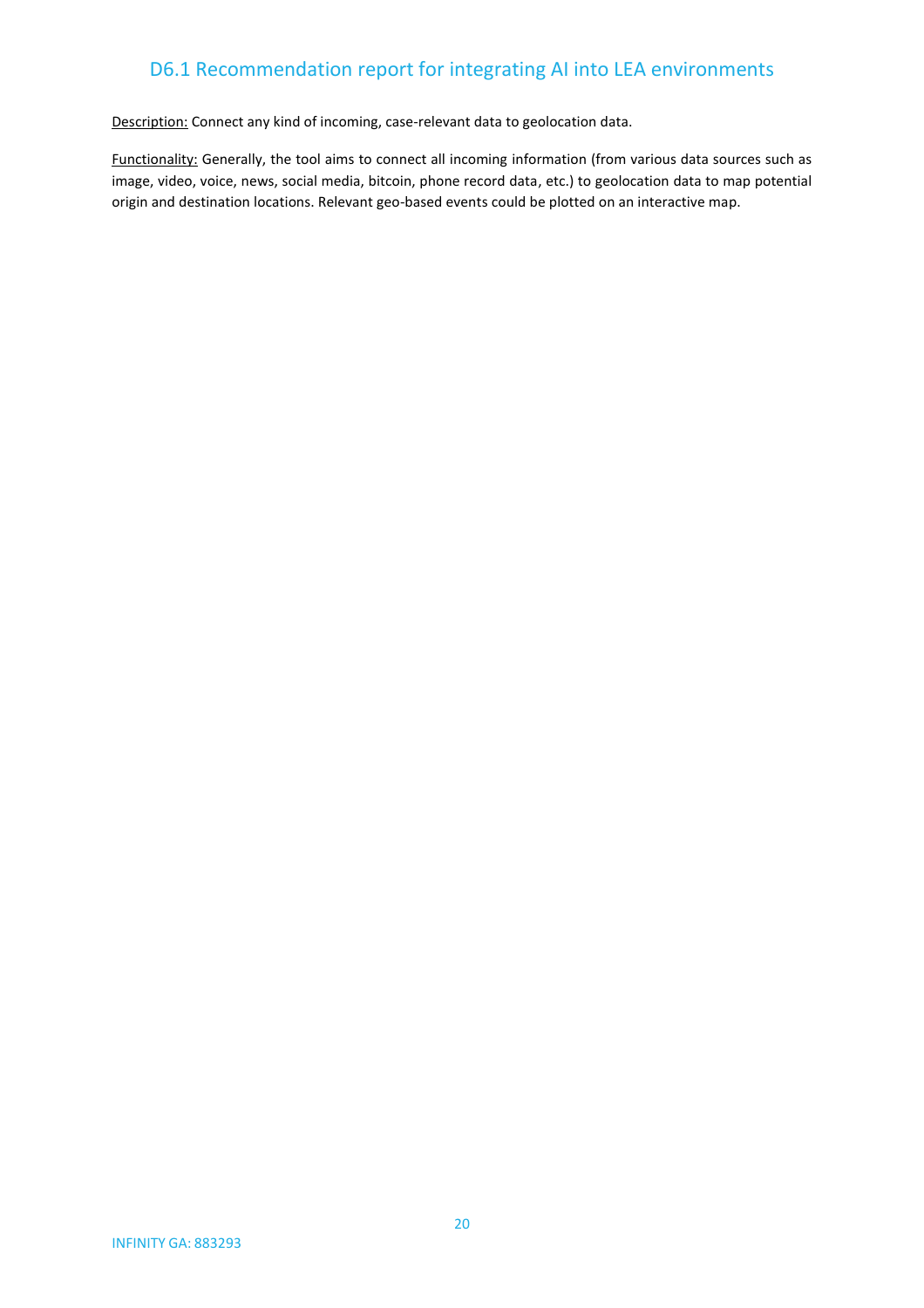Description: Connect any kind of incoming, case-relevant data to geolocation data.

Functionality: Generally, the tool aims to connect all incoming information (from various data sources such as image, video, voice, news, social media, bitcoin, phone record data, etc.) to geolocation data to map potential origin and destination locations. Relevant geo-based events could be plotted on an interactive map.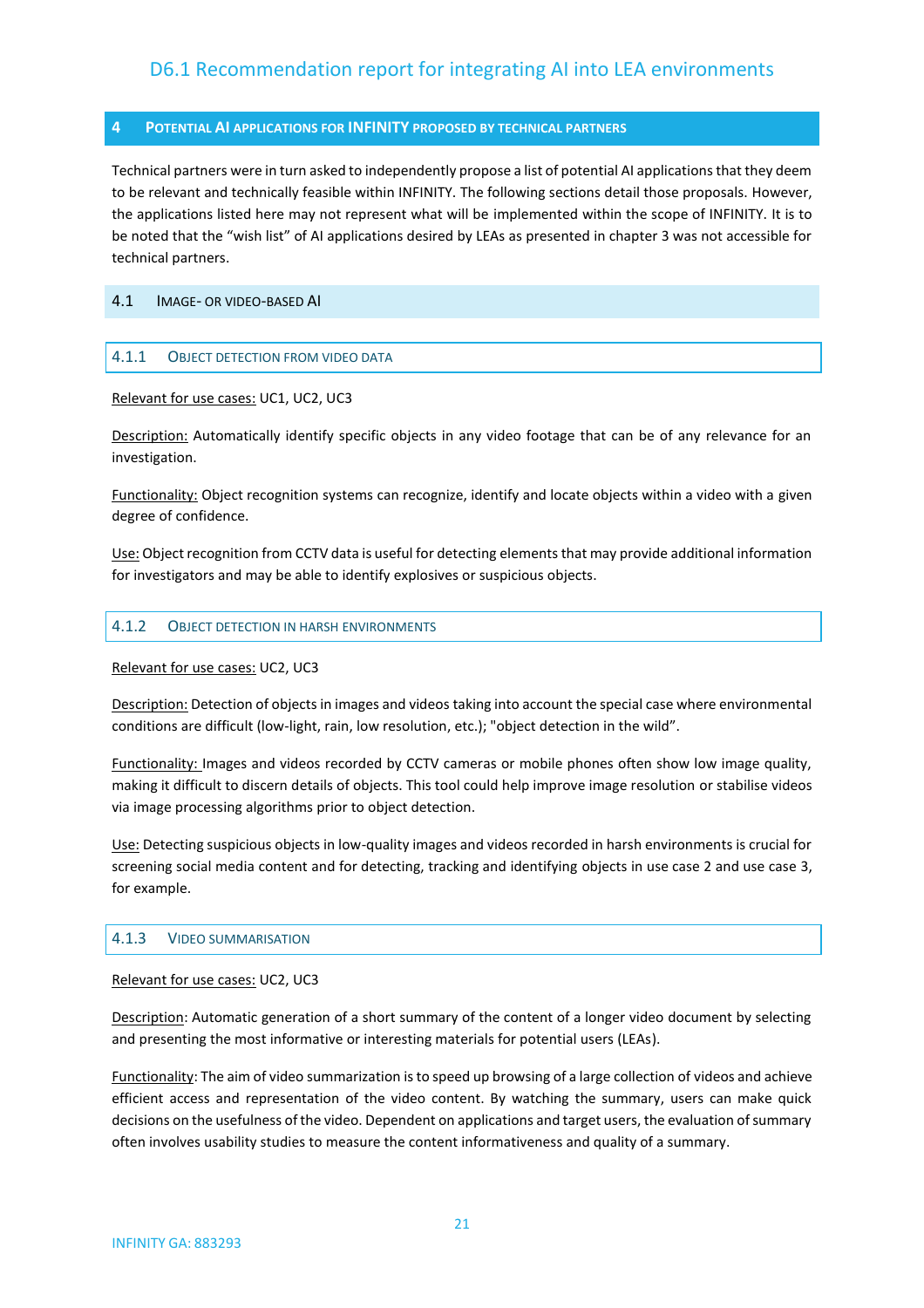#### <span id="page-20-0"></span>**4 POTENTIAL AI APPLICATIONS FOR INFINITY PROPOSED BY TECHNICAL PARTNERS**

Technical partners were in turn asked to independently propose a list of potential AI applications that they deem to be relevant and technically feasible within INFINITY. The following sections detail those proposals. However, the applications listed here may not represent what will be implemented within the scope of INFINITY. It is to be noted that the "wish list" of AI applications desired by LEAs as presented in chapter 3 was not accessible for technical partners.

#### <span id="page-20-2"></span><span id="page-20-1"></span>4.1 IMAGE- OR VIDEO-BASED AI

#### 4.1.1 OBJECT DETECTION FROM VIDEO DATA

#### Relevant for use cases: UC1, UC2, UC3

Description: Automatically identify specific objects in any video footage that can be of any relevance for an investigation.

Functionality: Object recognition systems can recognize, identify and locate objects within a video with a given degree of confidence.

Use: Object recognition from CCTV data is useful for detecting elementsthat may provide additional information for investigators and may be able to identify explosives or suspicious objects.

#### <span id="page-20-3"></span>4.1.2 OBJECT DETECTION IN HARSH ENVIRONMENTS

#### Relevant for use cases: UC2, UC3

Description: Detection of objects in images and videos taking into account the special case where environmental conditions are difficult (low-light, rain, low resolution, etc.); "object detection in the wild".

Functionality: Images and videos recorded by CCTV cameras or mobile phones often show low image quality, making it difficult to discern details of objects. This tool could help improve image resolution or stabilise videos via image processing algorithms prior to object detection.

Use: Detecting suspicious objects in low-quality images and videos recorded in harsh environments is crucial for screening social media content and for detecting, tracking and identifying objects in use case 2 and use case 3, for example.

#### <span id="page-20-4"></span>4.1.3 VIDEO SUMMARISATION

#### Relevant for use cases: UC2, UC3

Description: Automatic generation of a short summary of the content of a longer video document by selecting and presenting the most informative or interesting materials for potential users (LEAs).

Functionality: The aim of video summarization is to speed up browsing of a large collection of videos and achieve efficient access and representation of the video content. By watching the summary, users can make quick decisions on the usefulness of the video. Dependent on applications and target users, the evaluation of summary often involves usability studies to measure the content informativeness and quality of a summary.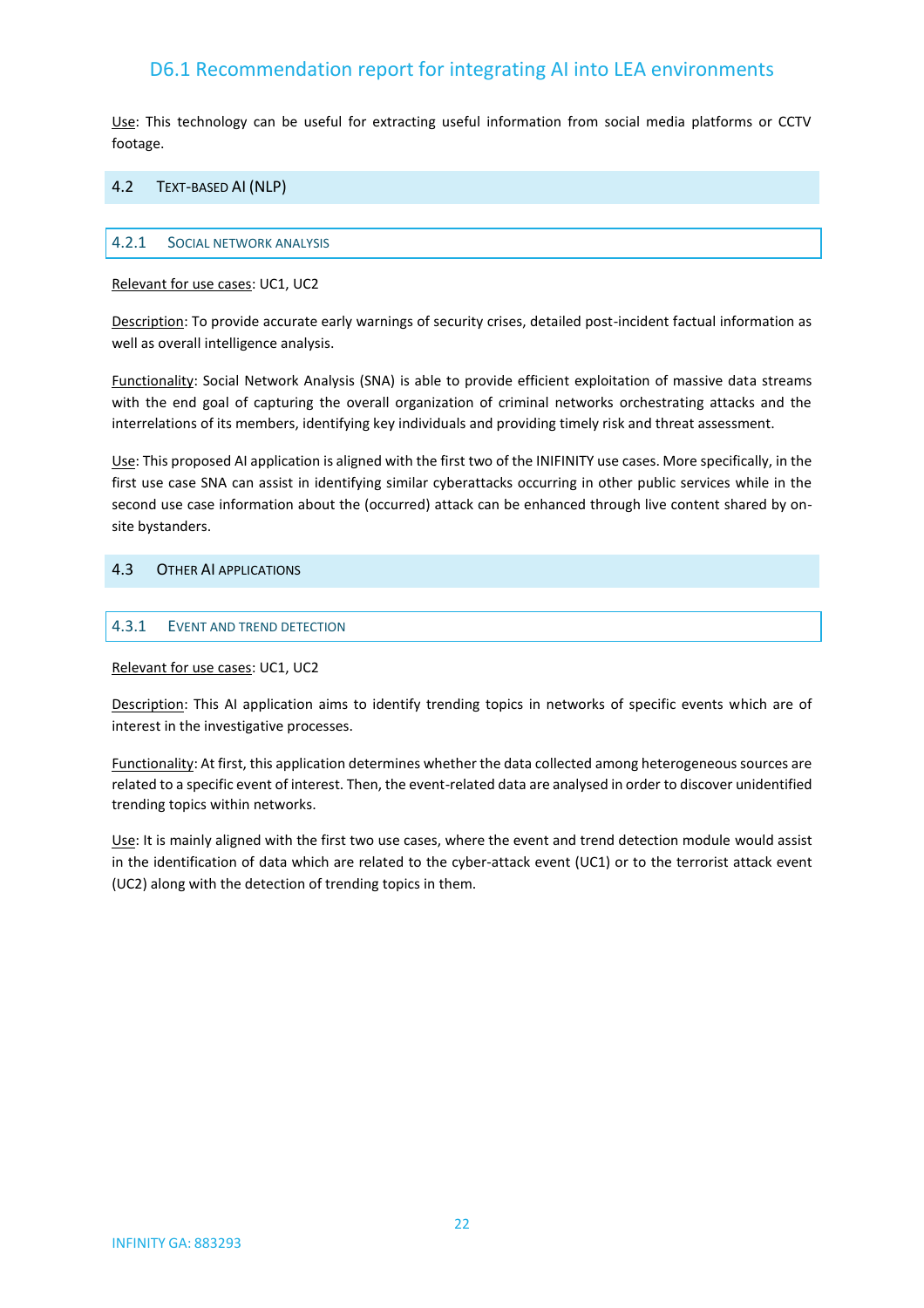Use: This technology can be useful for extracting useful information from social media platforms or CCTV footage.

#### <span id="page-21-1"></span><span id="page-21-0"></span>4.2 TEXT-BASED AI (NLP)

#### 4.2.1 SOCIAL NETWORK ANALYSIS

Relevant for use cases: UC1, UC2

Description: To provide accurate early warnings of security crises, detailed post-incident factual information as well as overall intelligence analysis.

Functionality: Social Network Analysis (SNA) is able to provide efficient exploitation of massive data streams with the end goal of capturing the overall organization of criminal networks orchestrating attacks and the interrelations of its members, identifying key individuals and providing timely risk and threat assessment.

Use: This proposed AI application is aligned with the first two of the INIFINITY use cases. More specifically, in the first use case SNA can assist in identifying similar cyberattacks occurring in other public services while in the second use case information about the (occurred) attack can be enhanced through live content shared by onsite bystanders.

#### <span id="page-21-3"></span><span id="page-21-2"></span>4.3 OTHER AI APPLICATIONS

#### 4.3.1 EVENT AND TREND DETECTION

Relevant for use cases: UC1, UC2

Description: This AI application aims to identify trending topics in networks of specific events which are of interest in the investigative processes.

Functionality: At first, this application determines whether the data collected among heterogeneous sources are related to a specific event of interest. Then, the event-related data are analysed in order to discover unidentified trending topics within networks.

Use: It is mainly aligned with the first two use cases, where the event and trend detection module would assist in the identification of data which are related to the cyber-attack event (UC1) or to the terrorist attack event (UC2) along with the detection of trending topics in them.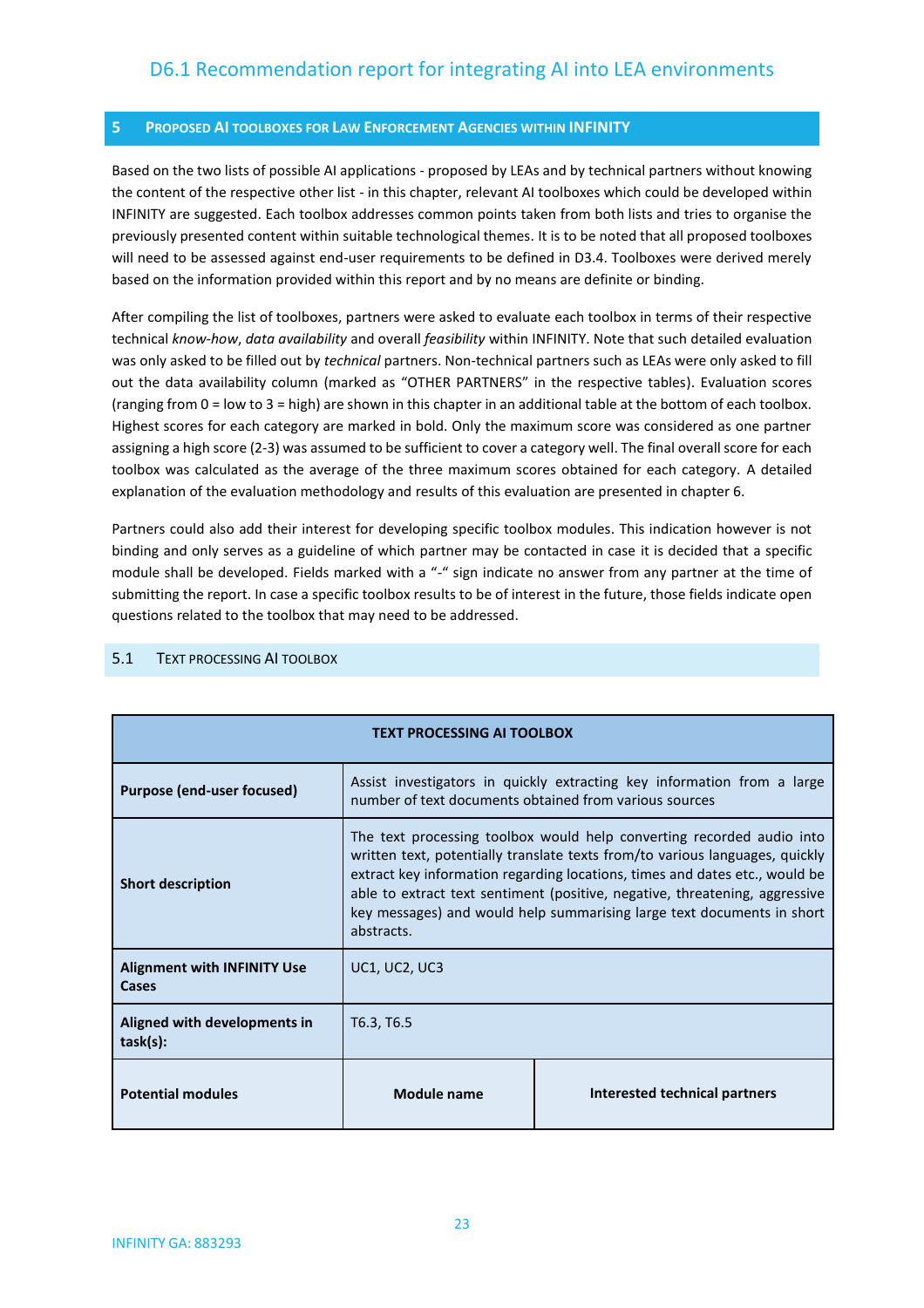#### <span id="page-22-0"></span>**5 PROPOSED AI TOOLBOXES FOR LAW ENFORCEMENT AGENCIES WITHIN INFINITY**

Based on the two lists of possible AI applications - proposed by LEAs and by technical partners without knowing the content of the respective other list - in this chapter, relevant AI toolboxes which could be developed within INFINITY are suggested. Each toolbox addresses common points taken from both lists and tries to organise the previously presented content within suitable technological themes. It is to be noted that all proposed toolboxes will need to be assessed against end-user requirements to be defined in D3.4. Toolboxes were derived merely based on the information provided within this report and by no means are definite or binding.

After compiling the list of toolboxes, partners were asked to evaluate each toolbox in terms of their respective technical *know-how*, *data availability* and overall *feasibility* within INFINITY. Note that such detailed evaluation was only asked to be filled out by *technical* partners. Non-technical partners such as LEAs were only asked to fill out the data availability column (marked as "OTHER PARTNERS" in the respective tables). Evaluation scores (ranging from 0 = low to 3 = high) are shown in this chapter in an additional table at the bottom of each toolbox. Highest scores for each category are marked in bold. Only the maximum score was considered as one partner assigning a high score (2-3) was assumed to be sufficient to cover a category well. The final overall score for each toolbox was calculated as the average of the three maximum scores obtained for each category. A detailed explanation of the evaluation methodology and results of this evaluation are presented in chapter 6.

Partners could also add their interest for developing specific toolbox modules. This indication however is not binding and only serves as a guideline of which partner may be contacted in case it is decided that a specific module shall be developed. Fields marked with a "-" sign indicate no answer from any partner at the time of submitting the report. In case a specific toolbox results to be of interest in the future, those fields indicate open questions related to the toolbox that may need to be addressed.

| <b>TEXT PROCESSING AI TOOLBOX</b>                                               |                                                                                                                                                                                                                                                                                                                                                                                                             |  |  |  |  |  |
|---------------------------------------------------------------------------------|-------------------------------------------------------------------------------------------------------------------------------------------------------------------------------------------------------------------------------------------------------------------------------------------------------------------------------------------------------------------------------------------------------------|--|--|--|--|--|
| Purpose (end-user focused)                                                      | Assist investigators in quickly extracting key information from a large<br>number of text documents obtained from various sources                                                                                                                                                                                                                                                                           |  |  |  |  |  |
| <b>Short description</b>                                                        | The text processing toolbox would help converting recorded audio into<br>written text, potentially translate texts from/to various languages, quickly<br>extract key information regarding locations, times and dates etc., would be<br>able to extract text sentiment (positive, negative, threatening, aggressive<br>key messages) and would help summarising large text documents in short<br>abstracts. |  |  |  |  |  |
| <b>Alignment with INFINITY Use</b><br>Cases                                     | <b>UC1, UC2, UC3</b>                                                                                                                                                                                                                                                                                                                                                                                        |  |  |  |  |  |
| Aligned with developments in<br>task(s):                                        | T6.3, T6.5                                                                                                                                                                                                                                                                                                                                                                                                  |  |  |  |  |  |
| Interested technical partners<br><b>Potential modules</b><br><b>Module name</b> |                                                                                                                                                                                                                                                                                                                                                                                                             |  |  |  |  |  |

#### <span id="page-22-1"></span>5.1 TEXT PROCESSING AI TOOLBOX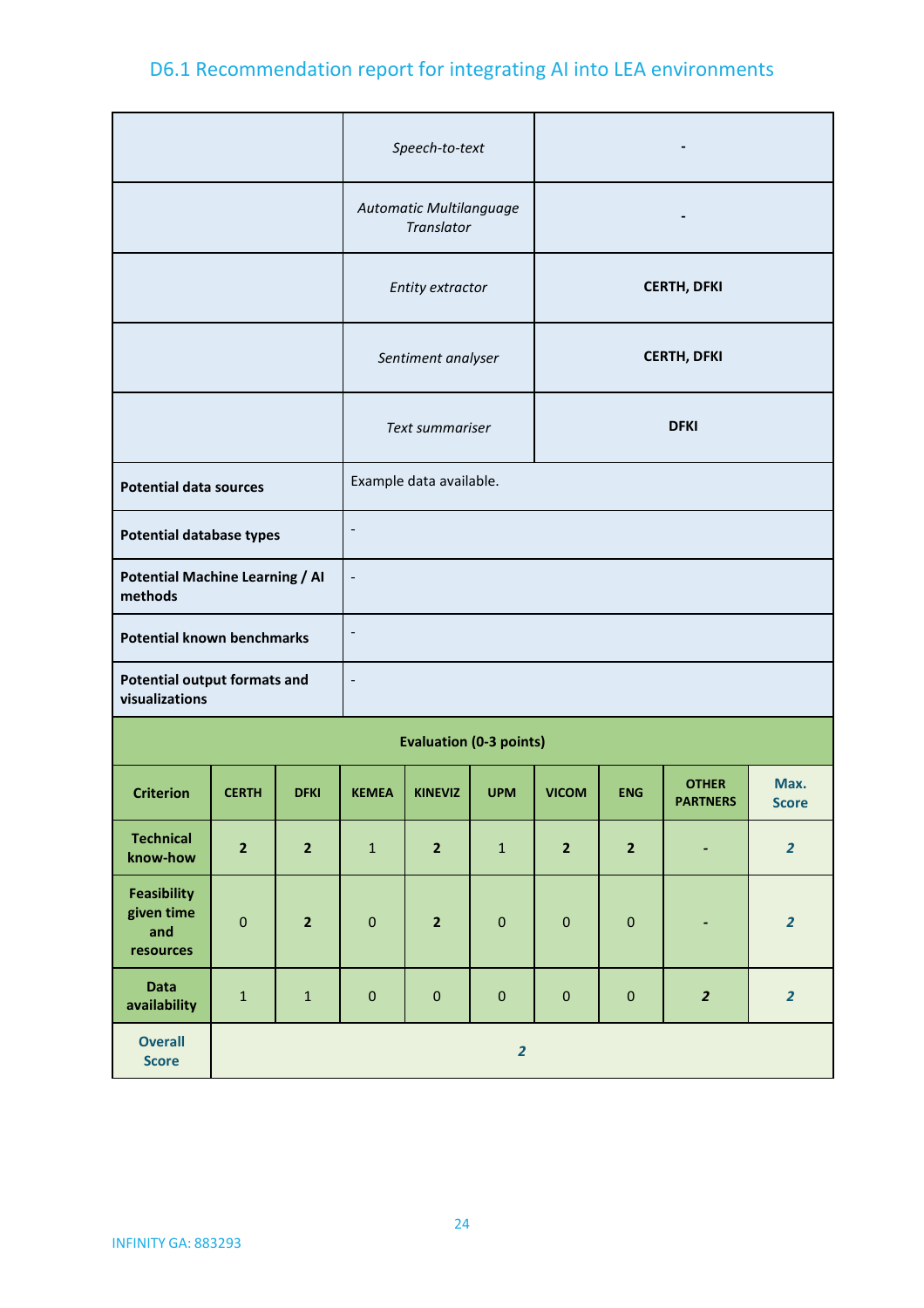|                                                                               |                         |                         |                                        | Speech-to-text                        |             |              |                    |                                 |                         |  |
|-------------------------------------------------------------------------------|-------------------------|-------------------------|----------------------------------------|---------------------------------------|-------------|--------------|--------------------|---------------------------------|-------------------------|--|
|                                                                               |                         |                         |                                        | Automatic Multilanguage<br>Translator |             |              |                    | $\overline{\phantom{a}}$        |                         |  |
|                                                                               |                         |                         | <b>CERTH, DFKI</b><br>Entity extractor |                                       |             |              |                    |                                 |                         |  |
|                                                                               |                         |                         |                                        | Sentiment analyser                    |             |              | <b>CERTH, DFKI</b> |                                 |                         |  |
|                                                                               |                         |                         | Text summariser                        |                                       |             | <b>DFKI</b>  |                    |                                 |                         |  |
| <b>Potential data sources</b>                                                 |                         | Example data available. |                                        |                                       |             |              |                    |                                 |                         |  |
| $\overline{\phantom{0}}$<br><b>Potential database types</b>                   |                         |                         |                                        |                                       |             |              |                    |                                 |                         |  |
| <b>Potential Machine Learning / AI</b><br>$\overline{\phantom{a}}$<br>methods |                         |                         |                                        |                                       |             |              |                    |                                 |                         |  |
| <b>Potential known benchmarks</b>                                             |                         |                         | -                                      |                                       |             |              |                    |                                 |                         |  |
| <b>Potential output formats and</b><br>visualizations                         |                         |                         | $\overline{\phantom{0}}$               |                                       |             |              |                    |                                 |                         |  |
|                                                                               |                         |                         | <b>Evaluation (0-3 points)</b>         |                                       |             |              |                    |                                 |                         |  |
| <b>Criterion</b>                                                              | <b>CERTH</b>            | <b>DFKI</b>             | <b>KEMEA</b>                           | <b>KINEVIZ</b>                        | <b>UPM</b>  | <b>VICOM</b> | <b>ENG</b>         | <b>OTHER</b><br><b>PARTNERS</b> | Max.<br><b>Score</b>    |  |
| <b>Technical</b><br>know-how                                                  | $\overline{\mathbf{2}}$ | $\overline{2}$          | $\mathbf 1$                            | $\mathbf{2}$                          | $\mathbf 1$ | $\mathbf{2}$ | $\mathbf{2}$       | $\blacksquare$                  | $\overline{\mathbf{2}}$ |  |
| <b>Feasibility</b><br>given time<br>and<br>resources                          | $\mathbf 0$             | $\mathbf 2$             | $\pmb{0}$                              | $\overline{\mathbf{2}}$               | $\pmb{0}$   | $\pmb{0}$    | $\pmb{0}$          | $\qquad \qquad \blacksquare$    | $\overline{2}$          |  |
| <b>Data</b><br>availability                                                   | $\mathbf 1$             | $\mathbf 1$             | $\pmb{0}$                              | $\pmb{0}$                             | $\pmb{0}$   | $\pmb{0}$    | $\pmb{0}$          | $\overline{2}$                  | $\overline{2}$          |  |
| <b>Overall</b><br><b>Score</b>                                                |                         | $\overline{2}$          |                                        |                                       |             |              |                    |                                 |                         |  |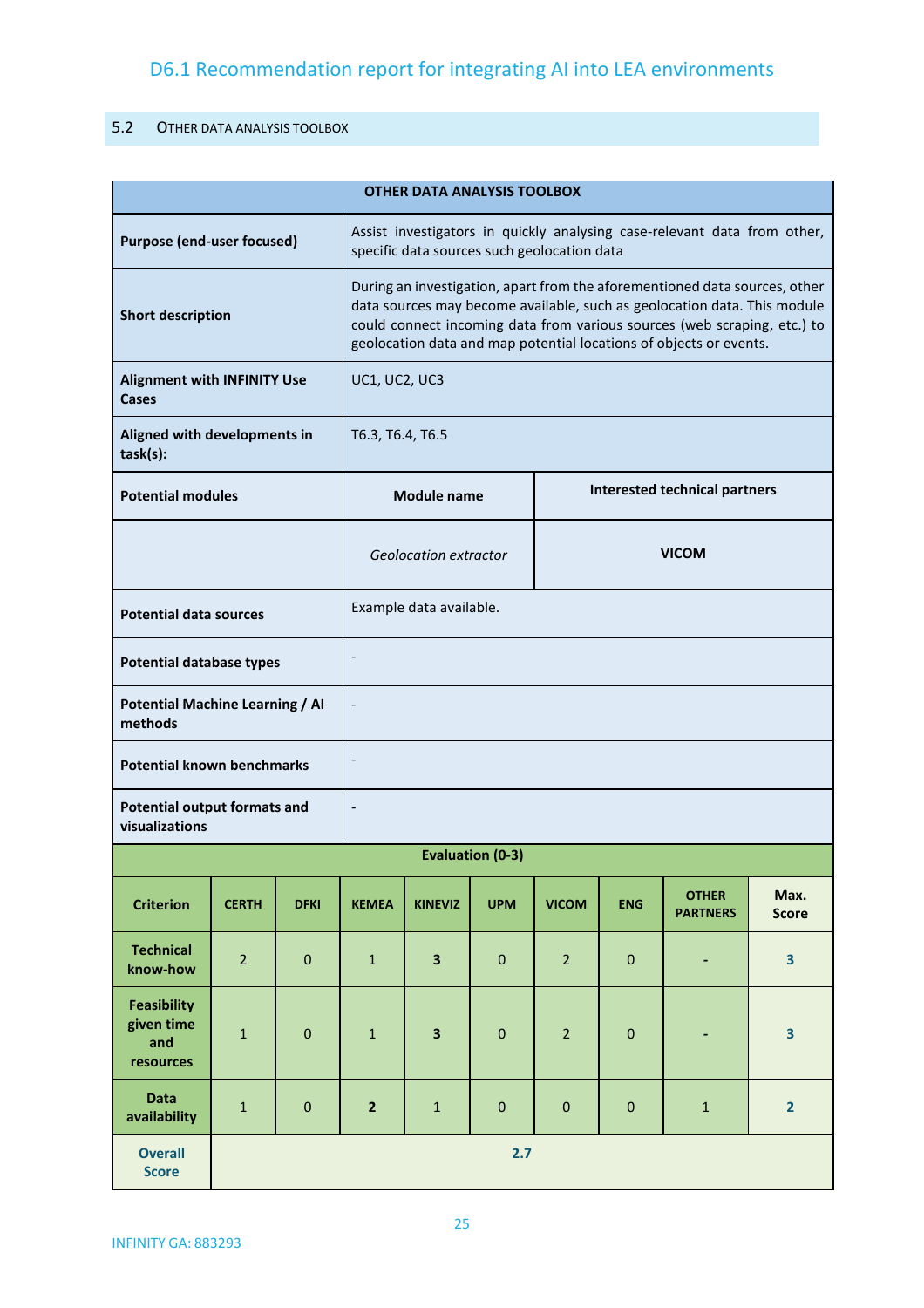#### <span id="page-24-0"></span>5.2 OTHER DATA ANALYSIS TOOLBOX

| <b>OTHER DATA ANALYSIS TOOLBOX</b>                    |                                                                                        |                                       |                                                                                                                         |                                                                                                                                                                                                                                                                                                          |                         |                |             |                                 |                         |
|-------------------------------------------------------|----------------------------------------------------------------------------------------|---------------------------------------|-------------------------------------------------------------------------------------------------------------------------|----------------------------------------------------------------------------------------------------------------------------------------------------------------------------------------------------------------------------------------------------------------------------------------------------------|-------------------------|----------------|-------------|---------------------------------|-------------------------|
| <b>Purpose (end-user focused)</b>                     |                                                                                        |                                       | Assist investigators in quickly analysing case-relevant data from other,<br>specific data sources such geolocation data |                                                                                                                                                                                                                                                                                                          |                         |                |             |                                 |                         |
| <b>Short description</b>                              |                                                                                        |                                       |                                                                                                                         | During an investigation, apart from the aforementioned data sources, other<br>data sources may become available, such as geolocation data. This module<br>could connect incoming data from various sources (web scraping, etc.) to<br>geolocation data and map potential locations of objects or events. |                         |                |             |                                 |                         |
| <b>Alignment with INFINITY Use</b><br>Cases           |                                                                                        |                                       | UC1, UC2, UC3                                                                                                           |                                                                                                                                                                                                                                                                                                          |                         |                |             |                                 |                         |
| task(s):                                              | Aligned with developments in<br>T6.3, T6.4, T6.5                                       |                                       |                                                                                                                         |                                                                                                                                                                                                                                                                                                          |                         |                |             |                                 |                         |
|                                                       | <b>Interested technical partners</b><br><b>Potential modules</b><br><b>Module name</b> |                                       |                                                                                                                         |                                                                                                                                                                                                                                                                                                          |                         |                |             |                                 |                         |
|                                                       |                                                                                        | <b>VICOM</b><br>Geolocation extractor |                                                                                                                         |                                                                                                                                                                                                                                                                                                          |                         |                |             |                                 |                         |
|                                                       | Example data available.<br><b>Potential data sources</b>                               |                                       |                                                                                                                         |                                                                                                                                                                                                                                                                                                          |                         |                |             |                                 |                         |
|                                                       | <b>Potential database types</b>                                                        |                                       |                                                                                                                         |                                                                                                                                                                                                                                                                                                          |                         |                |             |                                 |                         |
| <b>Potential Machine Learning / AI</b><br>methods     |                                                                                        |                                       |                                                                                                                         |                                                                                                                                                                                                                                                                                                          |                         |                |             |                                 |                         |
| <b>Potential known benchmarks</b>                     |                                                                                        |                                       |                                                                                                                         |                                                                                                                                                                                                                                                                                                          |                         |                |             |                                 |                         |
| <b>Potential output formats and</b><br>visualizations |                                                                                        |                                       |                                                                                                                         |                                                                                                                                                                                                                                                                                                          |                         |                |             |                                 |                         |
|                                                       |                                                                                        |                                       |                                                                                                                         |                                                                                                                                                                                                                                                                                                          | <b>Evaluation (0-3)</b> |                |             |                                 |                         |
| <b>Criterion</b>                                      | <b>CERTH</b>                                                                           | <b>DFKI</b>                           | <b>KEMEA</b>                                                                                                            | <b>KINEVIZ</b>                                                                                                                                                                                                                                                                                           | <b>UPM</b>              | <b>VICOM</b>   | <b>ENG</b>  | <b>OTHER</b><br><b>PARTNERS</b> | Max.<br><b>Score</b>    |
| <b>Technical</b><br>know-how                          | $\overline{2}$                                                                         | $\mathbf 0$                           | $\mathbf{1}$                                                                                                            | $\overline{\mathbf{3}}$                                                                                                                                                                                                                                                                                  | $\mathbf{0}$            | $\overline{2}$ | $\mathbf 0$ | $\blacksquare$                  | $\overline{\mathbf{3}}$ |
| <b>Feasibility</b><br>given time<br>and<br>resources  | $\mathbf{1}$                                                                           | $\mathbf 0$                           | $\mathbf{1}$                                                                                                            | 3                                                                                                                                                                                                                                                                                                        | $\mathbf 0$             | $\overline{2}$ | $\mathbf 0$ |                                 | 3                       |
| <b>Data</b><br>availability                           | $\mathbf{1}$                                                                           | $\mathbf 0$                           | $\overline{2}$                                                                                                          | $\mathbf{1}$                                                                                                                                                                                                                                                                                             | $\mathbf{0}$            | $\pmb{0}$      | $\mathbf 0$ | $\mathbf 1$                     | $\overline{2}$          |
| <b>Overall</b><br><b>Score</b>                        |                                                                                        | 2.7                                   |                                                                                                                         |                                                                                                                                                                                                                                                                                                          |                         |                |             |                                 |                         |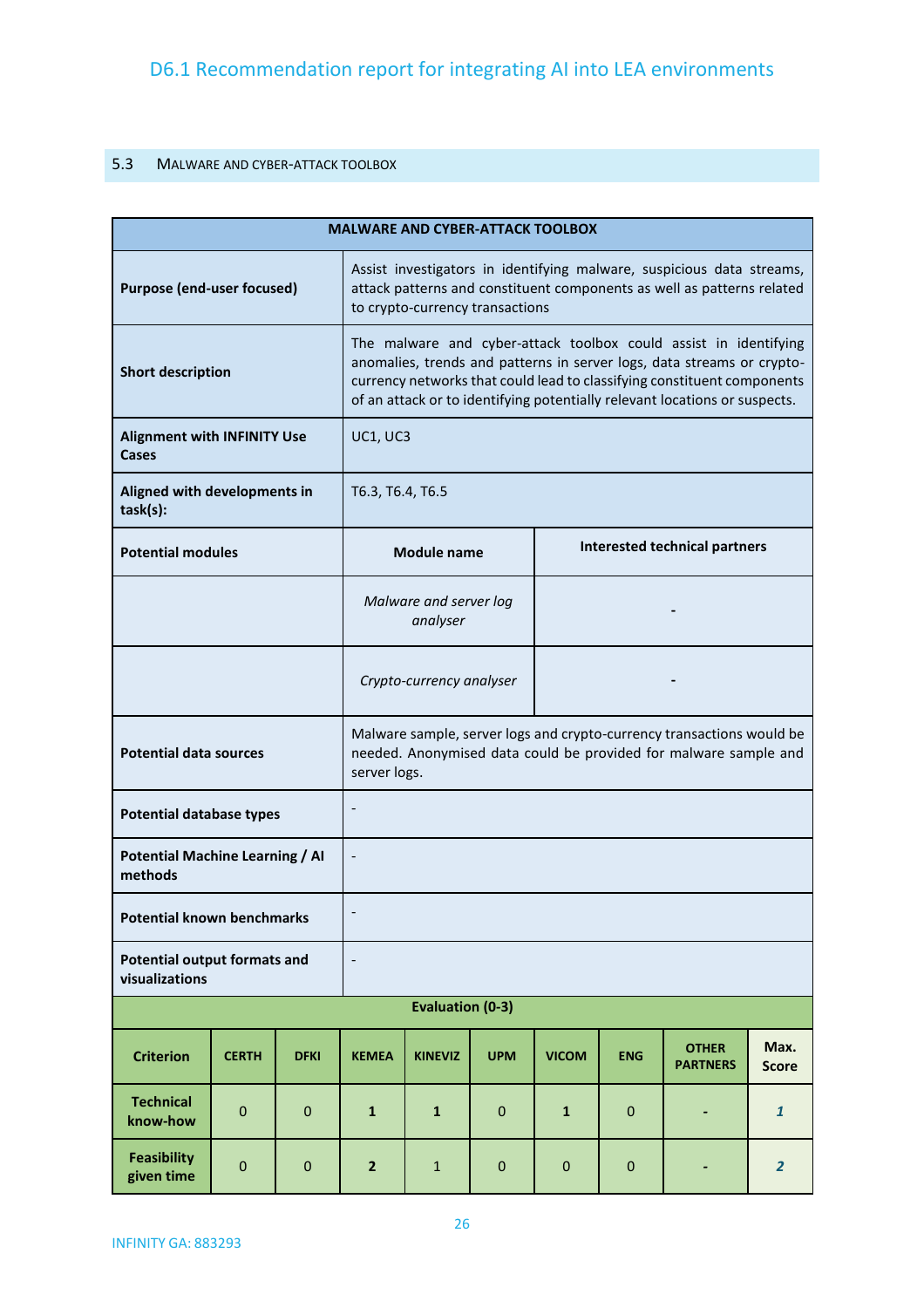### <span id="page-25-0"></span>5.3 MALWARE AND CYBER-ATTACK TOOLBOX

|                                                       | <b>MALWARE AND CYBER-ATTACK TOOLBOX</b> |                                                            |                                    |                                                                                                                                                                                                                                                                                                     |             |                  |            |                                                                                                                                           |                      |
|-------------------------------------------------------|-----------------------------------------|------------------------------------------------------------|------------------------------------|-----------------------------------------------------------------------------------------------------------------------------------------------------------------------------------------------------------------------------------------------------------------------------------------------------|-------------|------------------|------------|-------------------------------------------------------------------------------------------------------------------------------------------|----------------------|
| <b>Purpose (end-user focused)</b>                     |                                         |                                                            |                                    | Assist investigators in identifying malware, suspicious data streams,<br>attack patterns and constituent components as well as patterns related<br>to crypto-currency transactions                                                                                                                  |             |                  |            |                                                                                                                                           |                      |
| <b>Short description</b>                              |                                         |                                                            |                                    | The malware and cyber-attack toolbox could assist in identifying<br>anomalies, trends and patterns in server logs, data streams or crypto-<br>currency networks that could lead to classifying constituent components<br>of an attack or to identifying potentially relevant locations or suspects. |             |                  |            |                                                                                                                                           |                      |
| <b>Alignment with INFINITY Use</b><br>Cases           |                                         |                                                            | UC1, UC3                           |                                                                                                                                                                                                                                                                                                     |             |                  |            |                                                                                                                                           |                      |
| Aligned with developments in<br>task(s):              |                                         |                                                            | T6.3, T6.4, T6.5                   |                                                                                                                                                                                                                                                                                                     |             |                  |            |                                                                                                                                           |                      |
| <b>Potential modules</b>                              |                                         | <b>Interested technical partners</b><br><b>Module name</b> |                                    |                                                                                                                                                                                                                                                                                                     |             |                  |            |                                                                                                                                           |                      |
|                                                       |                                         |                                                            | Malware and server log<br>analyser |                                                                                                                                                                                                                                                                                                     |             |                  |            |                                                                                                                                           |                      |
|                                                       |                                         |                                                            | Crypto-currency analyser           |                                                                                                                                                                                                                                                                                                     |             |                  |            |                                                                                                                                           |                      |
| <b>Potential data sources</b>                         |                                         |                                                            | server logs.                       |                                                                                                                                                                                                                                                                                                     |             |                  |            | Malware sample, server logs and crypto-currency transactions would be<br>needed. Anonymised data could be provided for malware sample and |                      |
| <b>Potential database types</b>                       |                                         |                                                            |                                    |                                                                                                                                                                                                                                                                                                     |             |                  |            |                                                                                                                                           |                      |
| <b>Potential Machine Learning / AI</b><br>methods     |                                         |                                                            |                                    |                                                                                                                                                                                                                                                                                                     |             |                  |            |                                                                                                                                           |                      |
| <b>Potential known benchmarks</b>                     |                                         |                                                            |                                    |                                                                                                                                                                                                                                                                                                     |             |                  |            |                                                                                                                                           |                      |
| <b>Potential output formats and</b><br>visualizations |                                         |                                                            | $\overline{\phantom{a}}$           |                                                                                                                                                                                                                                                                                                     |             |                  |            |                                                                                                                                           |                      |
|                                                       |                                         |                                                            |                                    | <b>Evaluation (0-3)</b>                                                                                                                                                                                                                                                                             |             |                  |            |                                                                                                                                           |                      |
| <b>Criterion</b>                                      | <b>CERTH</b>                            | <b>DFKI</b>                                                | <b>KEMEA</b>                       | <b>KINEVIZ</b>                                                                                                                                                                                                                                                                                      | <b>UPM</b>  | <b>VICOM</b>     | <b>ENG</b> | <b>OTHER</b><br><b>PARTNERS</b>                                                                                                           | Max.<br><b>Score</b> |
| <b>Technical</b><br>know-how                          | $\mathbf 0$                             | $\bf 0$                                                    | $\mathbf{1}$                       | $\mathbf{1}$                                                                                                                                                                                                                                                                                        | $\mathbf 0$ | $\mathbf{1}$     | 0          |                                                                                                                                           | $\mathbf{1}$         |
| <b>Feasibility</b><br>given time                      | 0                                       | $\pmb{0}$                                                  | $\mathbf{2}$                       | $\mathbf{1}$                                                                                                                                                                                                                                                                                        | $\mathbf 0$ | $\boldsymbol{0}$ | 0          |                                                                                                                                           | $\overline{2}$       |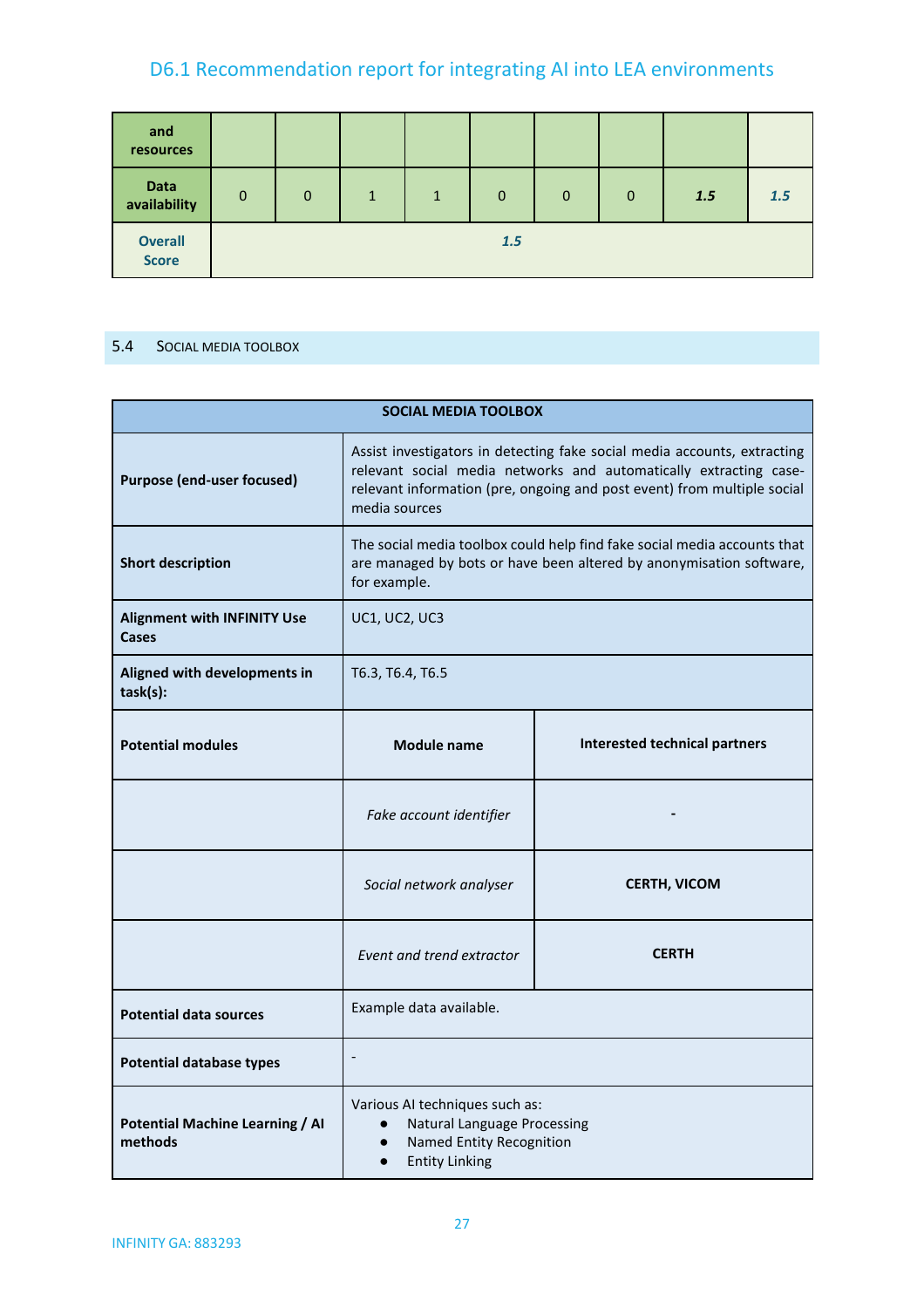| and<br>resources               |             |          |              |              |             |                |          |     |            |
|--------------------------------|-------------|----------|--------------|--------------|-------------|----------------|----------|-----|------------|
| <b>Data</b><br>availability    | $\mathbf 0$ | $\Omega$ | $\mathbf{1}$ | $\mathbf{1}$ | $\mathbf 0$ | $\overline{0}$ | $\Omega$ | 1.5 | <b>1.5</b> |
| <b>Overall</b><br><b>Score</b> |             |          |              |              | 1.5         |                |          |     |            |

#### <span id="page-26-0"></span>5.4 SOCIAL MEDIA TOOLBOX

| <b>SOCIAL MEDIA TOOLBOX</b>                        |                                                                                                                                                                                                                                           |                     |  |  |  |  |
|----------------------------------------------------|-------------------------------------------------------------------------------------------------------------------------------------------------------------------------------------------------------------------------------------------|---------------------|--|--|--|--|
| <b>Purpose (end-user focused)</b>                  | Assist investigators in detecting fake social media accounts, extracting<br>relevant social media networks and automatically extracting case-<br>relevant information (pre, ongoing and post event) from multiple social<br>media sources |                     |  |  |  |  |
| <b>Short description</b>                           | The social media toolbox could help find fake social media accounts that<br>are managed by bots or have been altered by anonymisation software,<br>for example.                                                                           |                     |  |  |  |  |
| <b>Alignment with INFINITY Use</b><br><b>Cases</b> | UC1, UC2, UC3                                                                                                                                                                                                                             |                     |  |  |  |  |
| Aligned with developments in<br>task(s):           | T6.3, T6.4, T6.5                                                                                                                                                                                                                          |                     |  |  |  |  |
| <b>Potential modules</b>                           | <b>Interested technical partners</b><br><b>Module name</b>                                                                                                                                                                                |                     |  |  |  |  |
|                                                    | Fake account identifier                                                                                                                                                                                                                   |                     |  |  |  |  |
|                                                    | Social network analyser                                                                                                                                                                                                                   | <b>CERTH, VICOM</b> |  |  |  |  |
|                                                    | Event and trend extractor                                                                                                                                                                                                                 | <b>CERTH</b>        |  |  |  |  |
| <b>Potential data sources</b>                      | Example data available.                                                                                                                                                                                                                   |                     |  |  |  |  |
| <b>Potential database types</b>                    |                                                                                                                                                                                                                                           |                     |  |  |  |  |
| <b>Potential Machine Learning / AI</b><br>methods  | Various AI techniques such as:<br><b>Natural Language Processing</b><br>$\bullet$<br>Named Entity Recognition<br><b>Entity Linking</b>                                                                                                    |                     |  |  |  |  |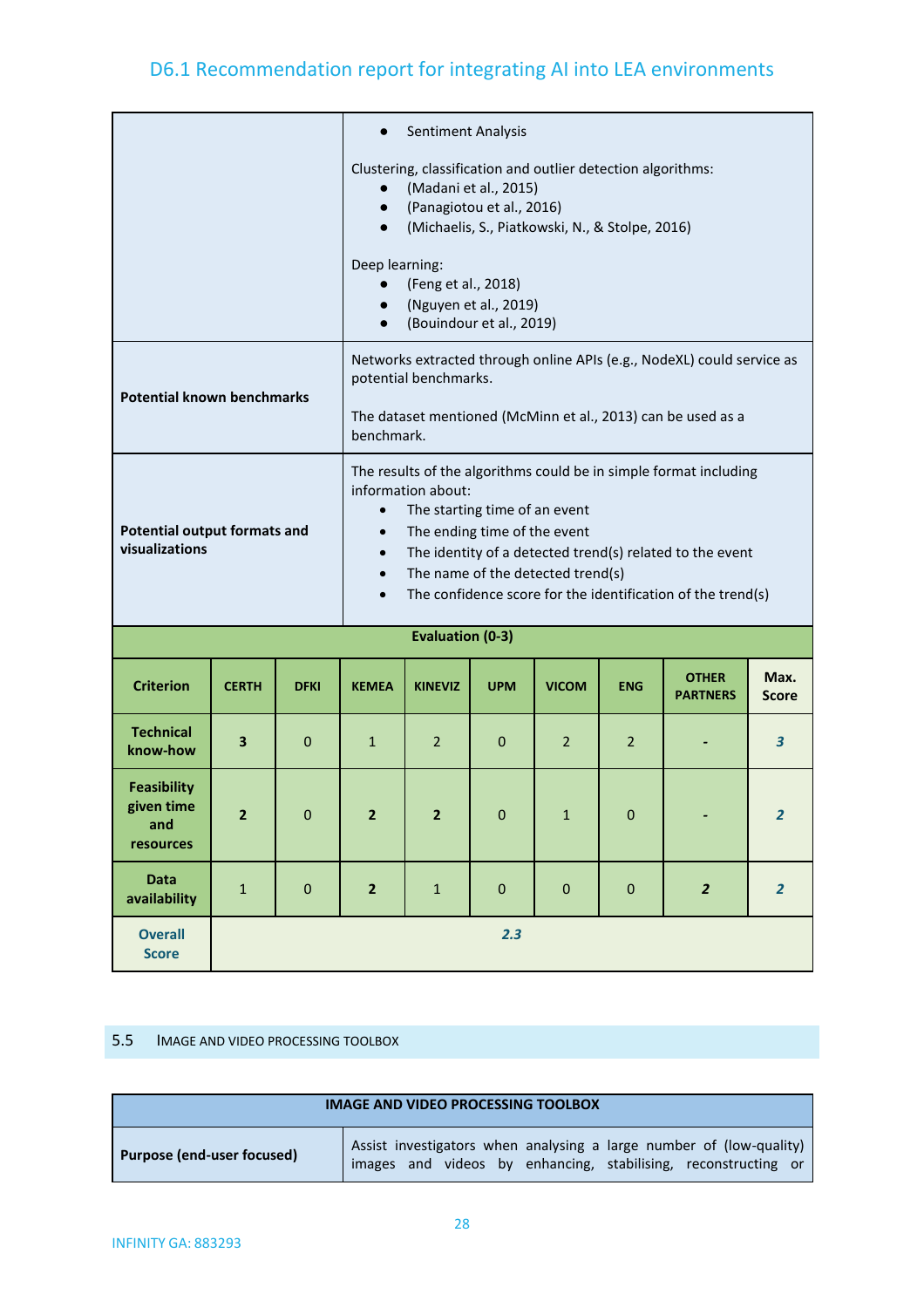|                                                       |                                                                                                                                                                                                                    |                                                                                                                                                                                                                                                                                                                                      |                                                                                                                                                                                                                                                                                                                                                                                           | Sentiment Analysis                                                                     |             |                |                |                                 |                      |
|-------------------------------------------------------|--------------------------------------------------------------------------------------------------------------------------------------------------------------------------------------------------------------------|--------------------------------------------------------------------------------------------------------------------------------------------------------------------------------------------------------------------------------------------------------------------------------------------------------------------------------------|-------------------------------------------------------------------------------------------------------------------------------------------------------------------------------------------------------------------------------------------------------------------------------------------------------------------------------------------------------------------------------------------|----------------------------------------------------------------------------------------|-------------|----------------|----------------|---------------------------------|----------------------|
|                                                       |                                                                                                                                                                                                                    | Clustering, classification and outlier detection algorithms:<br>(Madani et al., 2015)<br>$\bullet$<br>(Panagiotou et al., 2016)<br>$\bullet$<br>(Michaelis, S., Piatkowski, N., & Stolpe, 2016)<br>$\bullet$<br>Deep learning:<br>(Feng et al., 2018)<br>(Nguyen et al., 2019)<br>$\bullet$<br>(Bouindour et al., 2019)<br>$\bullet$ |                                                                                                                                                                                                                                                                                                                                                                                           |                                                                                        |             |                |                |                                 |                      |
|                                                       | Networks extracted through online APIs (e.g., NodeXL) could service as<br>potential benchmarks.<br><b>Potential known benchmarks</b><br>The dataset mentioned (McMinn et al., 2013) can be used as a<br>benchmark. |                                                                                                                                                                                                                                                                                                                                      |                                                                                                                                                                                                                                                                                                                                                                                           |                                                                                        |             |                |                |                                 |                      |
| <b>Potential output formats and</b><br>visualizations |                                                                                                                                                                                                                    |                                                                                                                                                                                                                                                                                                                                      | The results of the algorithms could be in simple format including<br>information about:<br>The starting time of an event<br>$\bullet$<br>The ending time of the event<br>$\bullet$<br>The identity of a detected trend(s) related to the event<br>$\bullet$<br>The name of the detected trend(s)<br>$\bullet$<br>The confidence score for the identification of the trend(s)<br>$\bullet$ |                                                                                        |             |                |                |                                 |                      |
|                                                       |                                                                                                                                                                                                                    |                                                                                                                                                                                                                                                                                                                                      |                                                                                                                                                                                                                                                                                                                                                                                           | <b>Evaluation (0-3)</b>                                                                |             |                |                |                                 |                      |
| <b>Criterion</b>                                      | <b>CERTH</b>                                                                                                                                                                                                       | <b>DFKI</b>                                                                                                                                                                                                                                                                                                                          | <b>KEMEA</b>                                                                                                                                                                                                                                                                                                                                                                              | <b>KINEVIZ</b>                                                                         | <b>UPM</b>  | <b>VICOM</b>   | <b>ENG</b>     | <b>OTHER</b><br><b>PARTNERS</b> | Max.<br><b>Score</b> |
| <b>Technical</b><br>know-how                          | 3                                                                                                                                                                                                                  | $\mathbf 0$                                                                                                                                                                                                                                                                                                                          | $\mathbf{1}$                                                                                                                                                                                                                                                                                                                                                                              | 2                                                                                      | $\mathbf 0$ | $\overline{2}$ | $\overline{2}$ |                                 | 3                    |
| <b>Feasibility</b><br>given time<br>and<br>resources  | $\overline{2}$                                                                                                                                                                                                     | $\mathbf 0$                                                                                                                                                                                                                                                                                                                          | $\pmb{0}$<br>$\mathbf{2}$<br>$\overline{2}$<br>$\mathbf 0$<br>$\mathbf{1}$<br>$\overline{2}$<br>٠                                                                                                                                                                                                                                                                                         |                                                                                        |             |                |                |                                 |                      |
| <b>Data</b><br>availability                           | $\mathbf{1}$                                                                                                                                                                                                       | $\pmb{0}$                                                                                                                                                                                                                                                                                                                            | $\mathbf{2}$                                                                                                                                                                                                                                                                                                                                                                              | $\pmb{0}$<br>$\mathbf 1$<br>$\pmb{0}$<br>$\pmb{0}$<br>$\overline{2}$<br>$\overline{2}$ |             |                |                |                                 |                      |
| <b>Overall</b><br><b>Score</b>                        | 2.3                                                                                                                                                                                                                |                                                                                                                                                                                                                                                                                                                                      |                                                                                                                                                                                                                                                                                                                                                                                           |                                                                                        |             |                |                |                                 |                      |

#### <span id="page-27-0"></span>5.5 IMAGE AND VIDEO PROCESSING TOOLBOX

| <b>IMAGE AND VIDEO PROCESSING TOOLBOX</b> |                                                                                                                                       |  |  |
|-------------------------------------------|---------------------------------------------------------------------------------------------------------------------------------------|--|--|
| <b>Purpose (end-user focused)</b>         | Assist investigators when analysing a large number of (low-quality)<br>images and videos by enhancing, stabilising, reconstructing or |  |  |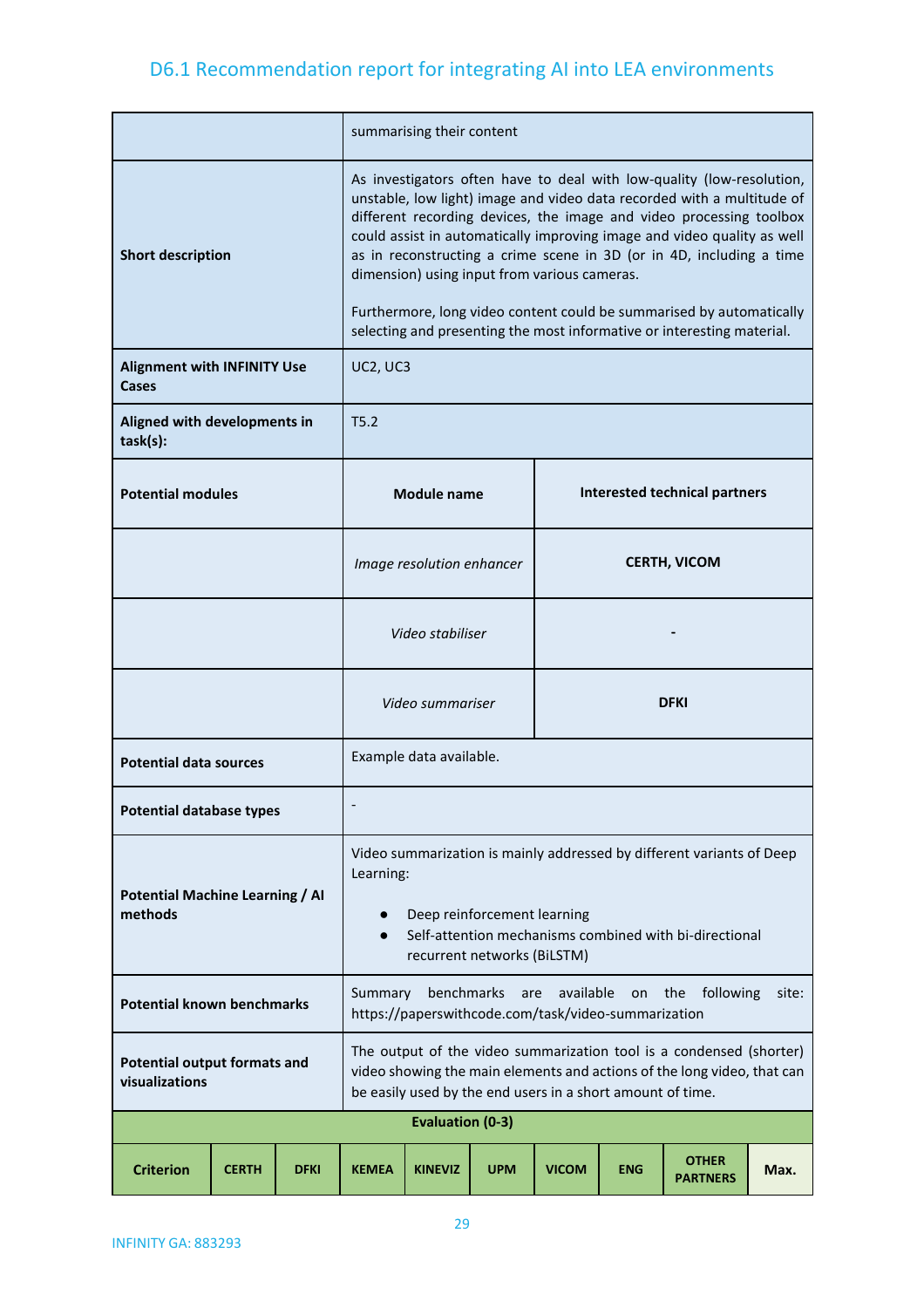|                                                                                                                                                                                                                                                                                           |              |             | summarising their content                                                                                                                                                                                                                                                                                                                                                                                                                                                                                                                                                   |                           |                   |                     |            |                                      |       |  |
|-------------------------------------------------------------------------------------------------------------------------------------------------------------------------------------------------------------------------------------------------------------------------------------------|--------------|-------------|-----------------------------------------------------------------------------------------------------------------------------------------------------------------------------------------------------------------------------------------------------------------------------------------------------------------------------------------------------------------------------------------------------------------------------------------------------------------------------------------------------------------------------------------------------------------------------|---------------------------|-------------------|---------------------|------------|--------------------------------------|-------|--|
| <b>Short description</b>                                                                                                                                                                                                                                                                  |              |             | As investigators often have to deal with low-quality (low-resolution,<br>unstable, low light) image and video data recorded with a multitude of<br>different recording devices, the image and video processing toolbox<br>could assist in automatically improving image and video quality as well<br>as in reconstructing a crime scene in 3D (or in 4D, including a time<br>dimension) using input from various cameras.<br>Furthermore, long video content could be summarised by automatically<br>selecting and presenting the most informative or interesting material. |                           |                   |                     |            |                                      |       |  |
| <b>Alignment with INFINITY Use</b><br>Cases                                                                                                                                                                                                                                               |              |             | UC2, UC3                                                                                                                                                                                                                                                                                                                                                                                                                                                                                                                                                                    |                           |                   |                     |            |                                      |       |  |
| Aligned with developments in<br>task(s):                                                                                                                                                                                                                                                  |              |             | T5.2                                                                                                                                                                                                                                                                                                                                                                                                                                                                                                                                                                        |                           |                   |                     |            |                                      |       |  |
| <b>Potential modules</b>                                                                                                                                                                                                                                                                  |              |             |                                                                                                                                                                                                                                                                                                                                                                                                                                                                                                                                                                             | <b>Module name</b>        |                   |                     |            | <b>Interested technical partners</b> |       |  |
|                                                                                                                                                                                                                                                                                           |              |             |                                                                                                                                                                                                                                                                                                                                                                                                                                                                                                                                                                             | Image resolution enhancer |                   | <b>CERTH, VICOM</b> |            |                                      |       |  |
|                                                                                                                                                                                                                                                                                           |              |             |                                                                                                                                                                                                                                                                                                                                                                                                                                                                                                                                                                             | Video stabiliser          |                   |                     |            |                                      |       |  |
|                                                                                                                                                                                                                                                                                           |              |             |                                                                                                                                                                                                                                                                                                                                                                                                                                                                                                                                                                             | Video summariser          |                   |                     |            | <b>DFKI</b>                          |       |  |
| <b>Potential data sources</b>                                                                                                                                                                                                                                                             |              |             |                                                                                                                                                                                                                                                                                                                                                                                                                                                                                                                                                                             | Example data available.   |                   |                     |            |                                      |       |  |
| <b>Potential database types</b>                                                                                                                                                                                                                                                           |              |             |                                                                                                                                                                                                                                                                                                                                                                                                                                                                                                                                                                             |                           |                   |                     |            |                                      |       |  |
| Video summarization is mainly addressed by different variants of Deep<br>Learning:<br><b>Potential Machine Learning / AI</b><br>methods<br>Deep reinforcement learning<br>$\bullet$<br>Self-attention mechanisms combined with bi-directional<br>$\bullet$<br>recurrent networks (BiLSTM) |              |             |                                                                                                                                                                                                                                                                                                                                                                                                                                                                                                                                                                             |                           |                   |                     |            |                                      |       |  |
| Summary<br><b>Potential known benchmarks</b><br>https://paperswithcode.com/task/video-summarization                                                                                                                                                                                       |              |             |                                                                                                                                                                                                                                                                                                                                                                                                                                                                                                                                                                             |                           | benchmarks<br>are | available           | on         | the<br>following                     | site: |  |
| The output of the video summarization tool is a condensed (shorter)<br><b>Potential output formats and</b><br>video showing the main elements and actions of the long video, that can<br>visualizations<br>be easily used by the end users in a short amount of time.                     |              |             |                                                                                                                                                                                                                                                                                                                                                                                                                                                                                                                                                                             |                           |                   |                     |            |                                      |       |  |
|                                                                                                                                                                                                                                                                                           |              |             |                                                                                                                                                                                                                                                                                                                                                                                                                                                                                                                                                                             | <b>Evaluation (0-3)</b>   |                   |                     |            |                                      |       |  |
| <b>Criterion</b>                                                                                                                                                                                                                                                                          | <b>CERTH</b> | <b>DFKI</b> | <b>KEMEA</b>                                                                                                                                                                                                                                                                                                                                                                                                                                                                                                                                                                | <b>KINEVIZ</b>            | <b>UPM</b>        | <b>VICOM</b>        | <b>ENG</b> | <b>OTHER</b><br><b>PARTNERS</b>      | Max.  |  |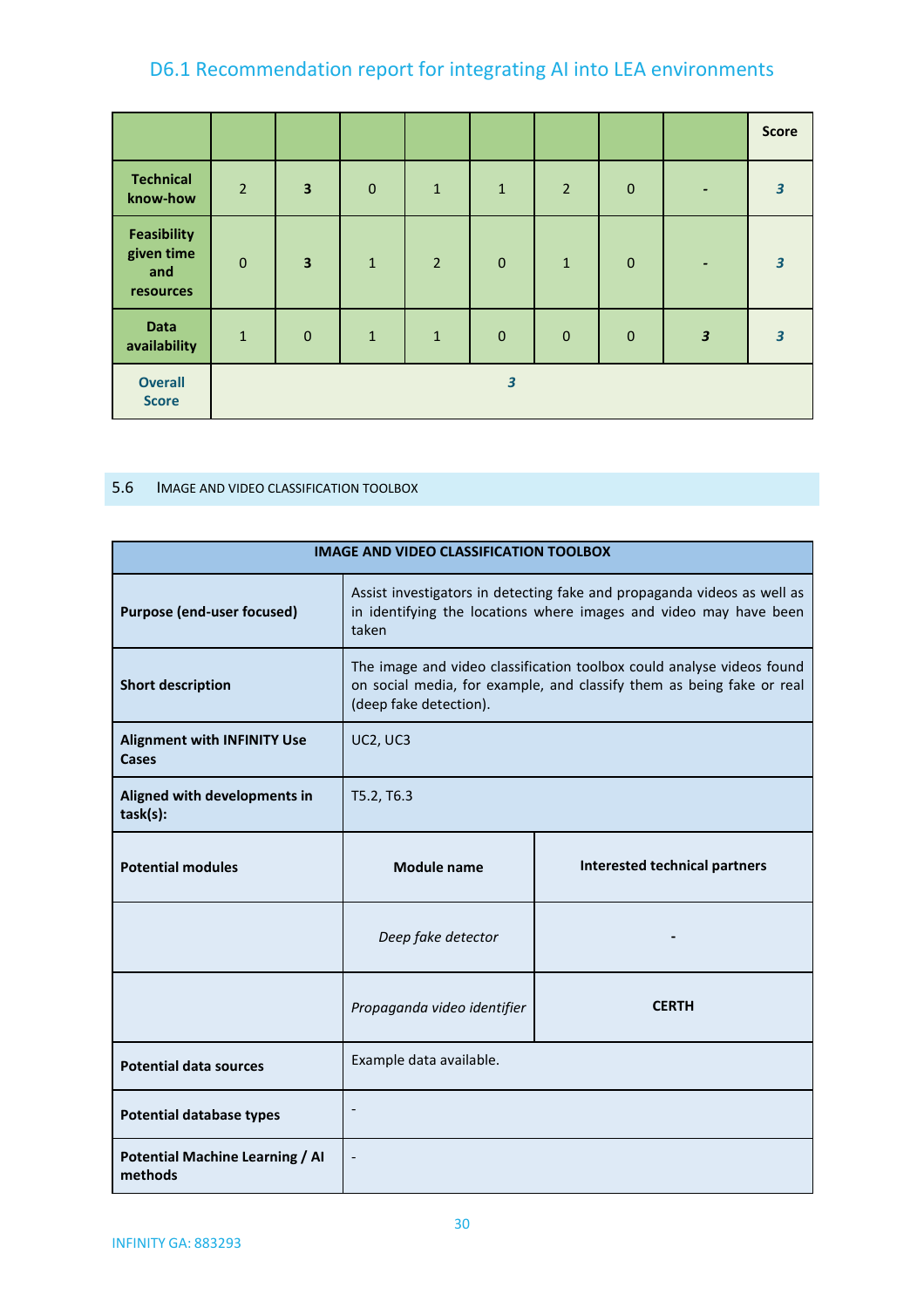|                                                      |                |                         |              |                |                         |                |             |                          | <b>Score</b>            |
|------------------------------------------------------|----------------|-------------------------|--------------|----------------|-------------------------|----------------|-------------|--------------------------|-------------------------|
| <b>Technical</b><br>know-how                         | $\overline{2}$ | $\overline{\mathbf{3}}$ | $\mathbf 0$  | $\mathbf{1}$   | $\mathbf{1}$            | $\overline{2}$ | $\mathbf 0$ | -                        | $\overline{\mathbf{3}}$ |
| <b>Feasibility</b><br>given time<br>and<br>resources | $\mathbf 0$    | $\overline{\mathbf{3}}$ | $\mathbf{1}$ | $\overline{2}$ | $\mathbf 0$             | $\mathbf{1}$   | $\mathbf 0$ | $\overline{\phantom{0}}$ | $\overline{\mathbf{3}}$ |
| <b>Data</b><br>availability                          | $\mathbf{1}$   | $\mathbf{0}$            | $\mathbf{1}$ | $\mathbf{1}$   | $\mathbf{0}$            | $\mathbf{0}$   | $\mathbf 0$ | $\overline{\mathbf{3}}$  | $\overline{\mathbf{3}}$ |
| <b>Overall</b><br><b>Score</b>                       |                |                         |              |                | $\overline{\mathbf{3}}$ |                |             |                          |                         |

### <span id="page-29-0"></span>5.6 IMAGE AND VIDEO CLASSIFICATION TOOLBOX

| <b>IMAGE AND VIDEO CLASSIFICATION TOOLBOX</b>      |                                                                                                                                                                          |              |  |  |  |  |
|----------------------------------------------------|--------------------------------------------------------------------------------------------------------------------------------------------------------------------------|--------------|--|--|--|--|
| <b>Purpose (end-user focused)</b>                  | Assist investigators in detecting fake and propaganda videos as well as<br>in identifying the locations where images and video may have been<br>taken                    |              |  |  |  |  |
| <b>Short description</b>                           | The image and video classification toolbox could analyse videos found<br>on social media, for example, and classify them as being fake or real<br>(deep fake detection). |              |  |  |  |  |
| <b>Alignment with INFINITY Use</b><br><b>Cases</b> | UC2, UC3                                                                                                                                                                 |              |  |  |  |  |
| Aligned with developments in<br>task(s):           | T5.2, T6.3                                                                                                                                                               |              |  |  |  |  |
| <b>Potential modules</b>                           | Interested technical partners<br><b>Module name</b>                                                                                                                      |              |  |  |  |  |
|                                                    | Deep fake detector                                                                                                                                                       |              |  |  |  |  |
|                                                    | Propaganda video identifier                                                                                                                                              | <b>CERTH</b> |  |  |  |  |
| <b>Potential data sources</b>                      | Example data available.                                                                                                                                                  |              |  |  |  |  |
| <b>Potential database types</b>                    |                                                                                                                                                                          |              |  |  |  |  |
| <b>Potential Machine Learning / AI</b><br>methods  |                                                                                                                                                                          |              |  |  |  |  |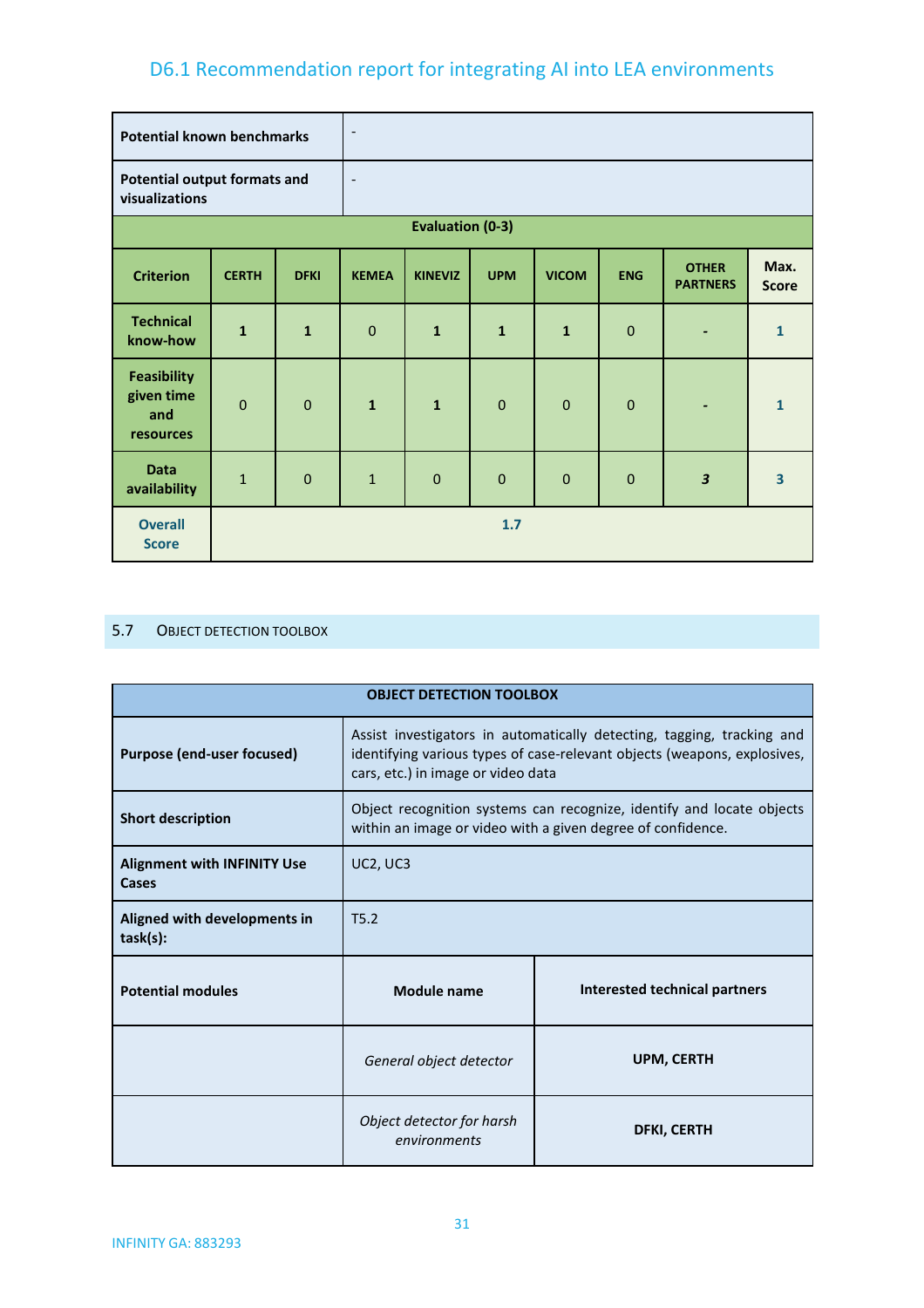| <b>Potential known benchmarks</b>                     |              |              | $\blacksquare$           |                         |              |              |             |                                 |                         |
|-------------------------------------------------------|--------------|--------------|--------------------------|-------------------------|--------------|--------------|-------------|---------------------------------|-------------------------|
| <b>Potential output formats and</b><br>visualizations |              |              | $\overline{\phantom{a}}$ |                         |              |              |             |                                 |                         |
|                                                       |              |              |                          | <b>Evaluation (0-3)</b> |              |              |             |                                 |                         |
| <b>Criterion</b>                                      | <b>CERTH</b> | <b>DFKI</b>  | <b>KEMEA</b>             | <b>KINEVIZ</b>          | <b>UPM</b>   | <b>VICOM</b> | <b>ENG</b>  | <b>OTHER</b><br><b>PARTNERS</b> | Max.<br><b>Score</b>    |
| <b>Technical</b><br>know-how                          | $\mathbf{1}$ | $\mathbf{1}$ | $\mathbf 0$              | $\mathbf{1}$            | $\mathbf{1}$ | $\mathbf{1}$ | $\mathbf 0$ | $\overline{\phantom{a}}$        | $\mathbf{1}$            |
| <b>Feasibility</b><br>given time<br>and<br>resources  | $\mathbf 0$  | $\mathbf 0$  | $\mathbf{1}$             | $\mathbf{1}$            | $\mathbf 0$  | $\mathbf 0$  | $\mathbf 0$ | ٠                               | $\mathbf{1}$            |
| <b>Data</b><br>availability                           | $\mathbf{1}$ | $\mathbf 0$  | $\mathbf{1}$             | $\mathbf{0}$            | $\mathbf{0}$ | $\mathbf 0$  | $\mathbf 0$ | $\overline{\mathbf{3}}$         | $\overline{\mathbf{3}}$ |
| <b>Overall</b><br><b>Score</b>                        |              |              |                          |                         | 1.7          |              |             |                                 |                         |

### <span id="page-30-0"></span>5.7 OBJECT DETECTION TOOLBOX

| <b>OBJECT DETECTION TOOLBOX</b>             |                                                                                                                                                                                          |                               |  |  |  |
|---------------------------------------------|------------------------------------------------------------------------------------------------------------------------------------------------------------------------------------------|-------------------------------|--|--|--|
| <b>Purpose (end-user focused)</b>           | Assist investigators in automatically detecting, tagging, tracking and<br>identifying various types of case-relevant objects (weapons, explosives,<br>cars, etc.) in image or video data |                               |  |  |  |
| <b>Short description</b>                    | Object recognition systems can recognize, identify and locate objects<br>within an image or video with a given degree of confidence.                                                     |                               |  |  |  |
| <b>Alignment with INFINITY Use</b><br>Cases | UC2, UC3                                                                                                                                                                                 |                               |  |  |  |
| Aligned with developments in<br>task(s):    | T5.2                                                                                                                                                                                     |                               |  |  |  |
| <b>Potential modules</b>                    | Module name                                                                                                                                                                              | Interested technical partners |  |  |  |
|                                             | UPM, CERTH<br>General object detector                                                                                                                                                    |                               |  |  |  |
|                                             | Object detector for harsh<br>environments                                                                                                                                                | <b>DFKI, CERTH</b>            |  |  |  |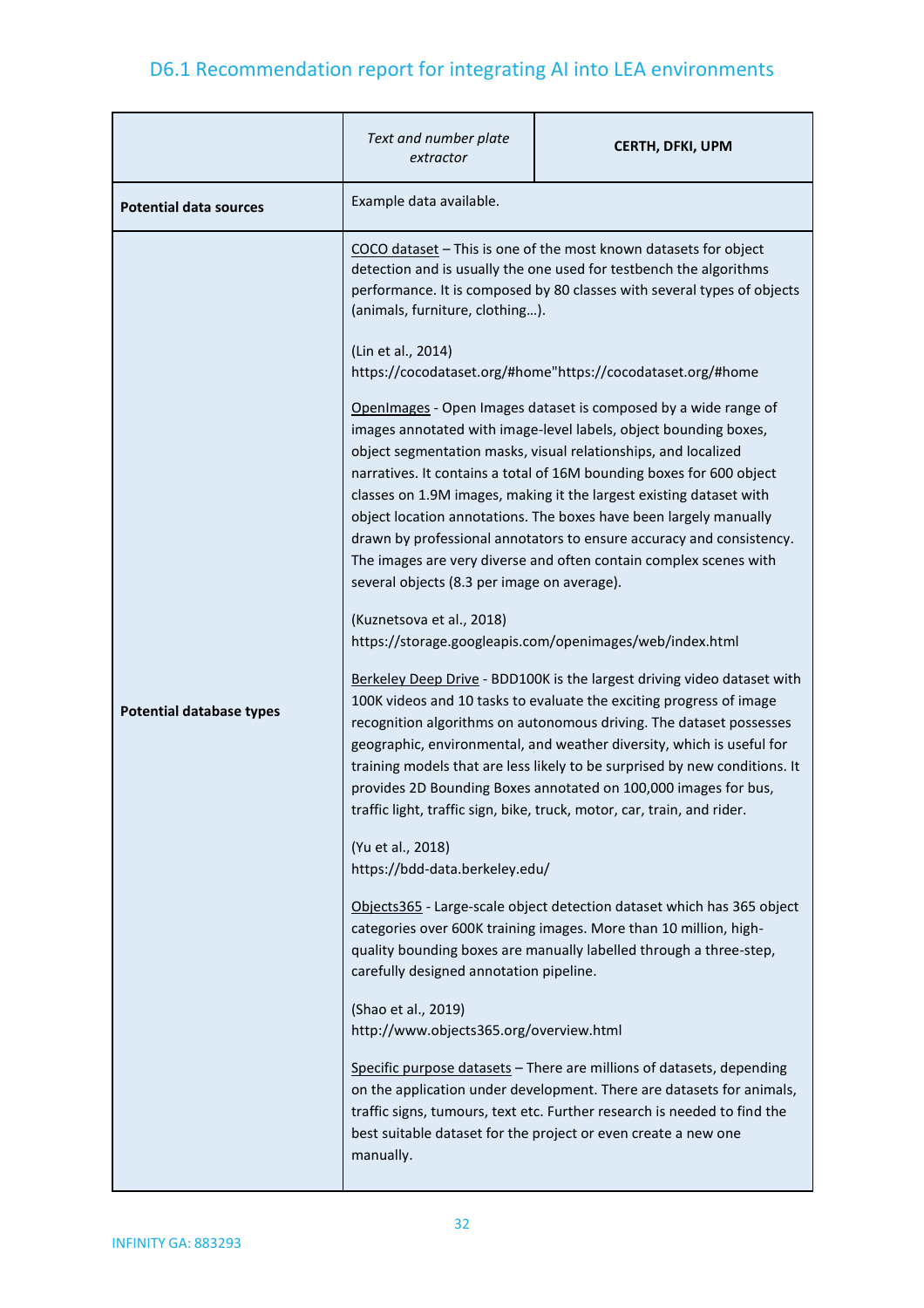|                                 | Text and number plate<br>extractor                                                                                                                                                                                                                                                                                                                                                                                                                                                                                                                                                                                    | <b>CERTH, DFKI, UPM</b>                                                                                                                                                                                           |  |  |  |  |
|---------------------------------|-----------------------------------------------------------------------------------------------------------------------------------------------------------------------------------------------------------------------------------------------------------------------------------------------------------------------------------------------------------------------------------------------------------------------------------------------------------------------------------------------------------------------------------------------------------------------------------------------------------------------|-------------------------------------------------------------------------------------------------------------------------------------------------------------------------------------------------------------------|--|--|--|--|
| <b>Potential data sources</b>   | Example data available.                                                                                                                                                                                                                                                                                                                                                                                                                                                                                                                                                                                               |                                                                                                                                                                                                                   |  |  |  |  |
|                                 | (animals, furniture, clothing).<br>(Lin et al., 2014)                                                                                                                                                                                                                                                                                                                                                                                                                                                                                                                                                                 | COCO dataset - This is one of the most known datasets for object<br>detection and is usually the one used for testbench the algorithms<br>performance. It is composed by 80 classes with several types of objects |  |  |  |  |
|                                 |                                                                                                                                                                                                                                                                                                                                                                                                                                                                                                                                                                                                                       | https://cocodataset.org/#home"https://cocodataset.org/#home                                                                                                                                                       |  |  |  |  |
|                                 | OpenImages - Open Images dataset is composed by a wide range of<br>images annotated with image-level labels, object bounding boxes,<br>object segmentation masks, visual relationships, and localized<br>narratives. It contains a total of 16M bounding boxes for 600 object<br>classes on 1.9M images, making it the largest existing dataset with<br>object location annotations. The boxes have been largely manually<br>drawn by professional annotators to ensure accuracy and consistency.<br>The images are very diverse and often contain complex scenes with<br>several objects (8.3 per image on average). |                                                                                                                                                                                                                   |  |  |  |  |
|                                 | (Kuznetsova et al., 2018)<br>https://storage.googleapis.com/openimages/web/index.html                                                                                                                                                                                                                                                                                                                                                                                                                                                                                                                                 |                                                                                                                                                                                                                   |  |  |  |  |
| <b>Potential database types</b> | Berkeley Deep Drive - BDD100K is the largest driving video dataset with<br>100K videos and 10 tasks to evaluate the exciting progress of image<br>recognition algorithms on autonomous driving. The dataset possesses<br>geographic, environmental, and weather diversity, which is useful for<br>training models that are less likely to be surprised by new conditions. It<br>provides 2D Bounding Boxes annotated on 100,000 images for bus,<br>traffic light, traffic sign, bike, truck, motor, car, train, and rider.                                                                                            |                                                                                                                                                                                                                   |  |  |  |  |
|                                 | (Yu et al., 2018)<br>https://bdd-data.berkeley.edu/                                                                                                                                                                                                                                                                                                                                                                                                                                                                                                                                                                   |                                                                                                                                                                                                                   |  |  |  |  |
|                                 | Objects365 - Large-scale object detection dataset which has 365 object<br>categories over 600K training images. More than 10 million, high-<br>quality bounding boxes are manually labelled through a three-step,<br>carefully designed annotation pipeline.                                                                                                                                                                                                                                                                                                                                                          |                                                                                                                                                                                                                   |  |  |  |  |
|                                 | (Shao et al., 2019)<br>http://www.objects365.org/overview.html                                                                                                                                                                                                                                                                                                                                                                                                                                                                                                                                                        |                                                                                                                                                                                                                   |  |  |  |  |
|                                 | Specific purpose datasets - There are millions of datasets, depending<br>on the application under development. There are datasets for animals,<br>traffic signs, tumours, text etc. Further research is needed to find the<br>best suitable dataset for the project or even create a new one<br>manually.                                                                                                                                                                                                                                                                                                             |                                                                                                                                                                                                                   |  |  |  |  |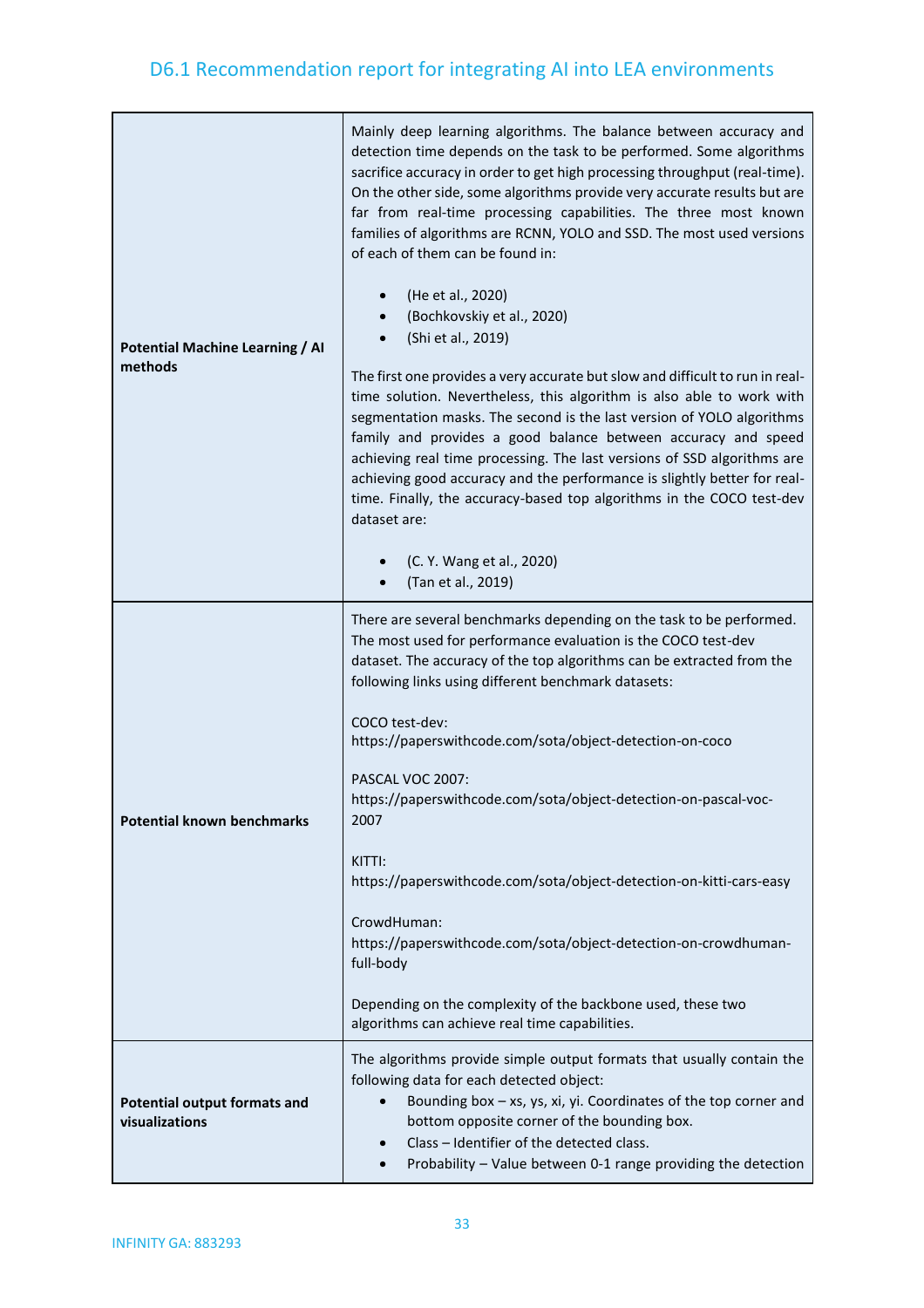| <b>Potential Machine Learning / AI</b><br>methods     | Mainly deep learning algorithms. The balance between accuracy and<br>detection time depends on the task to be performed. Some algorithms<br>sacrifice accuracy in order to get high processing throughput (real-time).<br>On the other side, some algorithms provide very accurate results but are<br>far from real-time processing capabilities. The three most known<br>families of algorithms are RCNN, YOLO and SSD. The most used versions<br>of each of them can be found in:<br>(He et al., 2020)<br>(Bochkovskiy et al., 2020)<br>(Shi et al., 2019)<br>The first one provides a very accurate but slow and difficult to run in real-<br>time solution. Nevertheless, this algorithm is also able to work with<br>segmentation masks. The second is the last version of YOLO algorithms<br>family and provides a good balance between accuracy and speed<br>achieving real time processing. The last versions of SSD algorithms are<br>achieving good accuracy and the performance is slightly better for real-<br>time. Finally, the accuracy-based top algorithms in the COCO test-dev<br>dataset are:<br>(C. Y. Wang et al., 2020)<br>(Tan et al., 2019) |
|-------------------------------------------------------|---------------------------------------------------------------------------------------------------------------------------------------------------------------------------------------------------------------------------------------------------------------------------------------------------------------------------------------------------------------------------------------------------------------------------------------------------------------------------------------------------------------------------------------------------------------------------------------------------------------------------------------------------------------------------------------------------------------------------------------------------------------------------------------------------------------------------------------------------------------------------------------------------------------------------------------------------------------------------------------------------------------------------------------------------------------------------------------------------------------------------------------------------------------------|
| <b>Potential known benchmarks</b>                     | There are several benchmarks depending on the task to be performed.<br>The most used for performance evaluation is the COCO test-dev<br>dataset. The accuracy of the top algorithms can be extracted from the<br>following links using different benchmark datasets:<br>COCO test-dev:<br>https://paperswithcode.com/sota/object-detection-on-coco<br>PASCAL VOC 2007:<br>https://paperswithcode.com/sota/object-detection-on-pascal-voc-<br>2007<br>KITTI:<br>https://paperswithcode.com/sota/object-detection-on-kitti-cars-easy<br>CrowdHuman:<br>https://paperswithcode.com/sota/object-detection-on-crowdhuman-<br>full-body<br>Depending on the complexity of the backbone used, these two<br>algorithms can achieve real time capabilities.                                                                                                                                                                                                                                                                                                                                                                                                                  |
| <b>Potential output formats and</b><br>visualizations | The algorithms provide simple output formats that usually contain the<br>following data for each detected object:<br>Bounding box $-$ xs, ys, xi, yi. Coordinates of the top corner and<br>bottom opposite corner of the bounding box.<br>Class - Identifier of the detected class.<br>$\bullet$<br>Probability - Value between 0-1 range providing the detection                                                                                                                                                                                                                                                                                                                                                                                                                                                                                                                                                                                                                                                                                                                                                                                                   |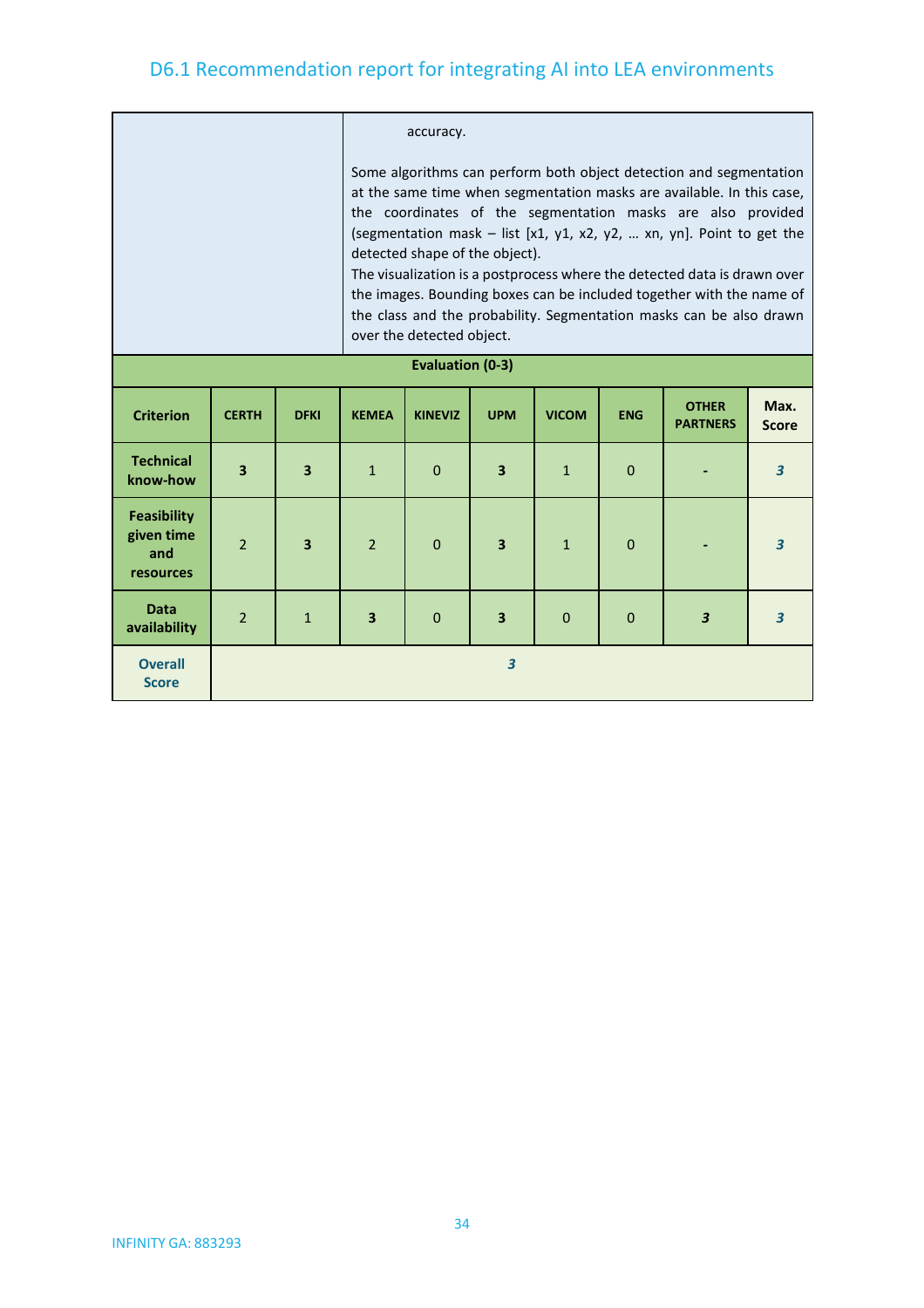|                                                      |                |                         | accuracy.                                                                                                                                                                                                                                                                                                                                                                                                                                                                                                                                                                       |                |                         |              |              |                                 |                         |  |
|------------------------------------------------------|----------------|-------------------------|---------------------------------------------------------------------------------------------------------------------------------------------------------------------------------------------------------------------------------------------------------------------------------------------------------------------------------------------------------------------------------------------------------------------------------------------------------------------------------------------------------------------------------------------------------------------------------|----------------|-------------------------|--------------|--------------|---------------------------------|-------------------------|--|
|                                                      |                |                         | Some algorithms can perform both object detection and segmentation<br>at the same time when segmentation masks are available. In this case,<br>the coordinates of the segmentation masks are also provided<br>(segmentation mask $-$ list [x1, y1, x2, y2,  xn, yn]. Point to get the<br>detected shape of the object).<br>The visualization is a postprocess where the detected data is drawn over<br>the images. Bounding boxes can be included together with the name of<br>the class and the probability. Segmentation masks can be also drawn<br>over the detected object. |                |                         |              |              |                                 |                         |  |
| <b>Evaluation (0-3)</b>                              |                |                         |                                                                                                                                                                                                                                                                                                                                                                                                                                                                                                                                                                                 |                |                         |              |              |                                 |                         |  |
| <b>Criterion</b>                                     | <b>CERTH</b>   | <b>DFKI</b>             | <b>KEMEA</b>                                                                                                                                                                                                                                                                                                                                                                                                                                                                                                                                                                    | <b>KINEVIZ</b> | <b>UPM</b>              | <b>VICOM</b> | <b>ENG</b>   | <b>OTHER</b><br><b>PARTNERS</b> | Max.<br><b>Score</b>    |  |
| <b>Technical</b><br>know-how                         | 3              | $\overline{\mathbf{3}}$ | $\mathbf{1}$                                                                                                                                                                                                                                                                                                                                                                                                                                                                                                                                                                    | $\Omega$       | $\overline{\mathbf{3}}$ | $\mathbf{1}$ | $\mathbf{0}$ |                                 | $\overline{\mathbf{3}}$ |  |
| <b>Feasibility</b><br>given time<br>and<br>resources | $\overline{2}$ | $\overline{\mathbf{3}}$ | $\overline{2}$                                                                                                                                                                                                                                                                                                                                                                                                                                                                                                                                                                  | $\mathbf 0$    | $\overline{\mathbf{3}}$ | $\mathbf{1}$ | $\mathbf 0$  |                                 | $\overline{3}$          |  |
| <b>Data</b><br>availability                          | $\overline{2}$ | $\mathbf{1}$            | $\overline{\mathbf{3}}$                                                                                                                                                                                                                                                                                                                                                                                                                                                                                                                                                         | $\Omega$       | $\overline{\mathbf{3}}$ | $\Omega$     | $\mathbf 0$  | $\overline{\mathbf{3}}$         | $\overline{3}$          |  |
| <b>Overall</b><br><b>Score</b>                       |                |                         |                                                                                                                                                                                                                                                                                                                                                                                                                                                                                                                                                                                 |                | $\overline{\mathbf{3}}$ |              |              |                                 |                         |  |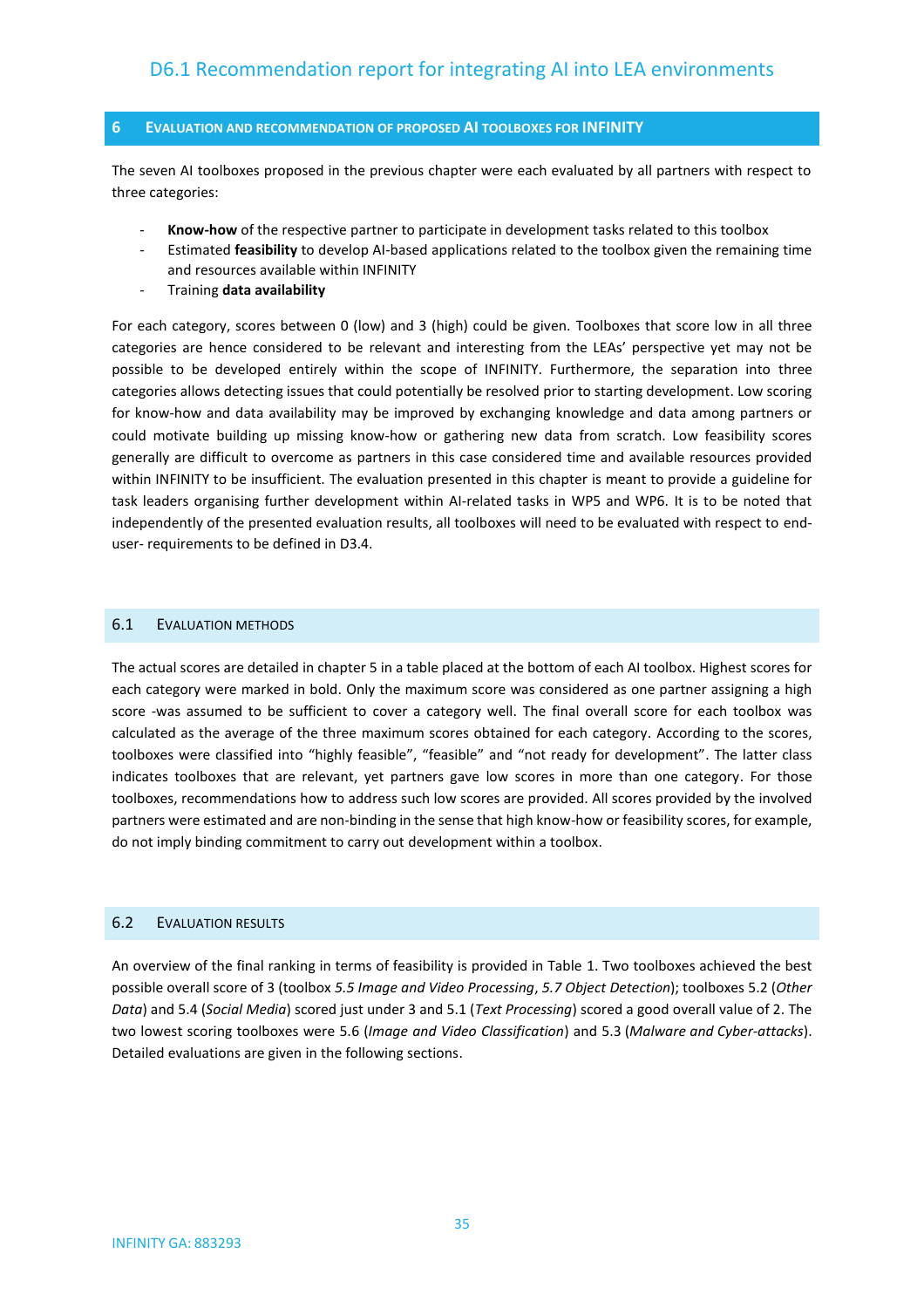#### <span id="page-34-0"></span>**6 EVALUATION AND RECOMMENDATION OF PROPOSED AI TOOLBOXES FOR INFINITY**

The seven AI toolboxes proposed in the previous chapter were each evaluated by all partners with respect to three categories:

- Know-how of the respective partner to participate in development tasks related to this toolbox
- Estimated **feasibility** to develop AI-based applications related to the toolbox given the remaining time and resources available within INFINITY
- Training **data availability**

For each category, scores between 0 (low) and 3 (high) could be given. Toolboxes that score low in all three categories are hence considered to be relevant and interesting from the LEAs' perspective yet may not be possible to be developed entirely within the scope of INFINITY. Furthermore, the separation into three categories allows detecting issues that could potentially be resolved prior to starting development. Low scoring for know-how and data availability may be improved by exchanging knowledge and data among partners or could motivate building up missing know-how or gathering new data from scratch. Low feasibility scores generally are difficult to overcome as partners in this case considered time and available resources provided within INFINITY to be insufficient. The evaluation presented in this chapter is meant to provide a guideline for task leaders organising further development within AI-related tasks in WP5 and WP6. It is to be noted that independently of the presented evaluation results, all toolboxes will need to be evaluated with respect to enduser- requirements to be defined in D3.4.

#### <span id="page-34-1"></span>6.1 EVALUATION METHODS

The actual scores are detailed in chapter 5 in a table placed at the bottom of each AI toolbox. Highest scores for each category were marked in bold. Only the maximum score was considered as one partner assigning a high score -was assumed to be sufficient to cover a category well. The final overall score for each toolbox was calculated as the average of the three maximum scores obtained for each category. According to the scores, toolboxes were classified into "highly feasible", "feasible" and "not ready for development". The latter class indicates toolboxes that are relevant, yet partners gave low scores in more than one category. For those toolboxes, recommendations how to address such low scores are provided. All scores provided by the involved partners were estimated and are non-binding in the sense that high know-how or feasibility scores, for example, do not imply binding commitment to carry out development within a toolbox.

#### <span id="page-34-2"></span>6.2 EVALUATION RESULTS

An overview of the final ranking in terms of feasibility is provided in Table 1. Two toolboxes achieved the best possible overall score of 3 (toolbox *5.5 Image and Video Processing*, *5.7 Object Detection*); toolboxes 5.2 (*Other Data*) and 5.4 (*Social Media*) scored just under 3 and 5.1 (*Text Processing*) scored a good overall value of 2. The two lowest scoring toolboxes were 5.6 (*Image and Video Classification*) and 5.3 (*Malware and Cyber-attacks*). Detailed evaluations are given in the following sections.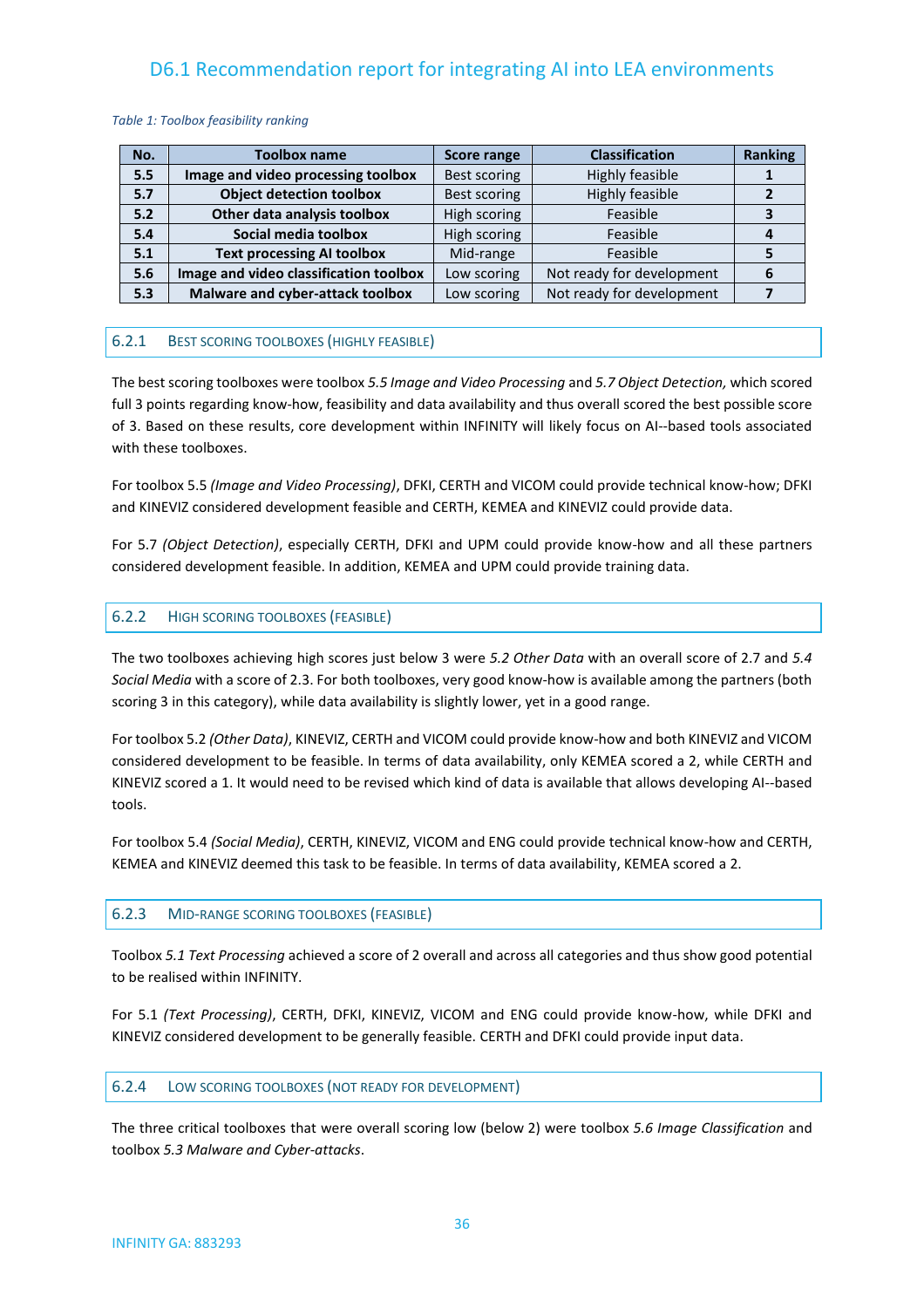#### *Table 1: Toolbox feasibility ranking*

| No. | <b>Toolbox name</b>                    | <b>Score range</b> | <b>Classification</b>     | <b>Ranking</b> |
|-----|----------------------------------------|--------------------|---------------------------|----------------|
| 5.5 | Image and video processing toolbox     | Best scoring       | Highly feasible           |                |
| 5.7 | <b>Object detection toolbox</b>        | Best scoring       | Highly feasible           |                |
| 5.2 | Other data analysis toolbox            | High scoring       | Feasible                  |                |
| 5.4 | Social media toolbox                   | High scoring       | Feasible                  |                |
| 5.1 | <b>Text processing AI toolbox</b>      | Mid-range          | Feasible                  |                |
| 5.6 | Image and video classification toolbox | Low scoring        | Not ready for development |                |
| 5.3 | Malware and cyber-attack toolbox       | Low scoring        | Not ready for development |                |

#### <span id="page-35-0"></span>6.2.1 BEST SCORING TOOLBOXES (HIGHLY FEASIBLE)

The best scoring toolboxes were toolbox *5.5 Image and Video Processing* and *5.7 Object Detection,* which scored full 3 points regarding know-how, feasibility and data availability and thus overall scored the best possible score of 3. Based on these results, core development within INFINITY will likely focus on AI--based tools associated with these toolboxes.

For toolbox 5.5 *(Image and Video Processing)*, DFKI, CERTH and VICOM could provide technical know-how; DFKI and KINEVIZ considered development feasible and CERTH, KEMEA and KINEVIZ could provide data.

For 5.7 *(Object Detection)*, especially CERTH, DFKI and UPM could provide know-how and all these partners considered development feasible. In addition, KEMEA and UPM could provide training data.

#### <span id="page-35-1"></span>6.2.2 HIGH SCORING TOOLBOXES (FEASIBLE)

The two toolboxes achieving high scores just below 3 were *5.2 Other Data* with an overall score of 2.7 and *5.4 Social Media* with a score of 2.3. For both toolboxes, very good know-how is available among the partners (both scoring 3 in this category), while data availability is slightly lower, yet in a good range.

For toolbox 5.2 *(Other Data)*, KINEVIZ, CERTH and VICOM could provide know-how and both KINEVIZ and VICOM considered development to be feasible. In terms of data availability, only KEMEA scored a 2, while CERTH and KINEVIZ scored a 1. It would need to be revised which kind of data is available that allows developing AI--based tools.

For toolbox 5.4 *(Social Media)*, CERTH, KINEVIZ, VICOM and ENG could provide technical know-how and CERTH, KEMEA and KINEVIZ deemed this task to be feasible. In terms of data availability, KEMEA scored a 2.

#### <span id="page-35-2"></span>6.2.3 MID-RANGE SCORING TOOLBOXES (FEASIBLE)

Toolbox *5.1 Text Processing* achieved a score of 2 overall and across all categories and thus show good potential to be realised within INFINITY.

For 5.1 *(Text Processing)*, CERTH, DFKI, KINEVIZ, VICOM and ENG could provide know-how, while DFKI and KINEVIZ considered development to be generally feasible. CERTH and DFKI could provide input data.

#### <span id="page-35-3"></span>6.2.4 LOW SCORING TOOLBOXES (NOT READY FOR DEVELOPMENT)

The three critical toolboxes that were overall scoring low (below 2) were toolbox *5.6 Image Classification* and toolbox *5.3 Malware and Cyber-attacks*.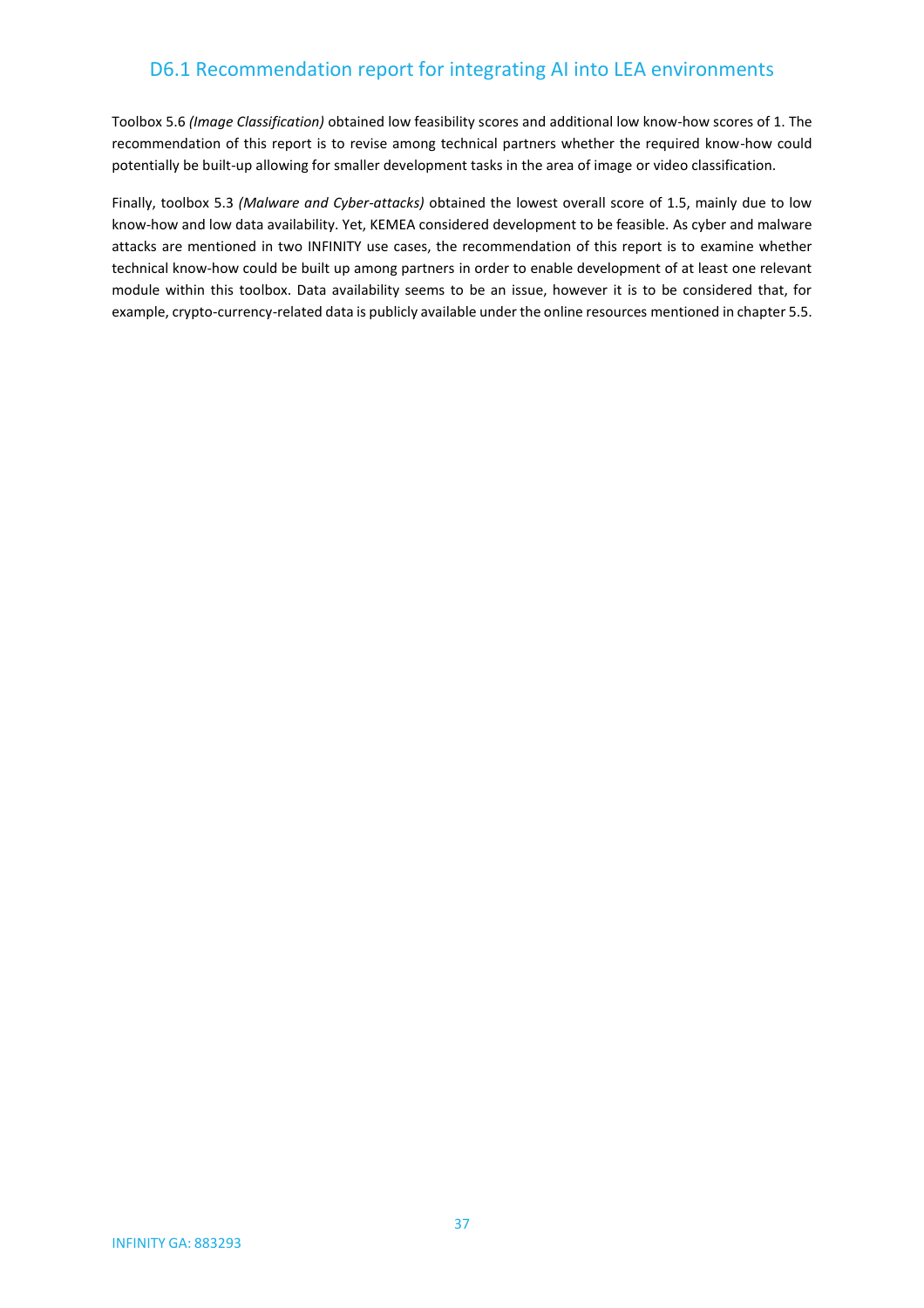Toolbox 5.6 *(Image Classification)* obtained low feasibility scores and additional low know-how scores of 1. The recommendation of this report is to revise among technical partners whether the required know-how could potentially be built-up allowing for smaller development tasks in the area of image or video classification.

Finally, toolbox 5.3 *(Malware and Cyber-attacks)* obtained the lowest overall score of 1.5, mainly due to low know-how and low data availability. Yet, KEMEA considered development to be feasible. As cyber and malware attacks are mentioned in two INFINITY use cases, the recommendation of this report is to examine whether technical know-how could be built up among partners in order to enable development of at least one relevant module within this toolbox. Data availability seems to be an issue, however it is to be considered that, for example, crypto-currency-related data is publicly available under the online resources mentioned in chapter 5.5.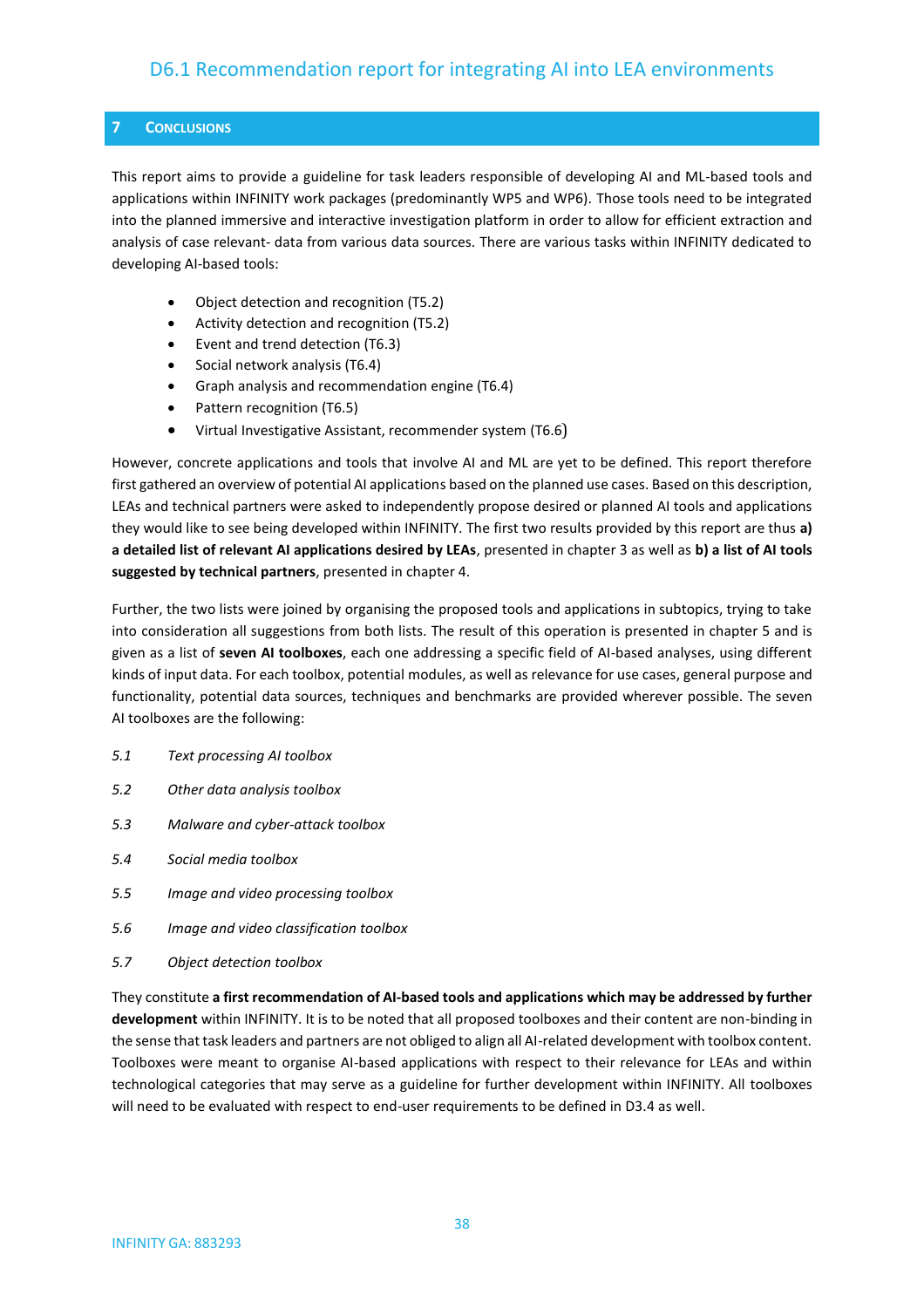#### <span id="page-37-0"></span>**7 CONCLUSIONS**

This report aims to provide a guideline for task leaders responsible of developing AI and ML-based tools and applications within INFINITY work packages (predominantly WP5 and WP6). Those tools need to be integrated into the planned immersive and interactive investigation platform in order to allow for efficient extraction and analysis of case relevant- data from various data sources. There are various tasks within INFINITY dedicated to developing AI-based tools:

- Object detection and recognition (T5.2)
- Activity detection and recognition (T5.2)
- Event and trend detection (T6.3)
- Social network analysis (T6.4)
- Graph analysis and recommendation engine (T6.4)
- Pattern recognition (T6.5)
- Virtual Investigative Assistant, recommender system (T6.6)

However, concrete applications and tools that involve AI and ML are yet to be defined. This report therefore first gathered an overview of potential AI applications based on the planned use cases. Based on this description, LEAs and technical partners were asked to independently propose desired or planned AI tools and applications they would like to see being developed within INFINITY. The first two results provided by this report are thus **a) a detailed list of relevant AI applications desired by LEAs**, presented in chapter 3 as well as **b) a list of AI tools suggested by technical partners**, presented in chapter 4.

Further, the two lists were joined by organising the proposed tools and applications in subtopics, trying to take into consideration all suggestions from both lists. The result of this operation is presented in chapter 5 and is given as a list of **seven AI toolboxes**, each one addressing a specific field of AI-based analyses, using different kinds of input data. For each toolbox, potential modules, as well as relevance for use cases, general purpose and functionality, potential data sources, techniques and benchmarks are provided wherever possible. The seven AI toolboxes are the following:

- *5.1 Text processing AI toolbox*
- *5.2 Other data analysis toolbox*
- *5.3 Malware and cyber-attack toolbox*
- *5.4 Social media toolbox*
- *5.5 Image and video processing toolbox*
- *5.6 Image and video classification toolbox*
- *5.7 Object detection toolbox*

They constitute **a first recommendation of AI-based tools and applications which may be addressed by further development** within INFINITY. It is to be noted that all proposed toolboxes and their content are non-binding in the sense that task leaders and partners are not obliged to align all AI-related development with toolbox content. Toolboxes were meant to organise AI-based applications with respect to their relevance for LEAs and within technological categories that may serve as a guideline for further development within INFINITY. All toolboxes will need to be evaluated with respect to end-user requirements to be defined in D3.4 as well.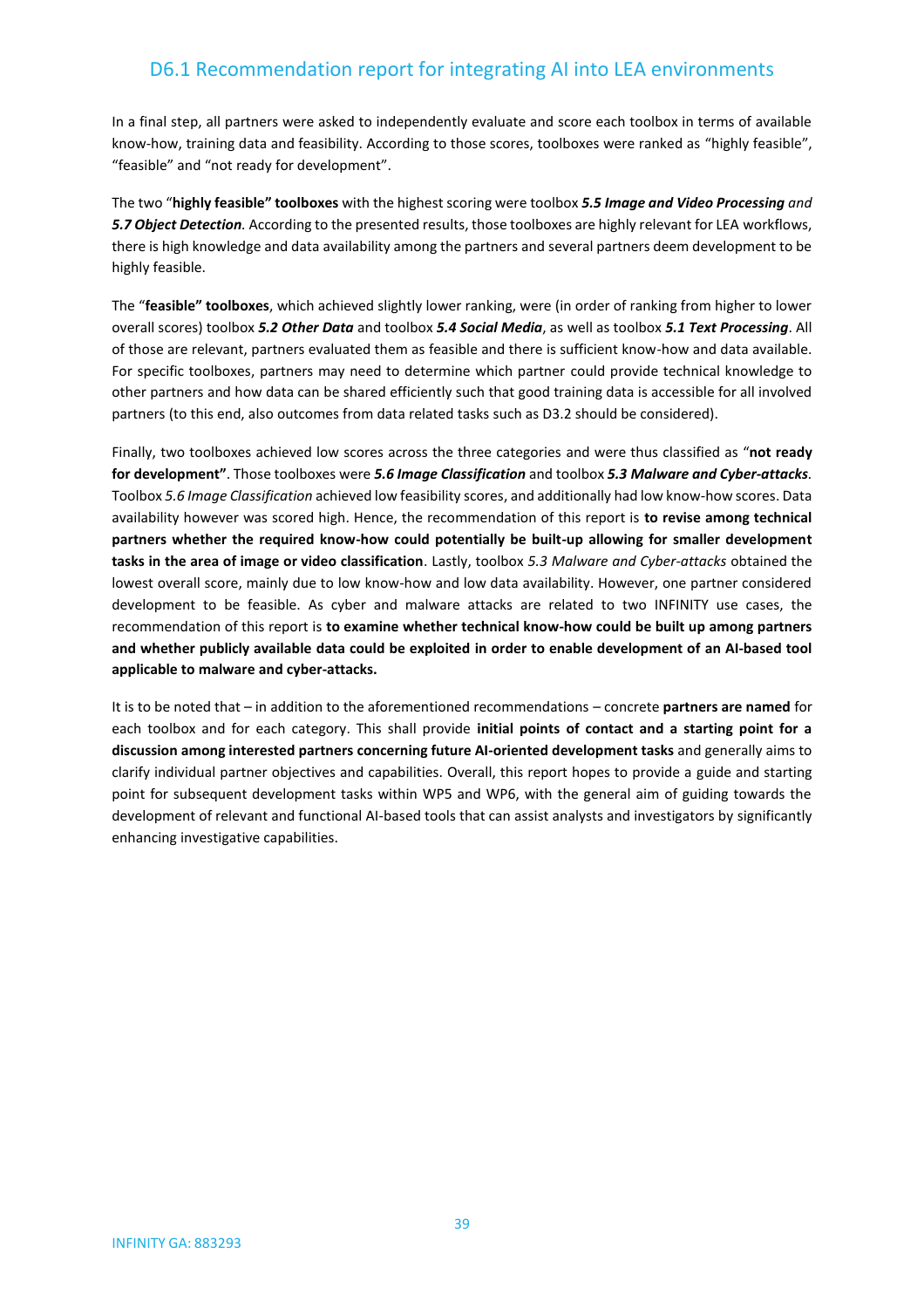In a final step, all partners were asked to independently evaluate and score each toolbox in terms of available know-how, training data and feasibility. According to those scores, toolboxes were ranked as "highly feasible", "feasible" and "not ready for development".

The two "**highly feasible" toolboxes** with the highest scoring were toolbox *5.5 Image and Video Processing and 5.7 Object Detection.* According to the presented results, those toolboxes are highly relevant for LEA workflows, there is high knowledge and data availability among the partners and several partners deem development to be highly feasible.

The "**feasible" toolboxes**, which achieved slightly lower ranking, were (in order of ranking from higher to lower overall scores) toolbox *5.2 Other Data* and toolbox *5.4 Social Media*, as well as toolbox *5.1 Text Processing*. All of those are relevant, partners evaluated them as feasible and there is sufficient know-how and data available. For specific toolboxes, partners may need to determine which partner could provide technical knowledge to other partners and how data can be shared efficiently such that good training data is accessible for all involved partners (to this end, also outcomes from data related tasks such as D3.2 should be considered).

Finally, two toolboxes achieved low scores across the three categories and were thus classified as "**not ready for development"**. Those toolboxes were *5.6 Image Classification* and toolbox *5.3 Malware and Cyber-attacks.*  Toolbox *5.6 Image Classification* achieved low feasibility scores, and additionally had low know-how scores. Data availability however was scored high. Hence, the recommendation of this report is **to revise among technical partners whether the required know-how could potentially be built-up allowing for smaller development tasks in the area of image or video classification**. Lastly, toolbox *5.3 Malware and Cyber-attacks* obtained the lowest overall score, mainly due to low know-how and low data availability. However, one partner considered development to be feasible. As cyber and malware attacks are related to two INFINITY use cases, the recommendation of this report is **to examine whether technical know-how could be built up among partners and whether publicly available data could be exploited in order to enable development of an AI-based tool applicable to malware and cyber-attacks.**

It is to be noted that – in addition to the aforementioned recommendations – concrete **partners are named** for each toolbox and for each category. This shall provide **initial points of contact and a starting point for a discussion among interested partners concerning future AI-oriented development tasks** and generally aims to clarify individual partner objectives and capabilities. Overall, this report hopes to provide a guide and starting point for subsequent development tasks within WP5 and WP6, with the general aim of guiding towards the development of relevant and functional AI-based tools that can assist analysts and investigators by significantly enhancing investigative capabilities.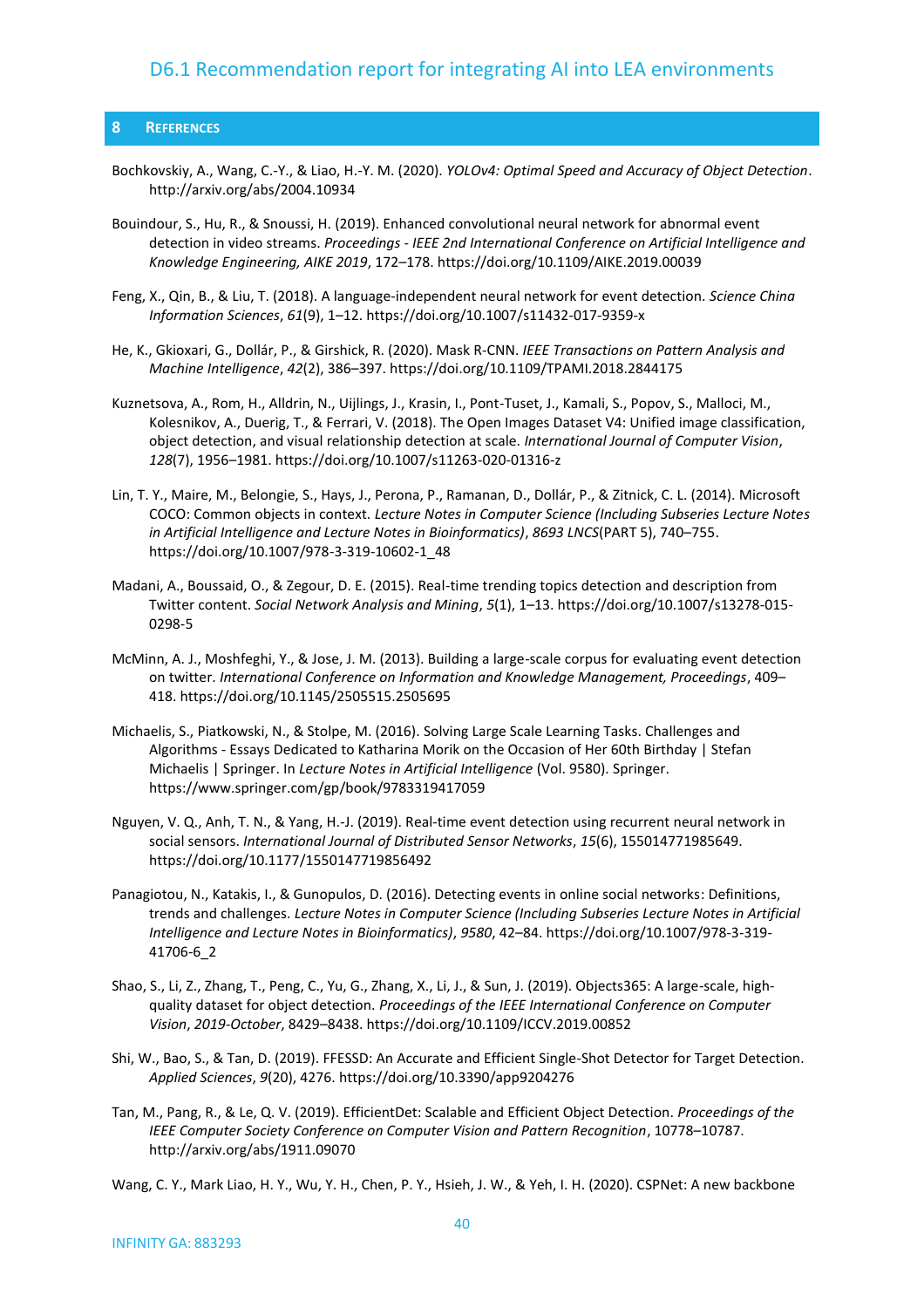#### <span id="page-39-0"></span>**8 REFERENCES**

- Bochkovskiy, A., Wang, C.-Y., & Liao, H.-Y. M. (2020). *YOLOv4: Optimal Speed and Accuracy of Object Detection*. http://arxiv.org/abs/2004.10934
- Bouindour, S., Hu, R., & Snoussi, H. (2019). Enhanced convolutional neural network for abnormal event detection in video streams. *Proceedings - IEEE 2nd International Conference on Artificial Intelligence and Knowledge Engineering, AIKE 2019*, 172–178. https://doi.org/10.1109/AIKE.2019.00039
- Feng, X., Qin, B., & Liu, T. (2018). A language-independent neural network for event detection. *Science China Information Sciences*, *61*(9), 1–12. https://doi.org/10.1007/s11432-017-9359-x
- He, K., Gkioxari, G., Dollár, P., & Girshick, R. (2020). Mask R-CNN. *IEEE Transactions on Pattern Analysis and Machine Intelligence*, *42*(2), 386–397. https://doi.org/10.1109/TPAMI.2018.2844175
- Kuznetsova, A., Rom, H., Alldrin, N., Uijlings, J., Krasin, I., Pont-Tuset, J., Kamali, S., Popov, S., Malloci, M., Kolesnikov, A., Duerig, T., & Ferrari, V. (2018). The Open Images Dataset V4: Unified image classification, object detection, and visual relationship detection at scale. *International Journal of Computer Vision*, *128*(7), 1956–1981. https://doi.org/10.1007/s11263-020-01316-z
- Lin, T. Y., Maire, M., Belongie, S., Hays, J., Perona, P., Ramanan, D., Dollár, P., & Zitnick, C. L. (2014). Microsoft COCO: Common objects in context. *Lecture Notes in Computer Science (Including Subseries Lecture Notes in Artificial Intelligence and Lecture Notes in Bioinformatics)*, *8693 LNCS*(PART 5), 740–755. https://doi.org/10.1007/978-3-319-10602-1\_48
- Madani, A., Boussaid, O., & Zegour, D. E. (2015). Real-time trending topics detection and description from Twitter content. *Social Network Analysis and Mining*, *5*(1), 1–13. https://doi.org/10.1007/s13278-015- 0298-5
- McMinn, A. J., Moshfeghi, Y., & Jose, J. M. (2013). Building a large-scale corpus for evaluating event detection on twitter. *International Conference on Information and Knowledge Management, Proceedings*, 409– 418. https://doi.org/10.1145/2505515.2505695
- Michaelis, S., Piatkowski, N., & Stolpe, M. (2016). Solving Large Scale Learning Tasks. Challenges and Algorithms - Essays Dedicated to Katharina Morik on the Occasion of Her 60th Birthday | Stefan Michaelis | Springer. In *Lecture Notes in Artificial Intelligence* (Vol. 9580). Springer. https://www.springer.com/gp/book/9783319417059
- Nguyen, V. Q., Anh, T. N., & Yang, H.-J. (2019). Real-time event detection using recurrent neural network in social sensors. *International Journal of Distributed Sensor Networks*, *15*(6), 155014771985649. https://doi.org/10.1177/1550147719856492
- Panagiotou, N., Katakis, I., & Gunopulos, D. (2016). Detecting events in online social networks: Definitions, trends and challenges. *Lecture Notes in Computer Science (Including Subseries Lecture Notes in Artificial Intelligence and Lecture Notes in Bioinformatics)*, *9580*, 42–84. https://doi.org/10.1007/978-3-319- 41706-6\_2
- Shao, S., Li, Z., Zhang, T., Peng, C., Yu, G., Zhang, X., Li, J., & Sun, J. (2019). Objects365: A large-scale, highquality dataset for object detection. *Proceedings of the IEEE International Conference on Computer Vision*, *2019*-*October*, 8429–8438. https://doi.org/10.1109/ICCV.2019.00852
- Shi, W., Bao, S., & Tan, D. (2019). FFESSD: An Accurate and Efficient Single-Shot Detector for Target Detection. *Applied Sciences*, *9*(20), 4276. https://doi.org/10.3390/app9204276
- Tan, M., Pang, R., & Le, Q. V. (2019). EfficientDet: Scalable and Efficient Object Detection. *Proceedings of the IEEE Computer Society Conference on Computer Vision and Pattern Recognition*, 10778–10787. http://arxiv.org/abs/1911.09070

Wang, C. Y., Mark Liao, H. Y., Wu, Y. H., Chen, P. Y., Hsieh, J. W., & Yeh, I. H. (2020). CSPNet: A new backbone